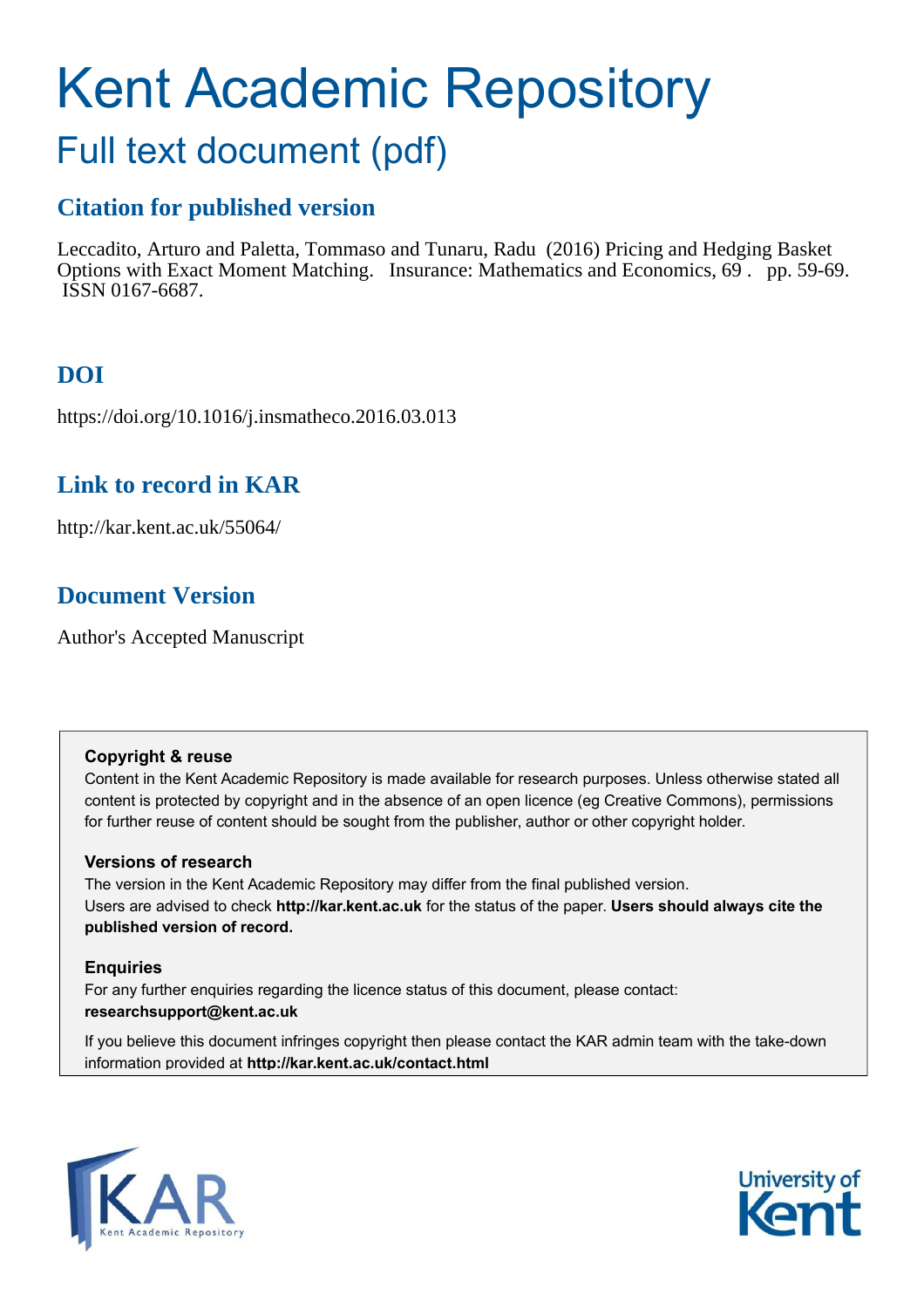# Kent Academic Repository Full text document (pdf)

# **Citation for published version**

Leccadito, Arturo and Paletta, Tommaso and Tunaru, Radu (2016) Pricing and Hedging Basket Options with Exact Moment Matching. Insurance: Mathematics and Economics, 69 . pp. 59-69. ISSN 0167-6687.

# **DOI**

https://doi.org/10.1016/j.insmatheco.2016.03.013

# **Link to record in KAR**

http://kar.kent.ac.uk/55064/

# **Document Version**

Author's Accepted Manuscript

## **Copyright & reuse**

Content in the Kent Academic Repository is made available for research purposes. Unless otherwise stated all content is protected by copyright and in the absence of an open licence (eg Creative Commons), permissions for further reuse of content should be sought from the publisher, author or other copyright holder.

## **Versions of research**

The version in the Kent Academic Repository may differ from the final published version. Users are advised to check **http://kar.kent.ac.uk** for the status of the paper. **Users should always cite the published version of record.**

## **Enquiries**

For any further enquiries regarding the licence status of this document, please contact: **researchsupport@kent.ac.uk**

If you believe this document infringes copyright then please contact the KAR admin team with the take-down information provided at **http://kar.kent.ac.uk/contact.html**



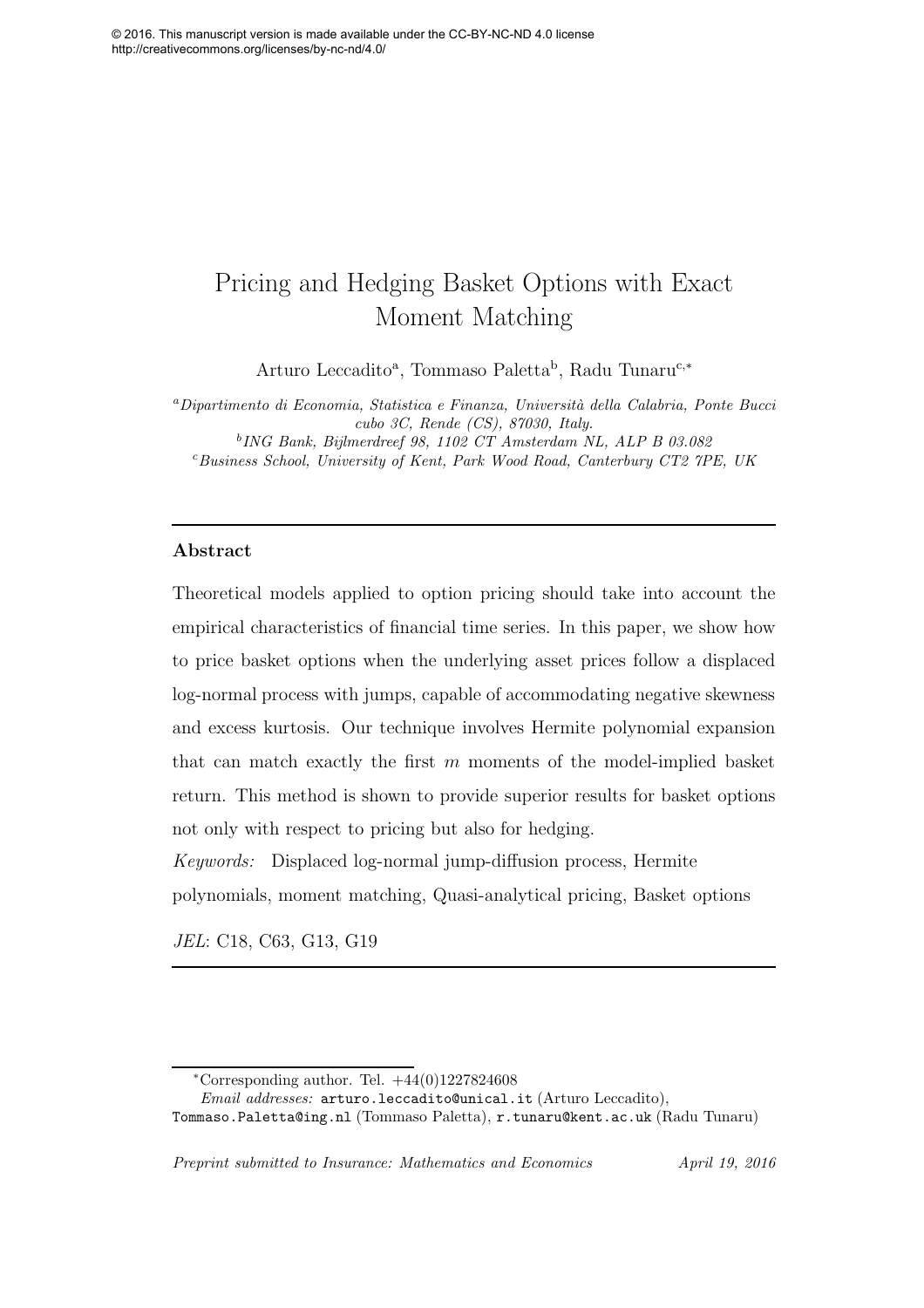# Pricing and Hedging Basket Options with Exact Moment Matching

Arturo Leccadito<sup>a</sup>, Tommaso Paletta<sup>b</sup>, Radu Tunaru<sup>c,∗</sup>

<sup>a</sup>*Dipartimento di Economia, Statistica e Finanza, Universit`a della Calabria, Ponte Bucci cubo 3C, Rende (CS), 87030, Italy.* b *ING Bank, Bijlmerdreef 98, 1102 CT Amsterdam NL, ALP B 03.082* <sup>c</sup>*Business School, University of Kent, Park Wood Road, Canterbury CT2 7PE, UK*

### Abstract

Theoretical models applied to option pricing should take into account the empirical characteristics of financial time series. In this paper, we show how to price basket options when the underlying asset prices follow a displaced log-normal process with jumps, capable of accommodating negative skewness and excess kurtosis. Our technique involves Hermite polynomial expansion that can match exactly the first  $m$  moments of the model-implied basket return. This method is shown to provide superior results for basket options not only with respect to pricing but also for hedging.

Keywords: Displaced log-normal jump-diffusion process, Hermite

polynomials, moment matching, Quasi-analytical pricing, Basket options

JEL: C18, C63, G13, G19

Tommaso.Paletta@ing.nl (Tommaso Paletta), r.tunaru@kent.ac.uk (Radu Tunaru)

*Preprint submitted to Insurance: Mathematics and Economics April 19, 2016*

 $*$ Corresponding author. Tel.  $+44(0)1227824608$ 

*Email addresses:* arturo.leccadito@unical.it (Arturo Leccadito),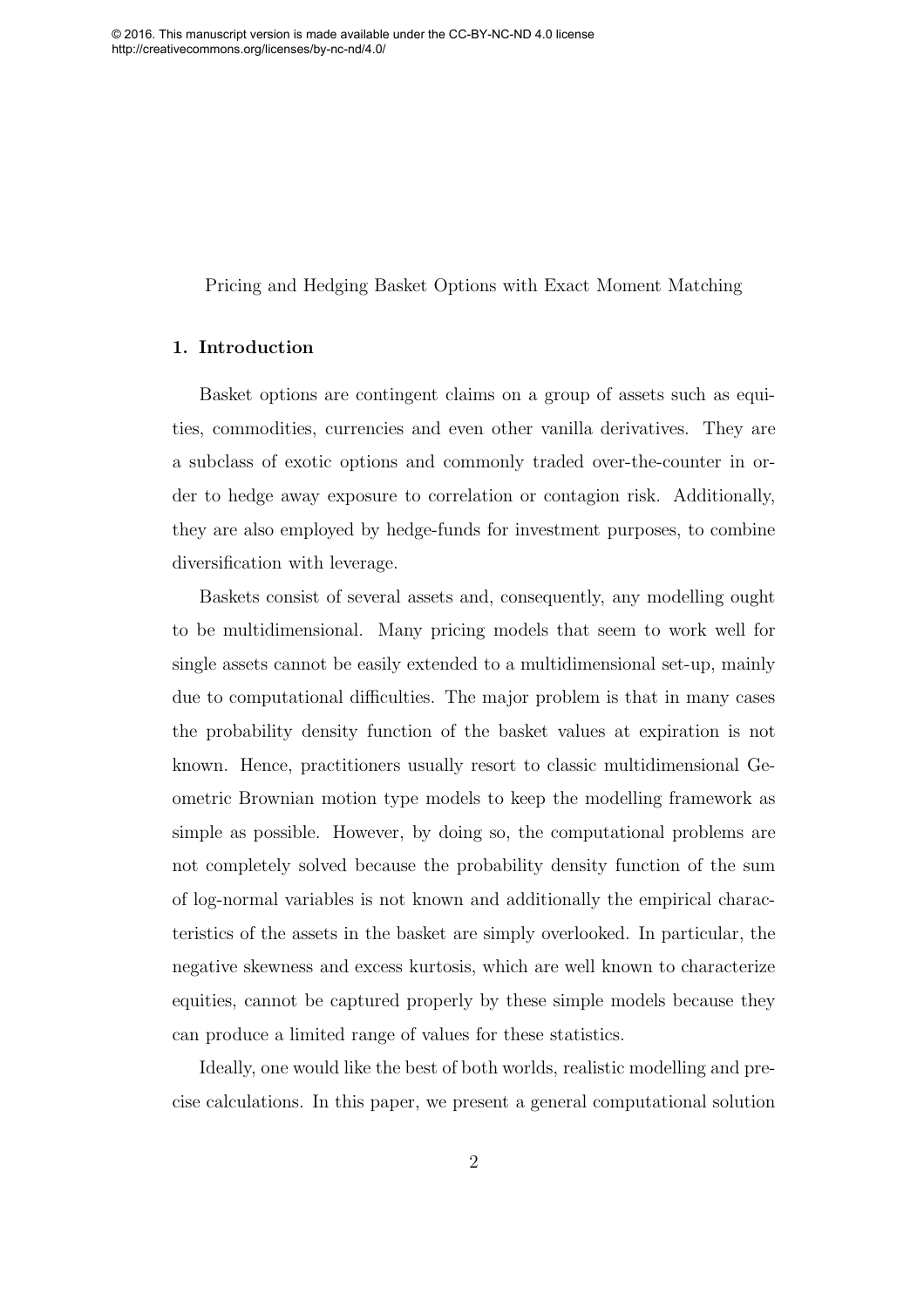Pricing and Hedging Basket Options with Exact Moment Matching

#### 1. Introduction

Basket options are contingent claims on a group of assets such as equities, commodities, currencies and even other vanilla derivatives. They are a subclass of exotic options and commonly traded over-the-counter in order to hedge away exposure to correlation or contagion risk. Additionally, they are also employed by hedge-funds for investment purposes, to combine diversification with leverage.

Baskets consist of several assets and, consequently, any modelling ought to be multidimensional. Many pricing models that seem to work well for single assets cannot be easily extended to a multidimensional set-up, mainly due to computational difficulties. The major problem is that in many cases the probability density function of the basket values at expiration is not known. Hence, practitioners usually resort to classic multidimensional Geometric Brownian motion type models to keep the modelling framework as simple as possible. However, by doing so, the computational problems are not completely solved because the probability density function of the sum of log-normal variables is not known and additionally the empirical characteristics of the assets in the basket are simply overlooked. In particular, the negative skewness and excess kurtosis, which are well known to characterize equities, cannot be captured properly by these simple models because they can produce a limited range of values for these statistics.

Ideally, one would like the best of both worlds, realistic modelling and precise calculations. In this paper, we present a general computational solution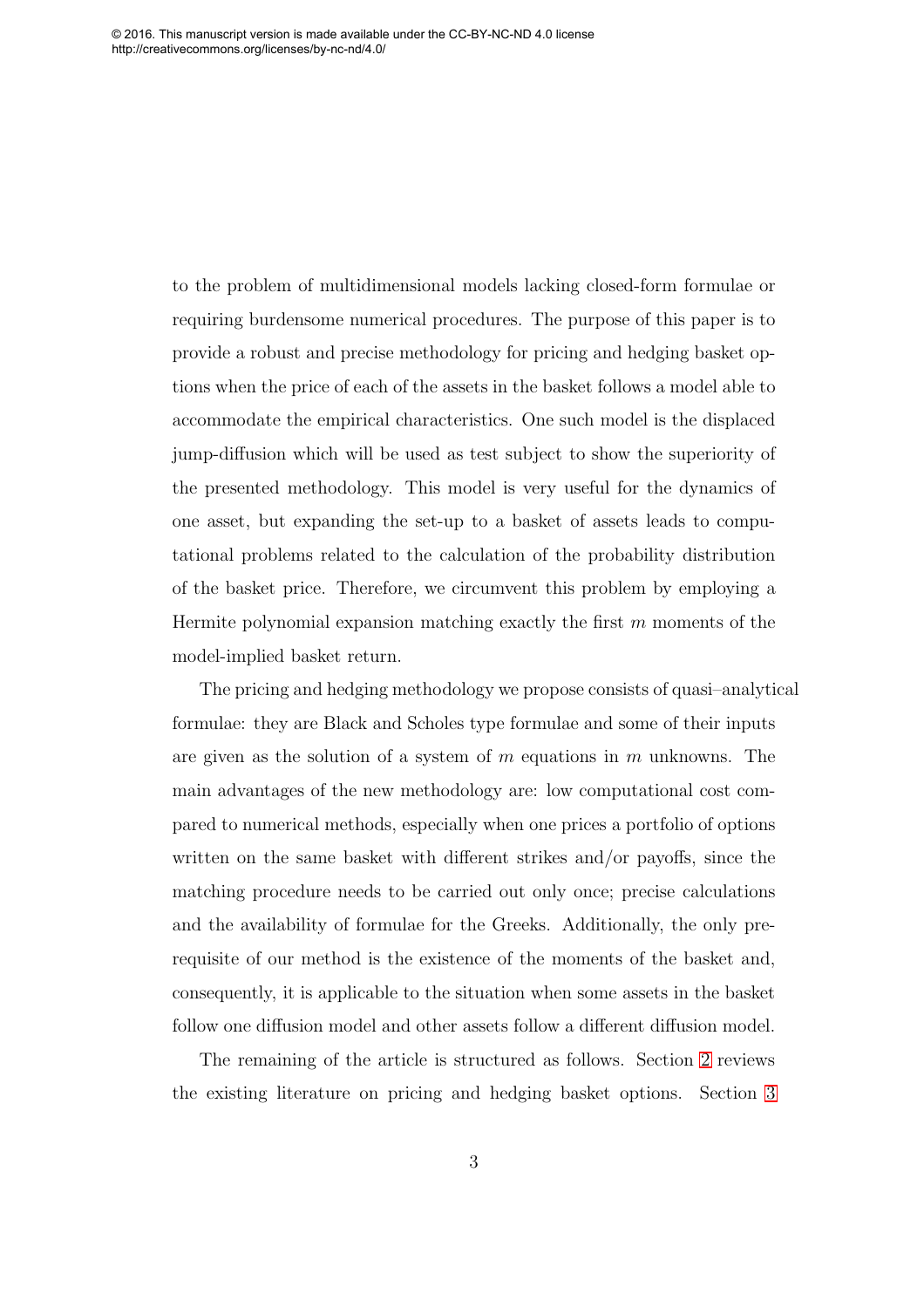<span id="page-3-0"></span>to the problem of multidimensional models lacking closed-form formulae or requiring burdensome numerical procedures. The purpose of this paper is to provide a robust and precise methodology for pricing and hedging basket options when the price of each of the assets in the basket follows a model able to accommodate the empirical characteristics. One such model is the displaced jump-diffusion which will be used as test subject to show the superiority of the presented methodology. This model is very useful for the dynamics of one asset, but expanding the set-up to a basket of assets leads to computational problems related to the calculation of the probability distribution of the basket price. Therefore, we circumvent this problem by employing a Hermite polynomial expansion matching exactly the first  $m$  moments of the model-implied basket return.

The pricing and hedging methodology we propose consists of quasi–analytical formulae: they are Black and Scholes type formulae and some of their inputs are given as the solution of a system of m equations in m unknowns. The main advantages of the new methodology are: low computational cost compared to numerical methods, especially when one prices a portfolio of options written on the same basket with different strikes and/or payoffs, since the matching procedure needs to be carried out only once; precise calculations and the availability of formulae for the Greeks. Additionally, the only prerequisite of our method is the existence of the moments of the basket and, consequently, it is applicable to the situation when some assets in the basket follow one diffusion model and other assets follow a different diffusion model.

The remaining of the article is structured as follows. Section [2](#page-3-0) reviews the existing literature on pricing and hedging basket options. Section [3](#page-6-0)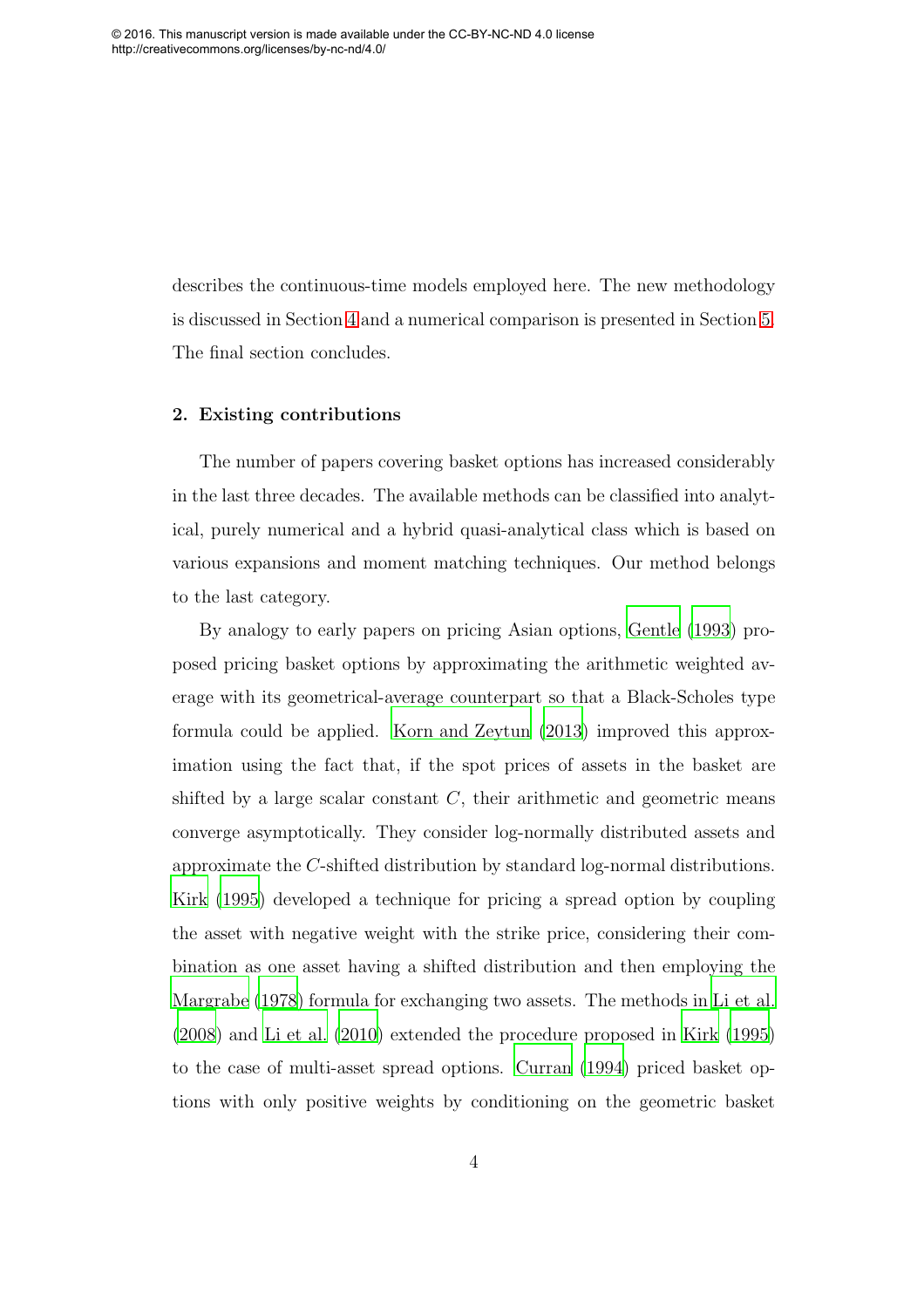describes the continuous-time models employed here. The new methodology is discussed in Section [4](#page-9-0) and a numerical comparison is presented in Section [5.](#page-18-0) The final section concludes.

#### 2. Existing contributions

The number of papers covering basket options has increased considerably in the last three decades. The available methods can be classified into analytical, purely numerical and a hybrid quasi-analytical class which is based on various expansions and moment matching techniques. Our method belongs to the last category.

By analogy to early papers on pricing Asian options, [Gentle \(1993](#page-31-0)) proposed pricing basket options by approximating the arithmetic weighted average with its geometrical-average counterpart so that a Black-Scholes type formula could be applied. [Korn and Zeytun \(2013\)](#page-31-1) improved this approximation using the fact that, if the spot prices of assets in the basket are shifted by a large scalar constant  $C$ , their arithmetic and geometric means converge asymptotically. They consider log-normally distributed assets and approximate the C-shifted distribution by standard log-normal distributions. [Kirk \(1995\)](#page-31-2) developed a technique for pricing a spread option by coupling the asset with negative weight with the strike price, considering their combination as one asset having a shifted distribution and then employing the [Margrabe \(1978](#page-32-0)) formula for exchanging two assets. The methods in [Li et al.](#page-32-1) [\(2008\)](#page-32-1) and [Li et al. \(2010\)](#page-32-2) extended the procedure proposed in [Kirk \(1995\)](#page-31-2) to the case of multi-asset spread options. [Curran \(1994](#page-30-0)) priced basket options with only positive weights by conditioning on the geometric basket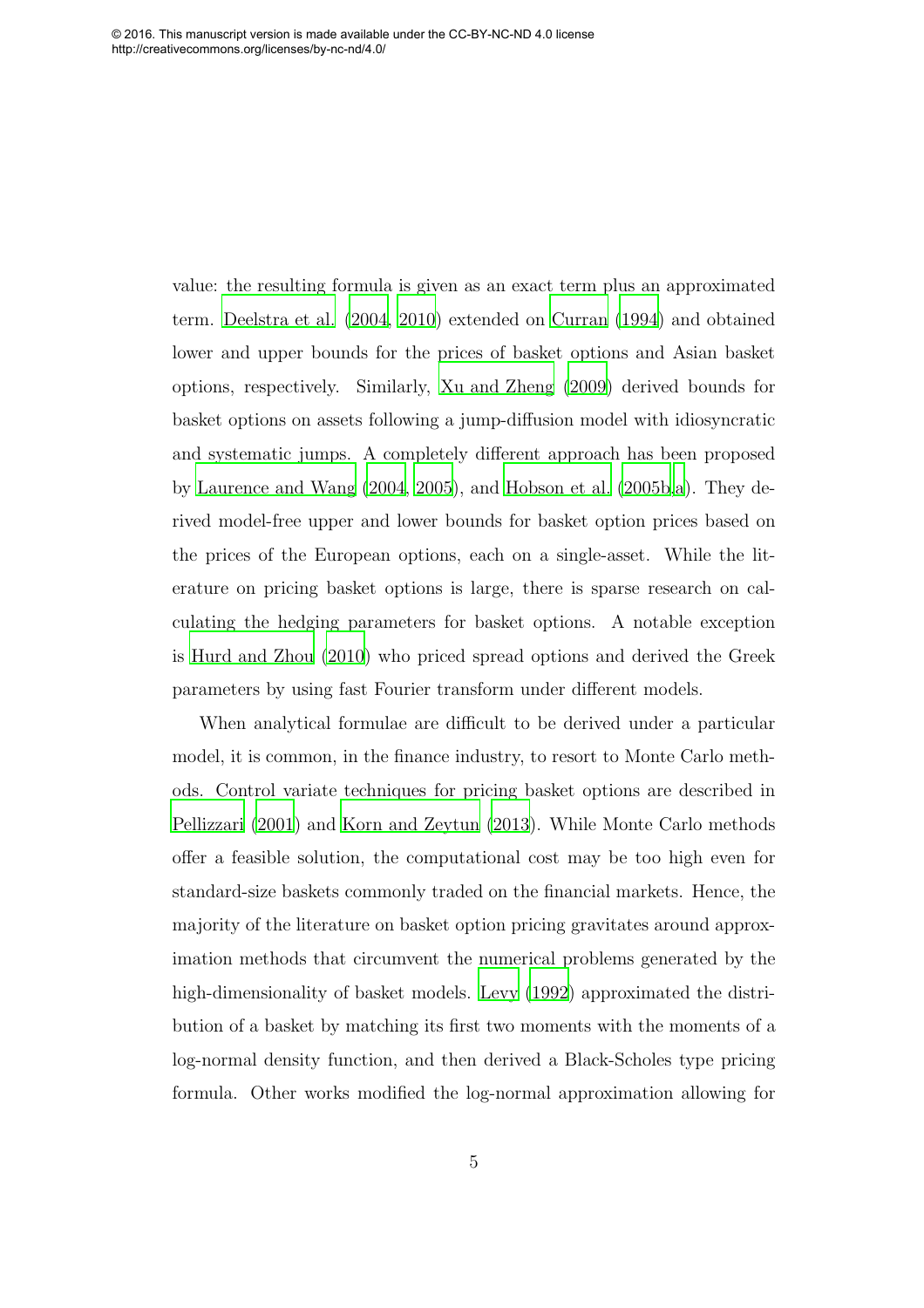value: the resulting formula is given as an exact term plus an approximated term. [Deelstra et al. \(2004,](#page-30-1) [2010](#page-30-2)) extended on [Curran \(1994\)](#page-30-0) and obtained lower and upper bounds for the prices of basket options and Asian basket options, respectively. Similarly, [Xu and Zheng \(2009](#page-33-0)) derived bounds for basket options on assets following a jump-diffusion model with idiosyncratic and systematic jumps. A completely different approach has been proposed by [Laurence and Wang \(2004,](#page-32-3) [2005](#page-32-4)), and [Hobson et al. \(2005b](#page-31-3)[,a\)](#page-31-4). They derived model-free upper and lower bounds for basket option prices based on the prices of the European options, each on a single-asset. While the literature on pricing basket options is large, there is sparse research on calculating the hedging parameters for basket options. A notable exception is [Hurd and Zhou \(2010\)](#page-31-5) who priced spread options and derived the Greek parameters by using fast Fourier transform under different models.

<span id="page-5-0"></span>When analytical formulae are difficult to be derived under a particular model, it is common, in the finance industry, to resort to Monte Carlo methods. Control variate techniques for pricing basket options are described in [Pellizzari \(2001](#page-33-1)) and [Korn and Zeytun \(2013\)](#page-31-1). While Monte Carlo methods offer a feasible solution, the computational cost may be too high even for standard-size baskets commonly traded on the financial markets. Hence, the majority of the literature on basket option pricing gravitates around approximation methods that circumvent the numerical problems generated by the high-dimensionality of basket models. [Levy \(1992\)](#page-32-5) approximated the distribution of a basket by matching its first two moments with the moments of a log-normal density function, and then derived a Black-Scholes type pricing formula. Other works modified the log-normal approximation allowing for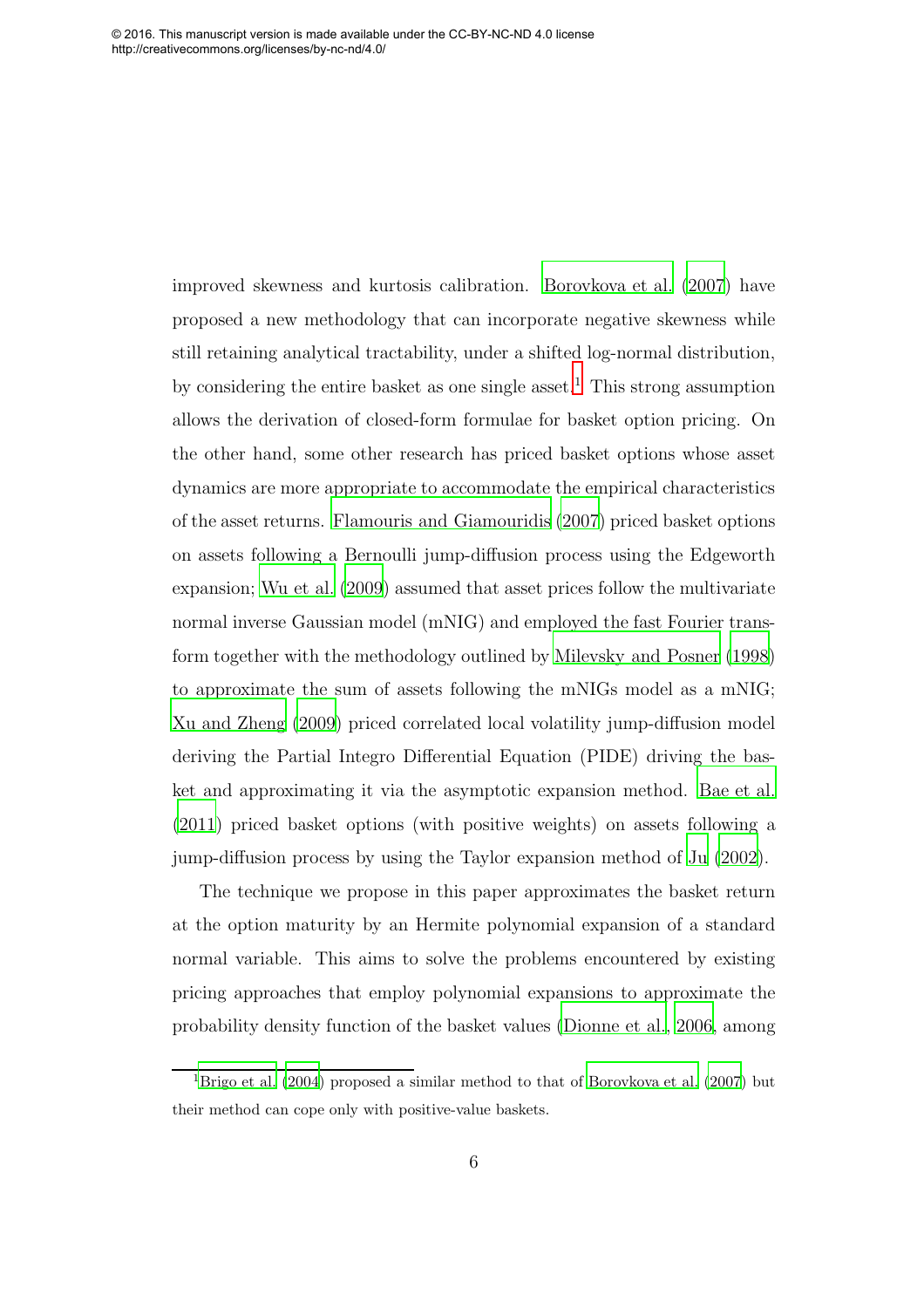<span id="page-6-0"></span>improved skewness and kurtosis calibration. [Borovkova et al. \(2007\)](#page-29-0) have proposed a new methodology that can incorporate negative skewness while still retaining analytical tractability, under a shifted log-normal distribution, by considering the entire basket as one single asset.<sup>[1](#page-5-0)</sup> This strong assumption allows the derivation of closed-form formulae for basket option pricing. On the other hand, some other research has priced basket options whose asset dynamics are more appropriate to accommodate the empirical characteristics of the asset returns. [Flamouris and Giamouridis \(2007\)](#page-30-3) priced basket options on assets following a Bernoulli jump-diffusion process using the Edgeworth expansion; [Wu et al. \(2009\)](#page-33-2) assumed that asset prices follow the multivariate normal inverse Gaussian model (mNIG) and employed the fast Fourier transform together with the methodology outlined by [Milevsky and Posner](#page-32-6) [\(1998\)](#page-32-6) to approximate the sum of assets following the mNIGs model as a mNIG; [Xu and Zheng \(2009\)](#page-33-0) priced correlated local volatility jump-diffusion model deriving the Partial Integro Differential Equation (PIDE) driving the basket and approximating it via the asymptotic expansion method. [Bae et](#page-29-1) al. [\(2011\)](#page-29-1) priced basket options (with positive weights) on assets following a jump-diffusion process by using the Taylor expansion method of [Ju \(2002\)](#page-31-6).

<span id="page-6-2"></span>The technique we propose in this paper approximates the basket return at the option maturity by an Hermite polynomial expansion of a standard normal variable. This aims to solve the problems encountered by existing pricing approaches that employ polynomial expansions to approximate the probability density function of the basket values [\(Dionne et al., 2006,](#page-30-4) among

<span id="page-6-1"></span><sup>&</sup>lt;sup>1</sup>[Brigo et al. \(2004](#page-30-5)) proposed a similar method to that of [Borovkova et al. \(2007](#page-29-0)) but their method can cope only with positive-value baskets.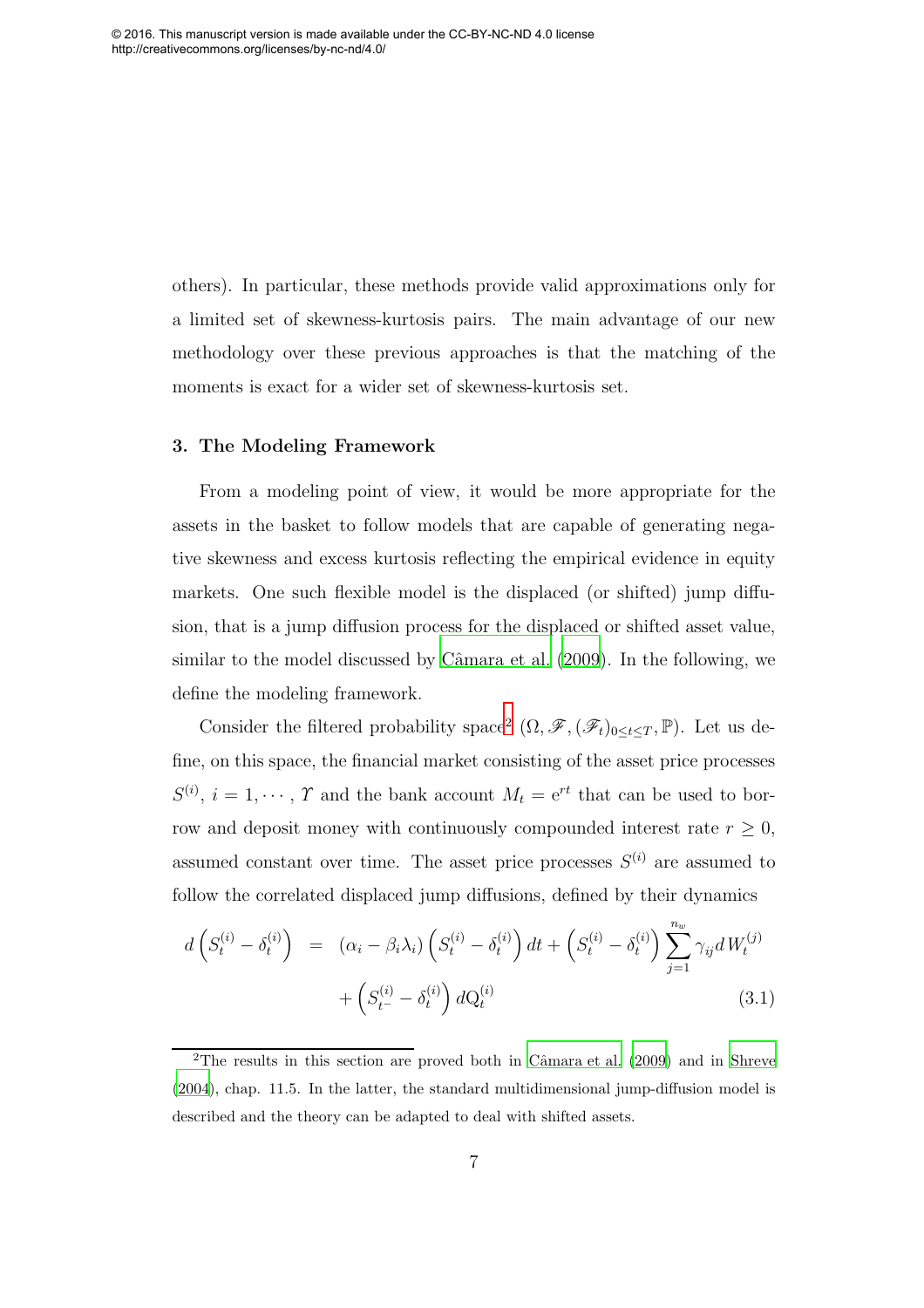others). In particular, these methods provide valid approximations only for a limited set of skewness-kurtosis pairs. The main advantage of our new methodology over these previous approaches is that the matching of the moments is exact for a wider set of skewness-kurtosis set.

#### 3. The Modeling Framework

From a modeling point of view, it would be more appropriate for the assets in the basket to follow models that are capable of generating negative skewness and excess kurtosis reflecting the empirical evidence in equity markets. One such flexible model is the displaced (or shifted) jump diffusion, that is a jump diffusion process for the displaced or shifted asset value, similar to the model discussed by Câmara et al. (2009). In the following, we define the modeling framework.

Consider the filtered probability space<sup>[2](#page-6-1)</sup>  $(\Omega, \mathscr{F}, (\mathscr{F}_t)_{0 \leq t \leq T}, \mathbb{P})$ . Let us define, on this space, the financial market consisting of the asset price processes  $S^{(i)}$ ,  $i = 1, \dots, \gamma$  and the bank account  $M_t = e^{rt}$  that can be used to borrow and deposit money with continuously compounded interest rate  $r \geq 0$ , assumed constant over time. The asset price processes  $S^{(i)}$  are assumed to follow the correlated displaced jump diffusions, defined by their dynamics

$$
d\left(S_t^{(i)} - \delta_t^{(i)}\right) = \left(\alpha_i - \beta_i\lambda_i\right) \left(S_t^{(i)} - \delta_t^{(i)}\right) dt + \left(S_t^{(i)} - \delta_t^{(i)}\right) \sum_{j=1}^{n_w} \gamma_{ij} dW_t^{(j)} + \left(S_{t^-}^{(i)} - \delta_t^{(i)}\right) dQ_t^{(i)}
$$
\n(3.1)

<span id="page-7-0"></span><sup>&</sup>lt;sup>2</sup>The results in this section are proved both in Câmara et al.  $(2009)$  and in [Shreve](#page-33-3) [\(2004\)](#page-33-3), chap. 11.5. In the latter, the standard multidimensional jump-diffusion model is described and the theory can be adapted to deal with shifted assets.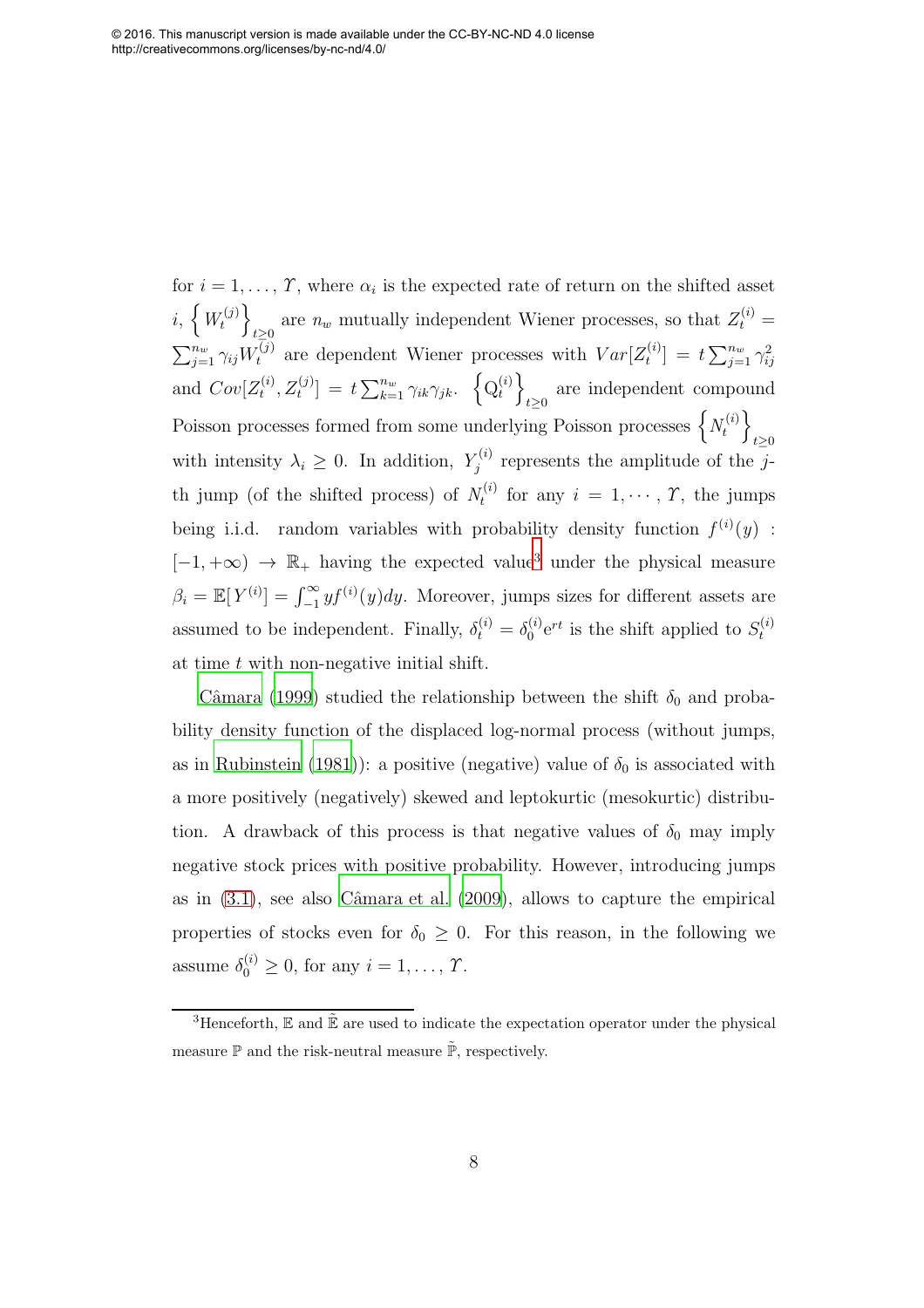<span id="page-8-0"></span>for  $i = 1, \ldots, \gamma$ , where  $\alpha_i$  is the expected rate of return on the shifted asset  $i, \{W_t^{(j)}\}$ t  $\overline{1}$ are  $n_w$  mutually independent Wiener processes, so that  $Z_t^{(i)} =$  $\sum_{j=1}^{n_w} \gamma_{ij} W_t^{(j)}$  are dependent Wiener processes with  $Var[Z_t^{(i)}]$  $[t] \ = \ t \sum_{j=1}^{n_w} \gamma_{ij}^2$ and  $Cov[Z_t^{(i)}]$  $[t_1^{(i)}, Z_t^{(j)}] = t \sum_{k=1}^{n_w} \gamma_{ik} \gamma_{jk}. \ \ \left\{ Q_t^{(i)} \right\}$ t  $\mathcal{L}$ are independent compound<br>  $t\geq 0$ Poisson processes formed from some underlying Poisson processes  $\left\{N_t^{(i)}\right\}$ t  $\overline{1}$  $t\geq 0$ with intensity  $\lambda_i \geq 0$ . In addition,  $Y_j^{(i)}$  $j_j^{(i)}$  represents the amplitude of the jth jump (of the shifted process) of  $N_t^{(i)}$  $t_i^{(i)}$  for any  $i = 1, \dots, T$ , the jumps being i.i.d. random variables with probability density function  $f^{(i)}(y)$ :  $[-1, +\infty) \rightarrow \mathbb{R}_+$  having the expected value<sup>[3](#page-7-0)</sup> under the physical measure  $\beta_i = \mathbb{E}[Y^{(i)}] = \int_{-1}^{\infty} y f^{(i)}(y) dy$ . Moreover, jumps sizes for different assets are assumed to be independent. Finally,  $\delta_t^{(i)} = \delta_0^{(i)}$  $S_t^{(i)}$ e<sup>rt</sup> is the shift applied to  $S_t^{(i)}$ t at time  $t$  with non-negative initial shift.

<span id="page-8-2"></span><span id="page-8-1"></span>Câmara (1999) studied the relationship between the shift  $\delta_0$  and probability density function of the displaced log-normal process (without jumps, as in [Rubinstein \(1981](#page-33-4))): a positive (negative) value of  $\delta_0$  is associated with a more positively (negatively) skewed and leptokurtic (mesokurtic) distribution. A drawback of this process is that negative values of  $\delta_0$  may imply negative stock prices with positive probability. However, introducing jumps as in  $(3.1)$ , see also Câmara et al.  $(2009)$ , allows to capture the empirical properties of stocks even for  $\delta_0 \geq 0$ . For this reason, in the following we assume  $\delta_0^{(i)} \geq 0$ , for any  $i = 1, ..., T$ .

<sup>&</sup>lt;sup>3</sup>Henceforth,  $\mathbb E$  and  $\tilde{\mathbb E}$  are used to indicate the expectation operator under the physical measure  $\mathbb P$  and the risk-neutral measure  $\tilde{\mathbb P}$ , respectively.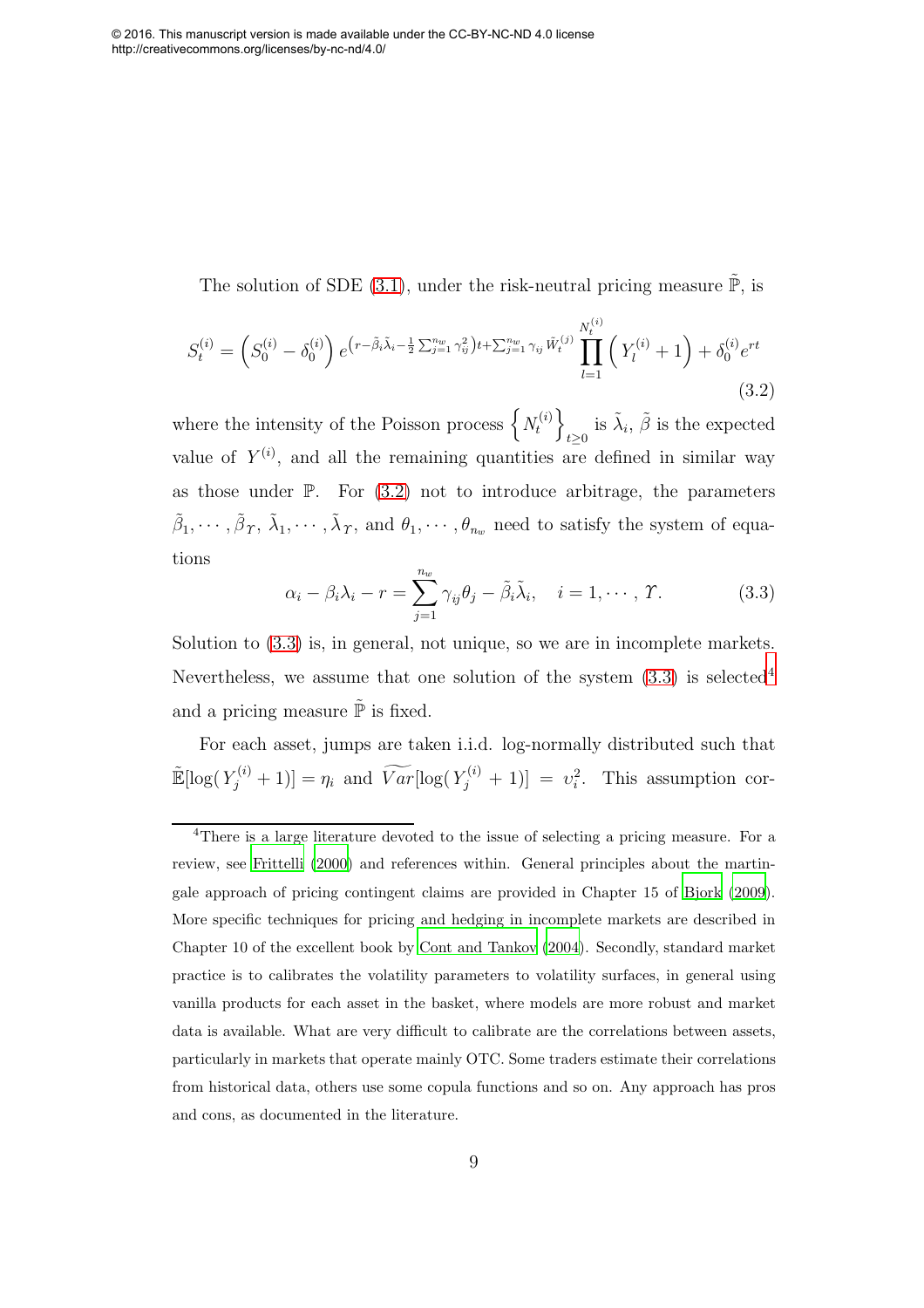The solution of SDE [\(3.1\)](#page-6-2), under the risk-neutral pricing measure  $\tilde{\mathbb{P}}$ , is

$$
S_t^{(i)} = \left(S_0^{(i)} - \delta_0^{(i)}\right) e^{\left(r - \tilde{\beta}_i \tilde{\lambda}_i - \frac{1}{2} \sum_{j=1}^{n_w} \gamma_{ij}^2\right)t + \sum_{j=1}^{n_w} \gamma_{ij} \tilde{W}_t^{(i)}} \prod_{l=1}^{N_t^{(i)}} \left(Y_l^{(i)} + 1\right) + \delta_0^{(i)} e^{rt}
$$
\n(3.2)

where the intensity of the Poisson process  $\left\{N_t^{(i)}\right\}$ t  $\mathcal{L}$ is  $\tilde{\lambda}_i$ ,  $\tilde{\beta}$  is the expected value of  $Y^{(i)}$ , and all the remaining quantities are defined in similar way as those under  $\mathbb{P}$ . For  $(3.2)$  not to introduce arbitrage, the parameters  $\tilde{\beta}_1, \cdots, \tilde{\beta}_T, \tilde{\lambda}_1, \cdots, \tilde{\lambda}_T$ , and  $\theta_1, \cdots, \theta_{n_w}$  need to satisfy the system of equations

<span id="page-9-2"></span>
$$
\alpha_i - \beta_i \lambda_i - r = \sum_{j=1}^{n_w} \gamma_{ij} \theta_j - \tilde{\beta}_i \tilde{\lambda}_i, \quad i = 1, \cdots, \varUpsilon.
$$
 (3.3)

Solution to [\(3.3\)](#page-8-1) is, in general, not unique, so we are in incomplete markets. Nevertheless, we assume that one solution of the system  $(3.3)$  is selected<sup>[4](#page-8-2)</sup> and a pricing measure  $\tilde{\mathbb{P}}$  is fixed.

<span id="page-9-0"></span>For each asset, jumps are taken i.i.d. log-normally distributed such that  $\mathbb{E}[\log(Y_j^{(i)}+1)] = \eta_i$  and  $\widetilde{Var}[\log(Y_j^{(i)}+1)] = v_i^2$ . This assumption cor-

<span id="page-9-1"></span><sup>4</sup>There is a large literature devoted to the issue of selecting a pricing measure. For a review, see [Frittelli \(2000\)](#page-31-7) and references within. General principles about the martingale approach of pricing contingent claims are provided in Chapter 15 of [Bjork \(2009\)](#page-29-2). More specific techniques for pricing and hedging in incomplete markets are described in Chapter 10 of the excellent book by [Cont and Tankov \(2004\)](#page-30-8). Secondly, standard market practice is to calibrates the volatility parameters to volatility surfaces, in general using vanilla products for each asset in the basket, where models are more robust and market data is available. What are very difficult to calibrate are the correlations between assets, particularly in markets that operate mainly OTC. Some traders estimate their correlations from historical data, others use some copula functions and so on. Any approach has pros and cons, as documented in the literature.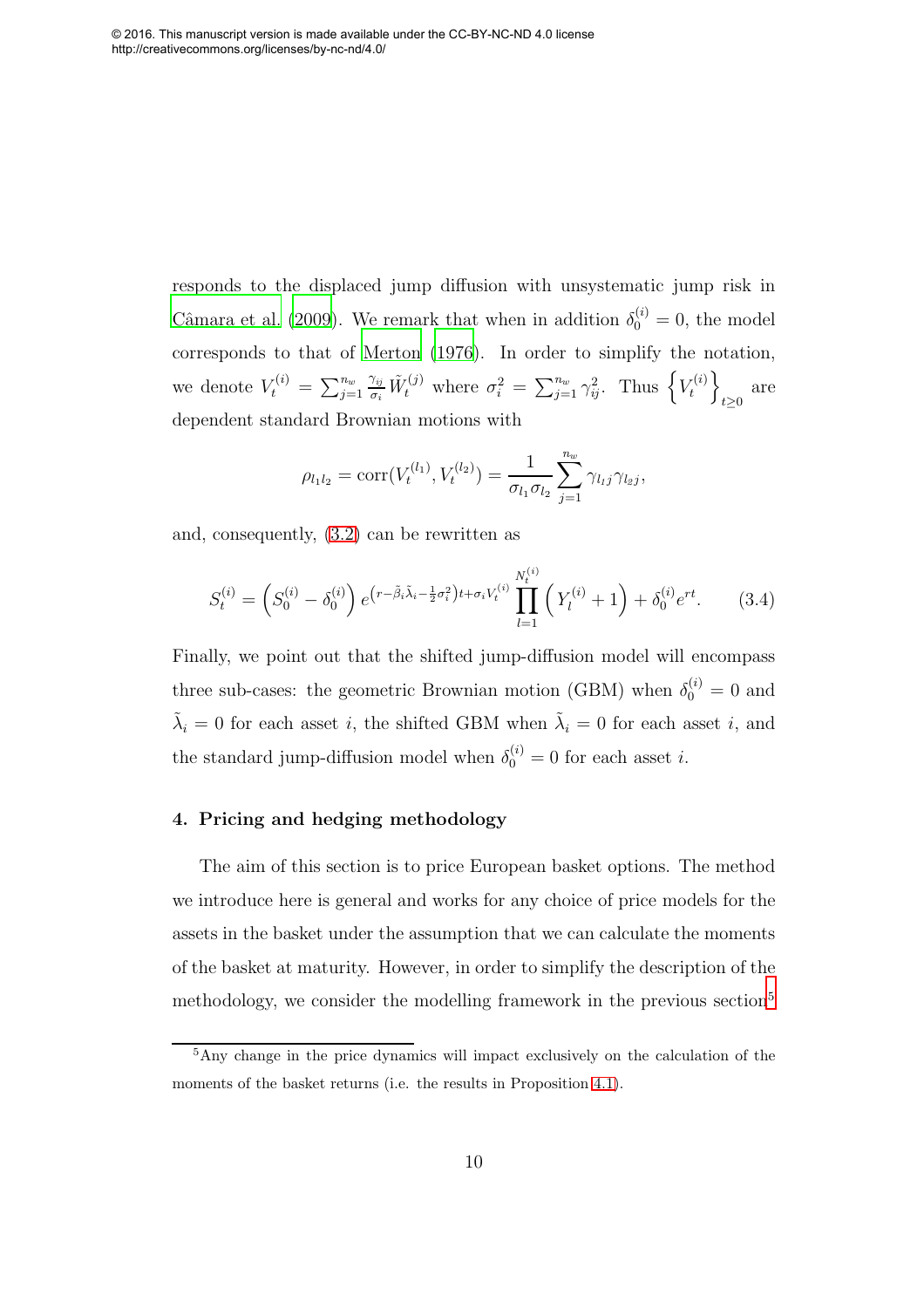responds to the displaced jump diffusion with unsystematic jump risk in Câmara et al. (2009). We remark that when in addition  $\delta_0^{(i)} = 0$ , the model corresponds to that of [Merton \(1976\)](#page-32-7). In order to simplify the notation, we denote  $V_t^{(i)} = \sum_{j=1}^{n_w}$  $\frac{\gamma_{ij}}{\sigma_i} \tilde{W}_t^{(j)}$  where  $\sigma_i^2 = \sum_{j=1}^{n_w} \gamma_{ij}^2$ . Thus  $\left\{ V_t^{(i)} \right\}$ t  $\mathcal{L}$  $t \geq 0$  are dependent standard Brownian motions with

$$
\rho_{l_1l_2} = \text{corr}(V_t^{(l_1)}, V_t^{(l_2)}) = \frac{1}{\sigma_{l_1}\sigma_{l_2}} \sum_{j=1}^{n_w} \gamma_{l_1j} \gamma_{l_2j},
$$

and, consequently, [\(3.2\)](#page-8-0) can be rewritten as

$$
S_t^{(i)} = \left(S_0^{(i)} - \delta_0^{(i)}\right) e^{\left(r - \tilde{\beta}_i \tilde{\lambda}_i - \frac{1}{2} \sigma_i^2\right)t + \sigma_i V_t^{(i)}} \prod_{l=1}^{N_t^{(i)}} \left(Y_l^{(i)} + 1\right) + \delta_0^{(i)} e^{rt}.\tag{3.4}
$$

Finally, we point out that the shifted jump-diffusion model will encompass three sub-cases: the geometric Brownian motion (GBM) when  $\delta_0^{(i)} = 0$  and  $\tilde{\lambda}_i = 0$  for each asset *i*, the shifted GBM when  $\tilde{\lambda}_i = 0$  for each asset *i*, and the standard jump-diffusion model when  $\delta_0^{(i)} = 0$  for each asset *i*.

#### 4. Pricing and hedging methodology

<span id="page-10-1"></span>The aim of this section is to price European basket options. The method we introduce here is general and works for any choice of price models for the assets in the basket under the assumption that we can calculate the moments of the basket at maturity. However, in order to simplify the description of the methodology, we consider the modelling framework in the previous section<sup>[5](#page-9-1)</sup>

<span id="page-10-0"></span><sup>5</sup>Any change in the price dynamics will impact exclusively on the calculation of the moments of the basket returns (i.e. the results in Proposition [4.1\)](#page-14-0).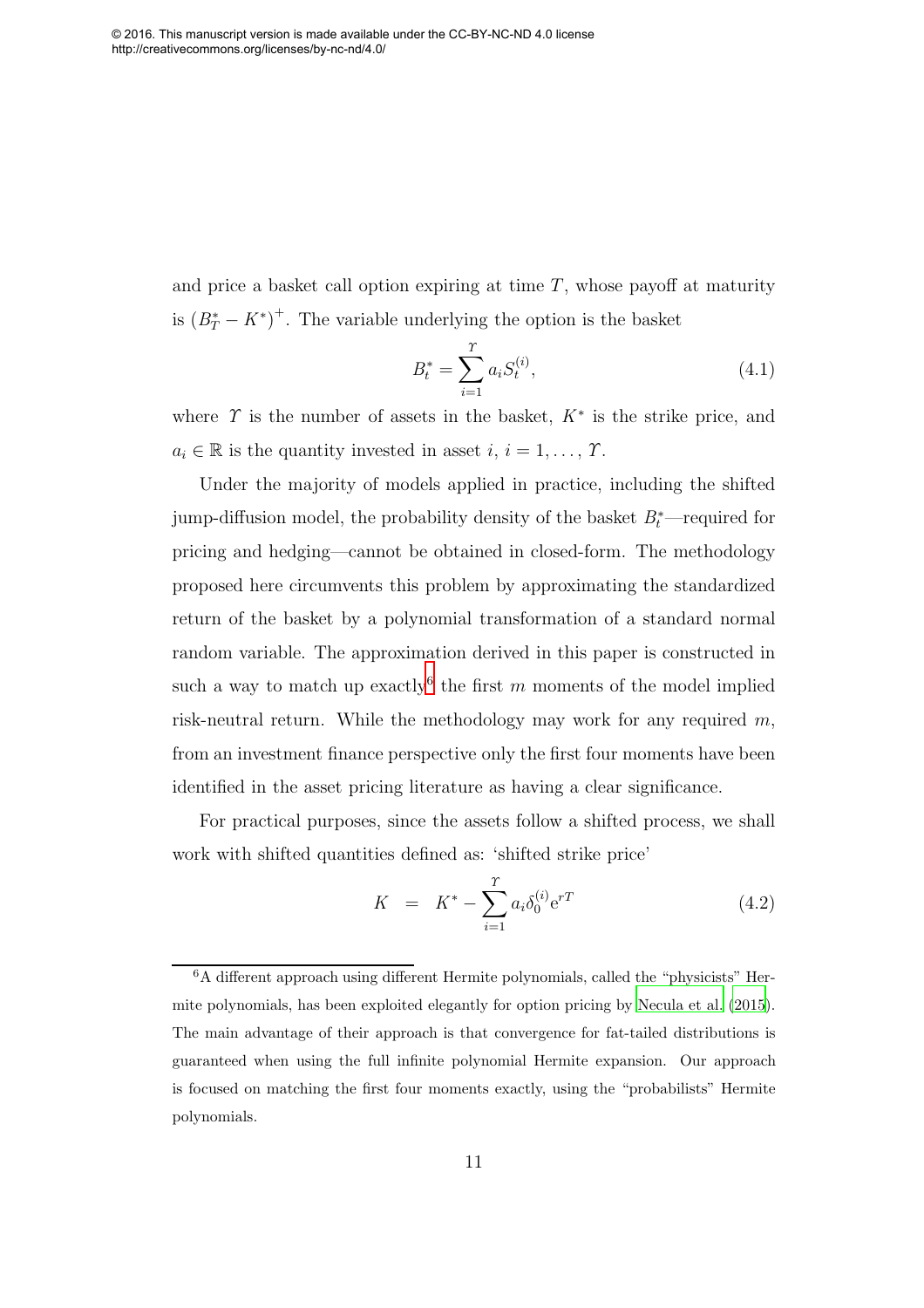and price a basket call option expiring at time  $T$ , whose payoff at maturity is  $(B_T^* - K^*)^+$ . The variable underlying the option is the basket

<span id="page-11-3"></span><span id="page-11-2"></span><span id="page-11-1"></span>
$$
B_t^* = \sum_{i=1}^T a_i S_t^{(i)},
$$
\n(4.1)

where  $\Upsilon$  is the number of assets in the basket,  $K^*$  is the strike price, and  $a_i \in \mathbb{R}$  is the quantity invested in asset  $i, i = 1, \ldots, \gamma$ .

Under the majority of models applied in practice, including the shifted jump-diffusion model, the probability density of the basket  $B_t^*$ —required for pricing and hedging—cannot be obtained in closed-form. The methodology proposed here circumvents this problem by approximating the standardized return of the basket by a polynomial transformation of a standard normal random variable. The approximation derived in this paper is constructed in such a way to match up exactly<sup>[6](#page-10-0)</sup> the first m moments of the model implied risk-neutral return. While the methodology may work for any required m, from an investment finance perspective only the first four moments have been identified in the asset pricing literature as having a clear significance.

For practical purposes, since the assets follow a shifted process, we shall work with shifted quantities defined as: 'shifted strike price'

<span id="page-11-4"></span>
$$
K = K^* - \sum_{i=1}^{T} a_i \delta_0^{(i)} e^{rT}
$$
 (4.2)

<span id="page-11-0"></span><sup>6</sup>A different approach using different Hermite polynomials, called the "physicists" Hermite polynomials, has been exploited elegantly for option pricing by [Necula et al. \(2015\)](#page-33-5). The main advantage of their approach is that convergence for fat-tailed distributions is guaranteed when using the full infinite polynomial Hermite expansion. Our approach is focused on matching the first four moments exactly, using the "probabilists" Hermite polynomials.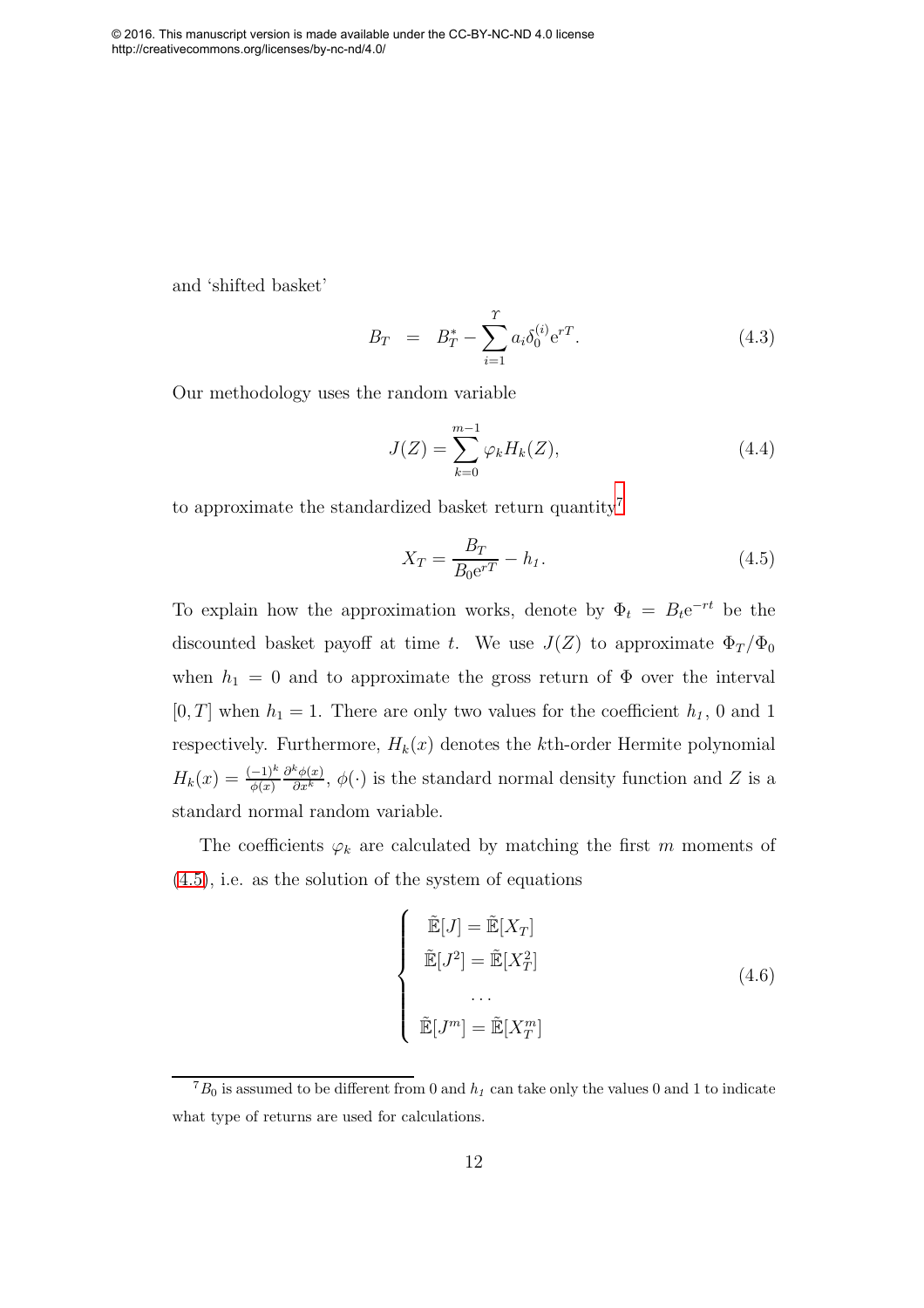and 'shifted basket'

$$
B_T = B_T^* - \sum_{i=1}^T a_i \delta_0^{(i)} e^{rT}.
$$
\n(4.3)

Our methodology uses the random variable

$$
J(Z) = \sum_{k=0}^{m-1} \varphi_k H_k(Z),
$$
\n(4.4)

to approximate the standardized basket return quantity<sup>[7](#page-11-0)</sup>

$$
X_T = \frac{B_T}{B_0 e^{rT}} - h_1.
$$
\n(4.5)

To explain how the approximation works, denote by  $\Phi_t = B_t e^{-rt}$  be the discounted basket payoff at time t. We use  $J(Z)$  to approximate  $\Phi_T/\Phi_0$ when  $h_1 = 0$  and to approximate the gross return of  $\Phi$  over the interval  $[0, T]$  when  $h_1 = 1$ . There are only two values for the coefficient  $h_1$ , 0 and 1 respectively. Furthermore,  $H_k(x)$  denotes the kth-order Hermite polynomial  $H_k(x) = \frac{(-1)^k}{\phi(x)}$  $\frac{\partial^k \phi(x)}{\partial x^k}$ ,  $\phi(\cdot)$  is the standard normal density function and Z is a standard normal random variable.

The coefficients  $\varphi_k$  are calculated by matching the first m moments of [\(4.5\)](#page-11-1), i.e. as the solution of the system of equations

$$
\begin{cases}\n\tilde{\mathbb{E}}[J] = \tilde{\mathbb{E}}[X_T] \\
\tilde{\mathbb{E}}[J^2] = \tilde{\mathbb{E}}[X_T^2] \\
\dots \\
\tilde{\mathbb{E}}[J^m] = \tilde{\mathbb{E}}[X_T^m]\n\end{cases}
$$
\n(4.6)

 ${}^{7}B_{0}$  is assumed to be different from 0 and  $h_{1}$  can take only the values 0 and 1 to indicate what type of returns are used for calculations.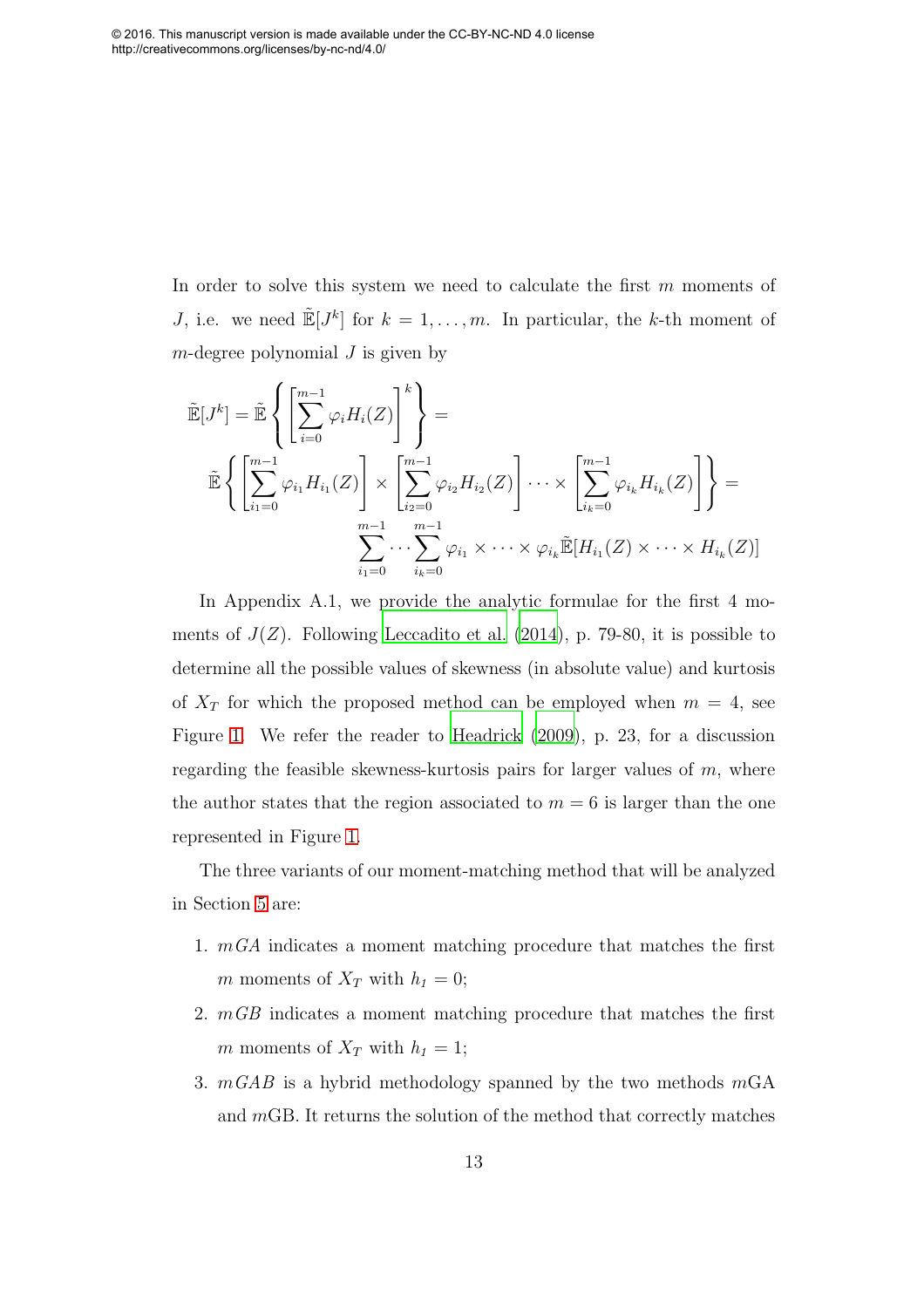<span id="page-13-0"></span>In order to solve this system we need to calculate the first m moments of J, i.e. we need  $\mathbb{E}[J^k]$  for  $k = 1, \ldots, m$ . In particular, the k-th moment of  $m$ -degree polynomial  $J$  is given by

$$
\tilde{\mathbb{E}}[J^k] = \tilde{\mathbb{E}}\left\{ \left[\sum_{i=0}^{m-1} \varphi_i H_i(Z)\right]_i^k \right\} =
$$
\n
$$
\tilde{\mathbb{E}}\left\{ \left[\sum_{i=0}^{m-1} \varphi_{i_1} H_{i_1}(Z)\right] \times \left[\sum_{i_2=0}^{m-1} \varphi_{i_2} H_{i_2}(Z)\right] \cdots \times \left[\sum_{i_k=0}^{m-1} \varphi_{i_k} H_{i_k}(Z)\right]_i^k \right\} =
$$
\n
$$
\sum_{i_1=0}^{m-1} \cdots \sum_{i_k=0}^{m-1} \varphi_{i_1} \times \cdots \times \varphi_{i_k} \tilde{\mathbb{E}}[H_{i_1}(Z) \times \cdots \times H_{i_k}(Z)]
$$

In Appendix A.1, we provide the analytic formulae for the first 4 moments of  $J(Z)$ . Following [Leccadito et al. \(2014\)](#page-32-8), p. 79-80, it is possible to determine all the possible values of skewness (in absolute value) and kurtosis of  $X_T$  for which the proposed method can be employed when  $m = 4$ , see Figure [1.](#page-13-0) We refer the reader to [Headrick \(2009\)](#page-31-8), p. 23, for a discussion regarding the feasible skewness-kurtosis pairs for larger values of  $m$ , where the author states that the region associated to  $m = 6$  is larger than the one represented in Figure [1.](#page-13-0)

The three variants of our moment-matching method that will be analyzed in Section [5](#page-18-0) are:

- 1.  $mGA$  indicates a moment matching procedure that matches the first m moments of  $X_T$  with  $h_1 = 0$ ;
- 2. mGB indicates a moment matching procedure that matches the first m moments of  $X_T$  with  $h_1 = 1$ ;
- 3.  $mGAB$  is a hybrid methodology spanned by the two methods  $mGA$ and mGB. It returns the solution of the method that correctly matches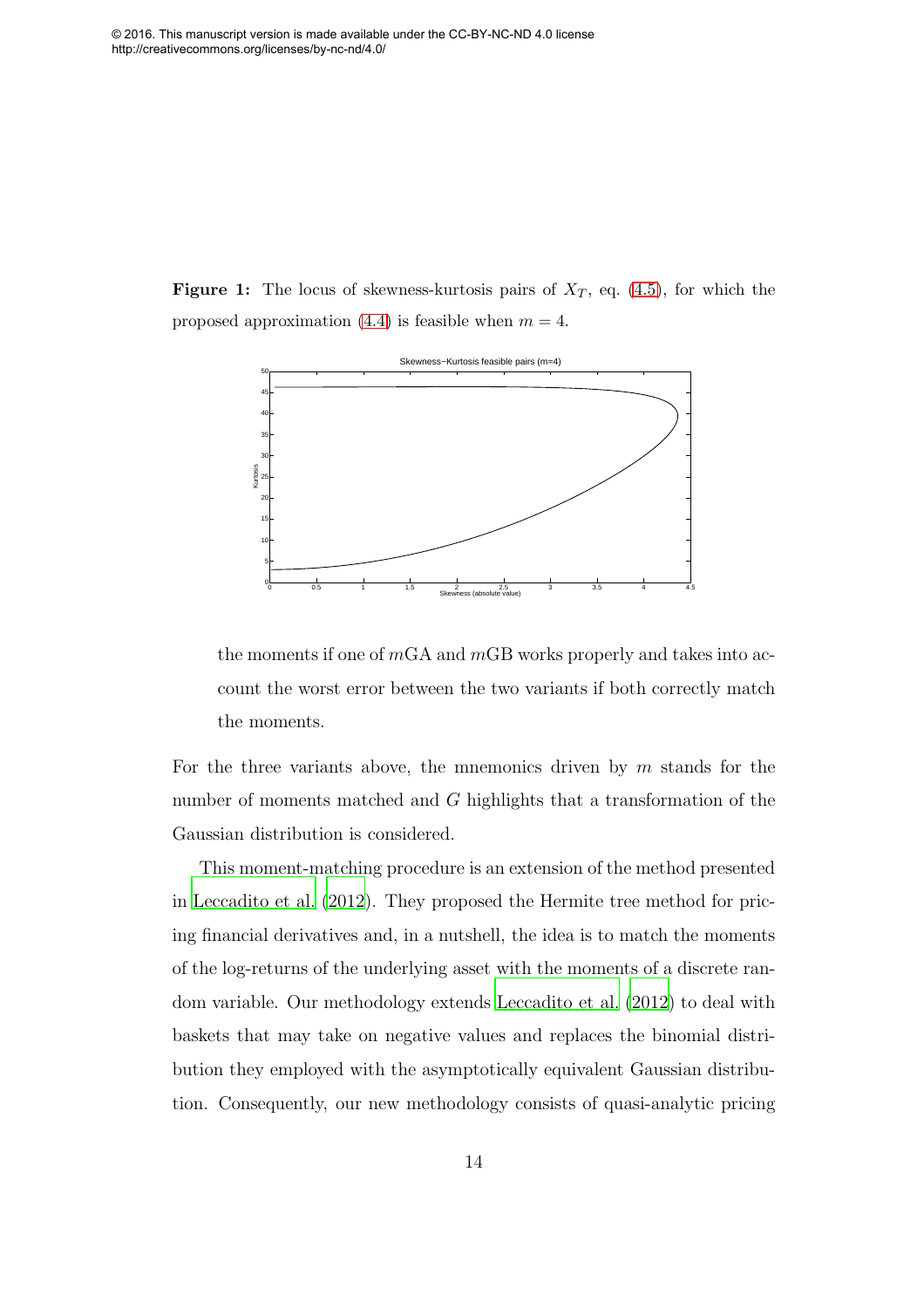**Figure 1:** The locus of skewness-kurtosis pairs of  $X_T$ , eq. [\(4.5\)](#page-11-1), for which the proposed approximation [\(4.4\)](#page-11-2) is feasible when  $m = 4$ .

<span id="page-14-1"></span><span id="page-14-0"></span>

<span id="page-14-2"></span>the moments if one of  $mGA$  and  $mGB$  works properly and takes into account the worst error between the two variants if both correctly match the moments.

<span id="page-14-3"></span>For the three variants above, the mnemonics driven by  $m$  stands for the number of moments matched and G highlights that a transformation of the Gaussian distribution is considered.

This moment-matching procedure is an extension of the method presented in [Leccadito et al. \(2012\)](#page-32-9). They proposed the Hermite tree method for pricing financial derivatives and, in a nutshell, the idea is to match the moments of the log-returns of the underlying asset with the moments of a discrete random variable. Our methodology extends [Leccadito et al. \(2012](#page-32-9)) to deal with baskets that may take on negative values and replaces the binomial distribution they employed with the asymptotically equivalent Gaussian distribution. Consequently, our new methodology consists of quasi-analytic pricing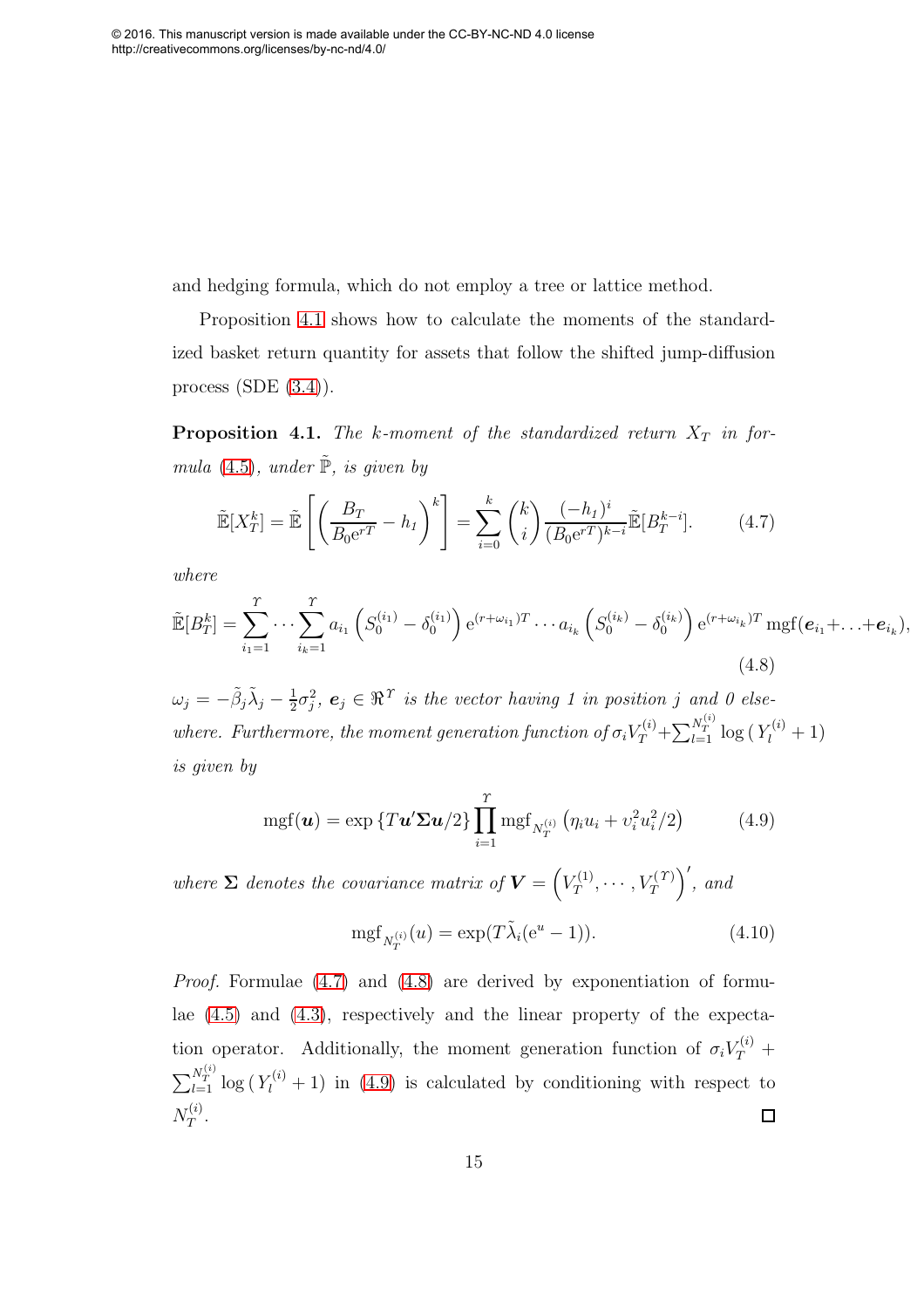and hedging formula, which do not employ a tree or lattice method.

Proposition [4.1](#page-14-0) shows how to calculate the moments of the standardized basket return quantity for assets that follow the shifted jump-diffusion process  $(SDE (3.4))$  $(SDE (3.4))$  $(SDE (3.4))$ .

**Proposition 4.1.** The k-moment of the standardized return  $X_T$  in for-mula [\(4.5\)](#page-11-1), under  $\tilde{\mathbb{P}}$ , is given by

$$
\tilde{\mathbb{E}}[X_T^k] = \tilde{\mathbb{E}}\left[\left(\frac{B_T}{B_0 \mathbf{e}^{rT}} - h_I\right)^k\right] = \sum_{i=0}^k {k \choose i} \frac{(-h_I)^i}{(B_0 \mathbf{e}^{rT})^{k-i}} \tilde{\mathbb{E}}[B_T^{k-i}].\tag{4.7}
$$

where

<span id="page-15-0"></span>
$$
\tilde{\mathbb{E}}[B_T^k] = \sum_{i_1=1}^T \cdots \sum_{i_k=1}^T a_{i_1} \left( S_0^{(i_1)} - \delta_0^{(i_1)} \right) e^{(r+\omega_{i_1})T} \cdots a_{i_k} \left( S_0^{(i_k)} - \delta_0^{(i_k)} \right) e^{(r+\omega_{i_k})T} \operatorname{mgf}(\boldsymbol{e}_{i_1} + \ldots + \boldsymbol{e}_{i_k}),
$$
\n(4.8)

 $\omega_j = -\tilde{\beta}_j \tilde{\lambda}_j - \frac{1}{2}$  $\frac{1}{2}\sigma_j^2$ ,  $e_j \in \Re^{\Upsilon}$  is the vector having 1 in position j and 0 elsewhere. Furthermore, the moment generation function of  $\sigma_i V_T^{(i)} + \sum_{l=1}^{N_T^{(i)}} \log(Y_l^{(i)} + 1)$ is given by

$$
\mathrm{mgf}(\boldsymbol{u}) = \exp\left\{T\boldsymbol{u}'\boldsymbol{\Sigma}\boldsymbol{u}/2\right\} \prod_{i=1}^{T} \mathrm{mgf}_{N_T^{(i)}}\left(\eta_i u_i + v_i^2 u_i^2/2\right) \tag{4.9}
$$

<span id="page-15-2"></span>where  $\Sigma$  denotes the covariance matrix of  $\boldsymbol{V} = \left(V_T^{(1)}\right)^T$  $V_T^{(1)},\cdots,V_T^{(T)}$  $\Big)$ <sup>'</sup>, and

<span id="page-15-1"></span>
$$
mgf_{N_T^{(i)}}(u) = \exp(T\tilde{\lambda}_i(e^u - 1)).
$$
\n(4.10)

<span id="page-15-3"></span>Proof. Formulae [\(4.7\)](#page-14-1) and [\(4.8\)](#page-14-2) are derived by exponentiation of formulae [\(4.5\)](#page-11-1) and [\(4.3\)](#page-11-3), respectively and the linear property of the expectation operator. Additionally, the moment generation function of  $\sigma_i V_T^{(i)}$  +  $\sum_{l=1}^{N_T^{(i)}} \log(Y_l^{(i)}+1)$  in [\(4.9\)](#page-14-3) is calculated by conditioning with respect to  $N_T^{(i)}$  $\Box$  $T^{(i)}$  .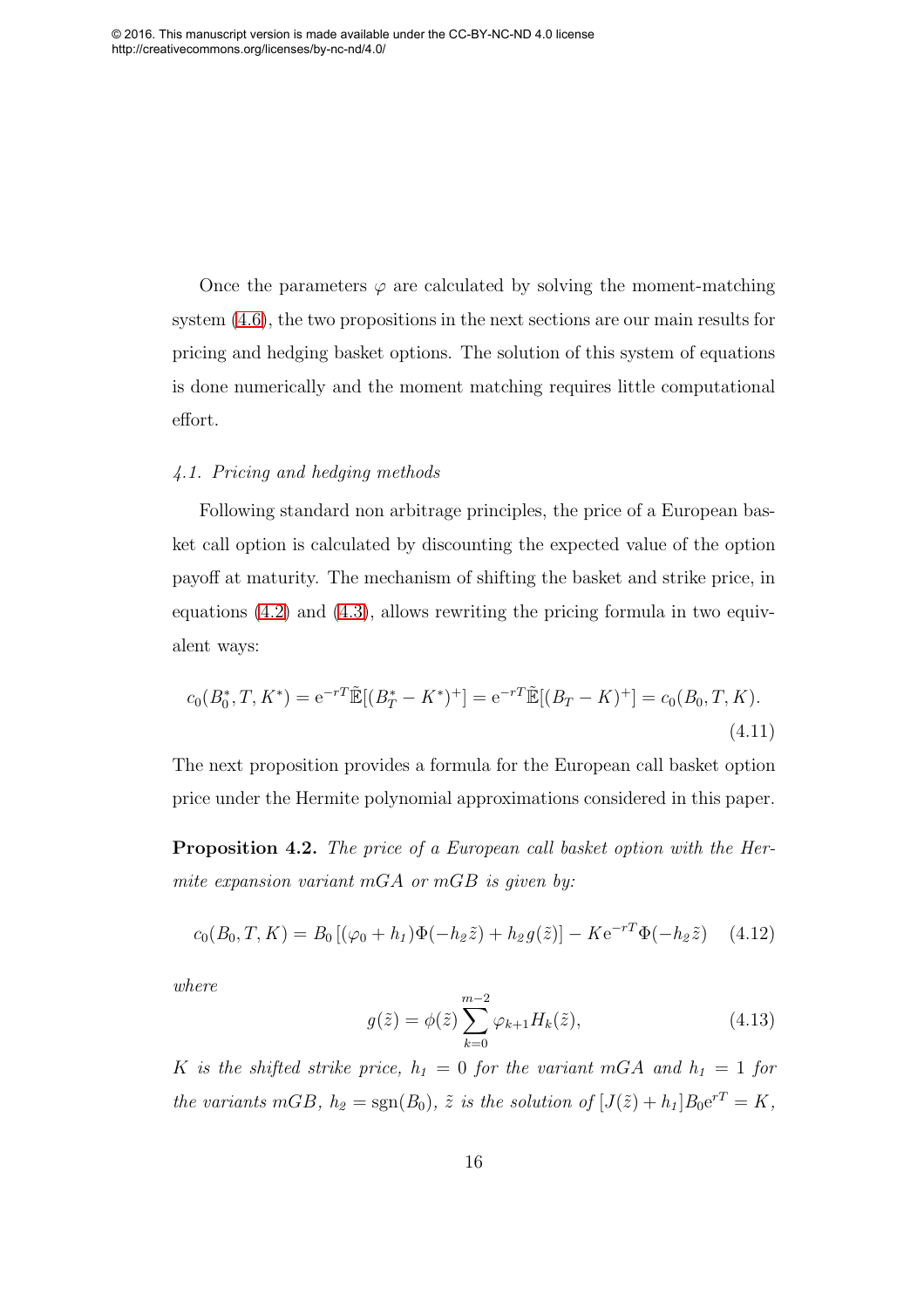Once the parameters  $\varphi$  are calculated by solving the moment-matching system [\(4.6\)](#page-11-4), the two propositions in the next sections are our main results for pricing and hedging basket options. The solution of this system of equations is done numerically and the moment matching requires little computational effort.

#### <span id="page-16-1"></span>4.1. Pricing and hedging methods

<span id="page-16-2"></span>Following standard non arbitrage principles, the price of a European basket call option is calculated by discounting the expected value of the option payoff at maturity. The mechanism of shifting the basket and strike price, in equations [\(4.2\)](#page-10-1) and [\(4.3\)](#page-11-3), allows rewriting the pricing formula in two equivalent ways:

$$
c_0(B_0^*, T, K^*) = e^{-rT} \tilde{\mathbb{E}}[(B_T^* - K^*)^+] = e^{-rT} \tilde{\mathbb{E}}[(B_T - K)^+] = c_0(B_0, T, K).
$$
\n(4.11)

The next proposition provides a formula for the European call basket option price under the Hermite polynomial approximations considered in this paper.

Proposition 4.2. The price of a European call basket option with the Hermite expansion variant mGA or mGB is given by:

<span id="page-16-3"></span>
$$
c_0(B_0, T, K) = B_0 [(\varphi_0 + h_1) \Phi(-h_2 \tilde{z}) + h_2 g(\tilde{z})] - K e^{-rT} \Phi(-h_2 \tilde{z}) \quad (4.12)
$$

<span id="page-16-0"></span>where

$$
g(\tilde{z}) = \phi(\tilde{z}) \sum_{k=0}^{m-2} \varphi_{k+1} H_k(\tilde{z}),
$$
\n(4.13)

K is the shifted strike price,  $h_1 = 0$  for the variant mGA and  $h_1 = 1$  for the variants mGB,  $h_2 = sgn(B_0)$ ,  $\tilde{z}$  is the solution of  $[J(\tilde{z}) + h_1]B_0e^{rT} = K$ ,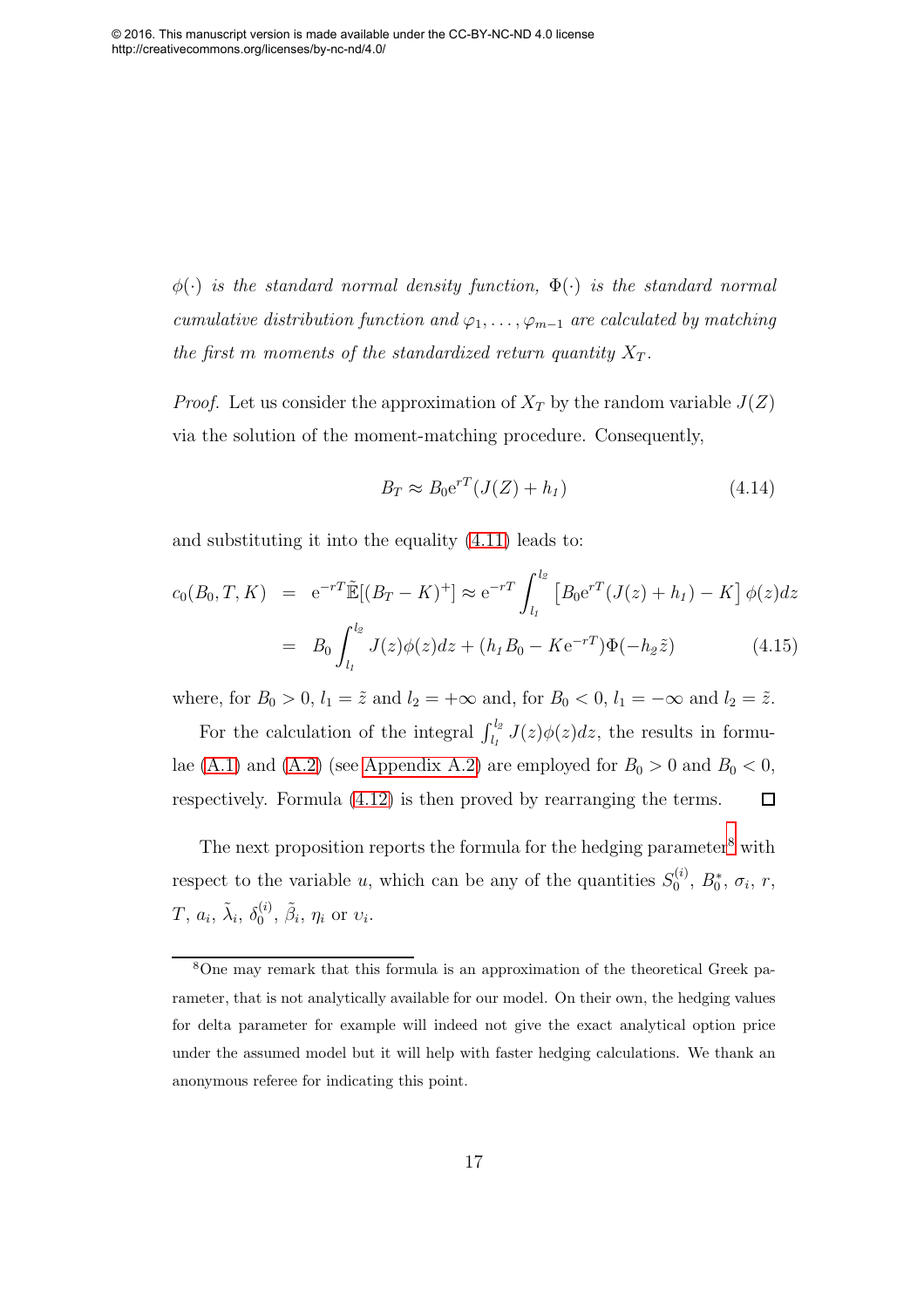$\phi(\cdot)$  is the standard normal density function,  $\Phi(\cdot)$  is the standard normal cumulative distribution function and  $\varphi_1, \ldots, \varphi_{m-1}$  are calculated by matching the first  $m$  moments of the standardized return quantity  $X_T$ .

<span id="page-17-0"></span>*Proof.* Let us consider the approximation of  $X_T$  by the random variable  $J(Z)$ via the solution of the moment-matching procedure. Consequently,

$$
B_T \approx B_0 e^{rT} (J(Z) + h_1)
$$
\n(4.14)

and substituting it into the equality [\(4.11\)](#page-15-0) leads to:

$$
c_0(B_0, T, K) = e^{-rT} \tilde{\mathbb{E}}[(B_T - K)^+] \approx e^{-rT} \int_{l_1}^{l_2} \left[ B_0 e^{rT} (J(z) + h_1) - K \right] \phi(z) dz
$$
  

$$
= B_0 \int_{l_1}^{l_2} J(z) \phi(z) dz + (h_1 B_0 - K e^{-rT}) \Phi(-h_2 \tilde{z}) \qquad (4.15)
$$

where, for  $B_0 > 0$ ,  $l_1 = \tilde{z}$  and  $l_2 = +\infty$  and, for  $B_0 < 0$ ,  $l_1 = -\infty$  and  $l_2 = \tilde{z}$ .

For the calculation of the integral  $\int_{l_1}^{l_2} J(z)\phi(z)dz$ , the results in formu-lae [\(A.1\)](#page-34-0) and [\(A.2\)](#page-35-0) (see [Appendix A.2\)](#page-34-1) are employed for  $B_0 > 0$  and  $B_0 < 0$ ,  $\Box$ respectively. Formula [\(4.12\)](#page-15-1) is then proved by rearranging the terms.

The next proposition reports the formula for the hedging parameter<sup>[8](#page-16-0)</sup> with respect to the variable u, which can be any of the quantities  $S_0^{(i)}$  $b_0^{(i)}$ ,  $B_0^*$ ,  $\sigma_i$ ,  $r$ ,  $T,\,a_i,\,\tilde\lambda_i,\,\delta_0^{(i)}$  $_0^{(i)}$ ,  $\tilde{\beta}_i$ ,  $\eta_i$  or  $v_i$ .

<sup>8</sup>One may remark that this formula is an approximation of the theoretical Greek parameter, that is not analytically available for our model. On their own, the hedging values for delta parameter for example will indeed not give the exact analytical option price under the assumed model but it will help with faster hedging calculations. We thank an anonymous referee for indicating this point.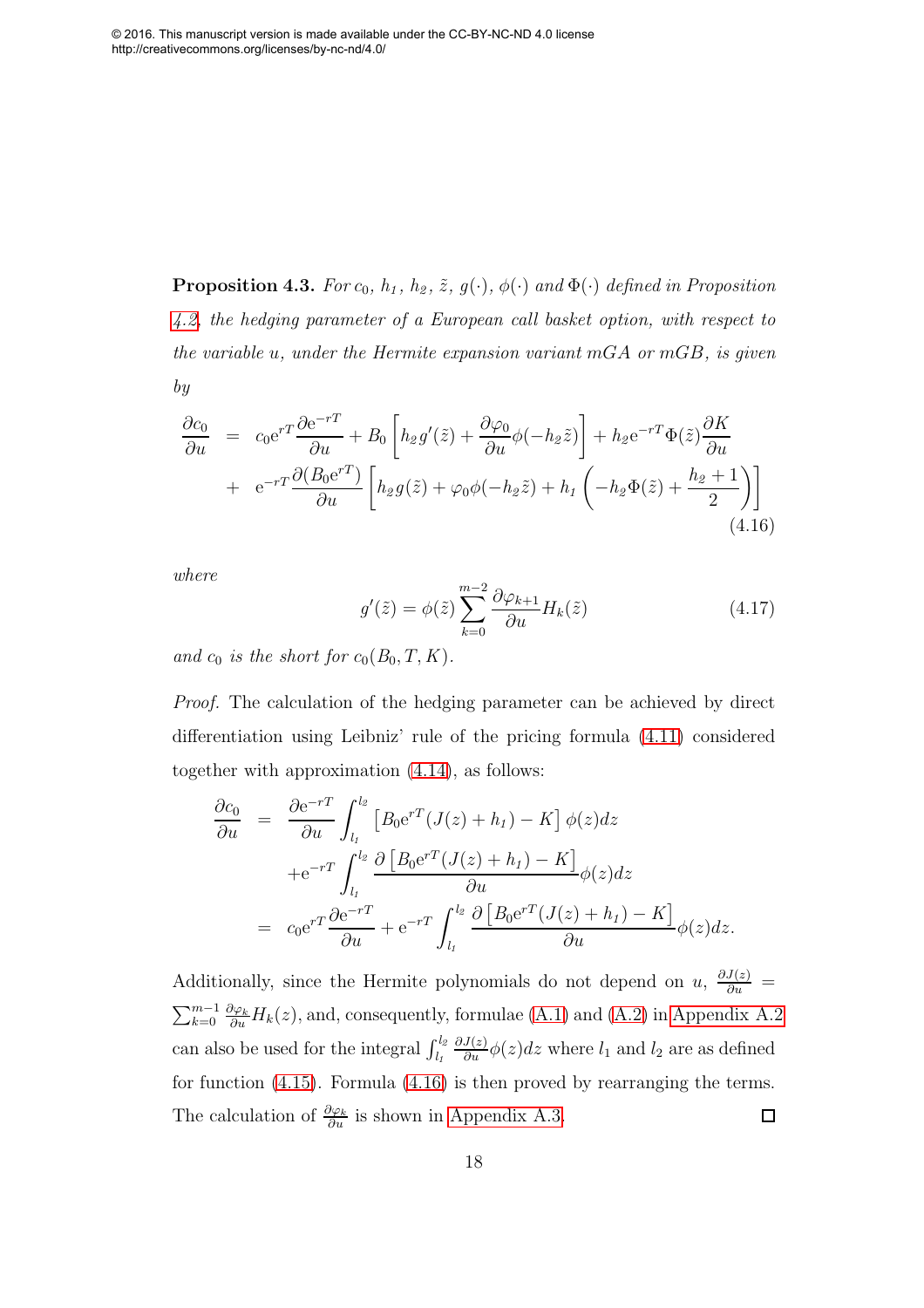**Proposition 4.3.** For  $c_0$ ,  $h_1$ ,  $h_2$ ,  $\tilde{z}$ ,  $g(\cdot)$ ,  $\phi(\cdot)$  and  $\Phi(\cdot)$  defined in Proposition [4.2,](#page-15-2) the hedging parameter of a European call basket option, with respect to the variable  $u$ , under the Hermite expansion variant mGA or mGB, is given by

$$
\frac{\partial c_0}{\partial u} = c_0 e^{rT} \frac{\partial e^{-rT}}{\partial u} + B_0 \left[ h_2 g'(\tilde{z}) + \frac{\partial \varphi_0}{\partial u} \phi(-h_2 \tilde{z}) \right] + h_2 e^{-rT} \Phi(\tilde{z}) \frac{\partial K}{\partial u} \n+ e^{-rT} \frac{\partial (B_0 e^{rT})}{\partial u} \left[ h_2 g(\tilde{z}) + \varphi_0 \phi(-h_2 \tilde{z}) + h_1 \left( -h_2 \Phi(\tilde{z}) + \frac{h_2 + 1}{2} \right) \right]
$$
\n(4.16)

<span id="page-18-1"></span>where

$$
g'(\tilde{z}) = \phi(\tilde{z}) \sum_{k=0}^{m-2} \frac{\partial \varphi_{k+1}}{\partial u} H_k(\tilde{z})
$$
\n(4.17)

and  $c_0$  is the short for  $c_0(B_0, T, K)$ .

Proof. The calculation of the hedging parameter can be achieved by direct differentiation using Leibniz' rule of the pricing formula [\(4.11\)](#page-15-0) considered together with approximation [\(4.14\)](#page-16-1), as follows:

$$
\frac{\partial c_0}{\partial u} = \frac{\partial e^{-rT}}{\partial u} \int_{l_1}^{l_2} \left[ B_0 e^{rT} (J(z) + h_1) - K \right] \phi(z) dz
$$
  
 
$$
+ e^{-rT} \int_{l_1}^{l_2} \frac{\partial \left[ B_0 e^{rT} (J(z) + h_1) - K \right]}{\partial u} \phi(z) dz
$$
  
\n
$$
= c_0 e^{rT} \frac{\partial e^{-rT}}{\partial u} + e^{-rT} \int_{l_1}^{l_2} \frac{\partial \left[ B_0 e^{rT} (J(z) + h_1) - K \right]}{\partial u} \phi(z) dz.
$$

<span id="page-18-0"></span>Additionally, since the Hermite polynomials do not depend on u,  $\frac{\partial J(z)}{\partial u}$  =  $\sum_{k=0}^{m-1} \frac{\partial \varphi_k}{\partial u} H_k(z)$ , and, consequently, formulae [\(A.1\)](#page-34-0) and [\(A.2\)](#page-35-0) in [Appendix A.2](#page-34-1) can also be used for the integral  $\int_{l_1}^{l_2}$  $\frac{\partial J(z)}{\partial u}\phi(z)dz$  where  $l_1$  and  $l_2$  are as defined for function [\(4.15\)](#page-16-2). Formula [\(4.16\)](#page-17-0) is then proved by rearranging the terms. The calculation of  $\frac{\partial \varphi_k}{\partial u}$  is shown in [Appendix A.3.](#page-35-1)  $\Box$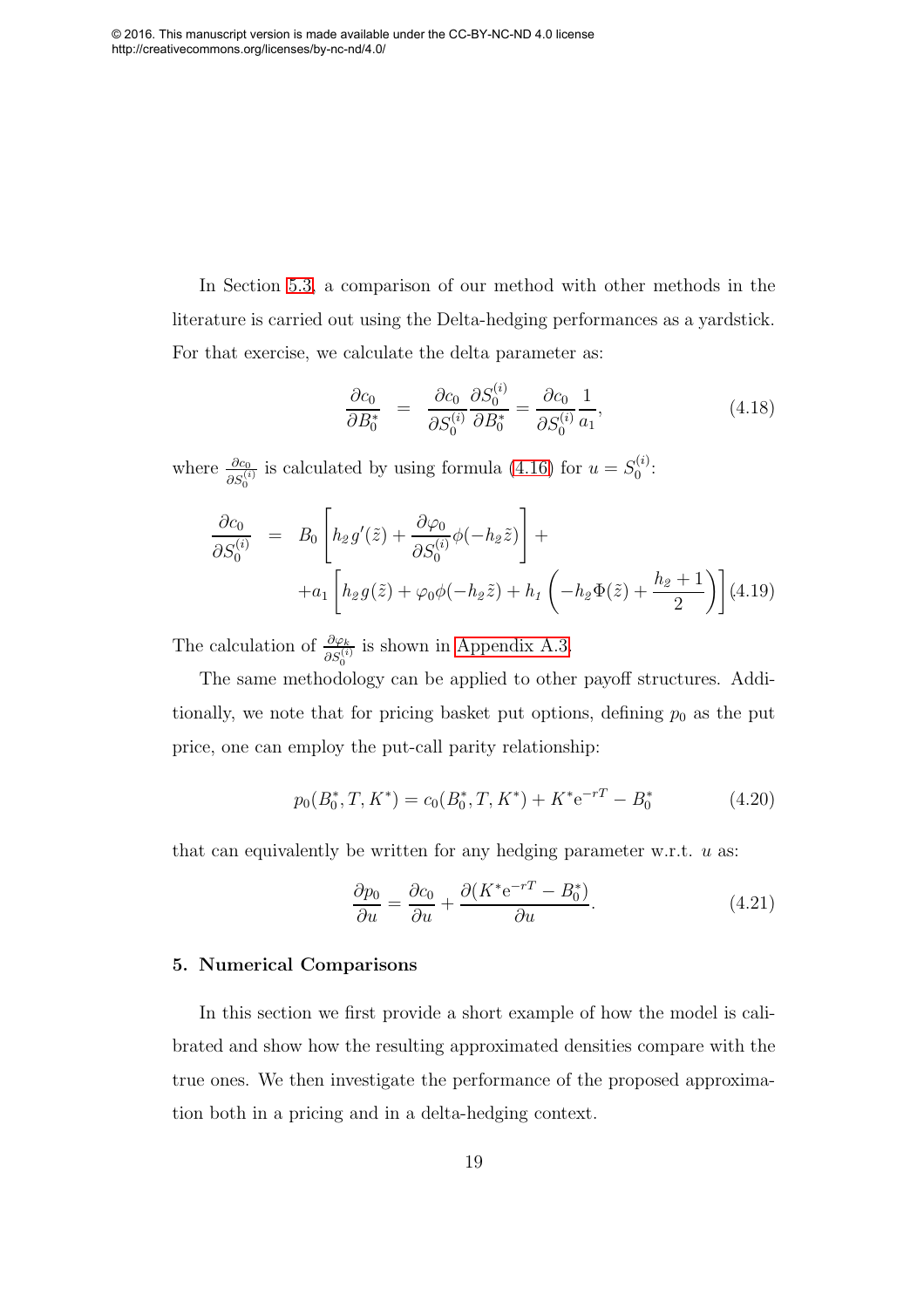<span id="page-19-0"></span>In Section [5.3,](#page-25-0) a comparison of our method with other methods in the literature is carried out using the Delta-hedging performances as a yardstick. For that exercise, we calculate the delta parameter as:

$$
\frac{\partial c_0}{\partial B_0^*} = \frac{\partial c_0}{\partial S_0^{(i)}} \frac{\partial S_0^{(i)}}{\partial B_0^*} = \frac{\partial c_0}{\partial S_0^{(i)}} \frac{1}{a_1},\tag{4.18}
$$

where  $\frac{\partial c_0}{\partial S_0^{(i)}}$  is calculated by using formula [\(4.16\)](#page-17-0) for  $u = S_0^{(i)}$  $\overset{(i)}{0}$ :

$$
\frac{\partial c_0}{\partial S_0^{(i)}} = B_0 \left[ h_2 g'(\tilde{z}) + \frac{\partial \varphi_0}{\partial S_0^{(i)}} \phi(-h_2 \tilde{z}) \right] +
$$
  
+ 
$$
+ a_1 \left[ h_2 g(\tilde{z}) + \varphi_0 \phi(-h_2 \tilde{z}) + h_1 \left( -h_2 \Phi(\tilde{z}) + \frac{h_2 + 1}{2} \right) \right] (4.19)
$$

The calculation of  $\frac{\partial \varphi_k}{\partial S_0^{(i)}}$  is shown in [Appendix A.3.](#page-35-1)

The same methodology can be applied to other payoff structures. Additionally, we note that for pricing basket put options, defining  $p_0$  as the put price, one can employ the put-call parity relationship:

$$
p_0(B_0^*, T, K^*) = c_0(B_0^*, T, K^*) + K^* e^{-rT} - B_0^*
$$
\n(4.20)

that can equivalently be written for any hedging parameter w.r.t.  $u$  as:

$$
\frac{\partial p_0}{\partial u} = \frac{\partial c_0}{\partial u} + \frac{\partial (K^* e^{-rT} - B_0^*)}{\partial u}.
$$
\n(4.21)

#### 5. Numerical Comparisons

In this section we first provide a short example of how the model is calibrated and show how the resulting approximated densities compare with the true ones. We then investigate the performance of the proposed approximation both in a pricing and in a delta-hedging context.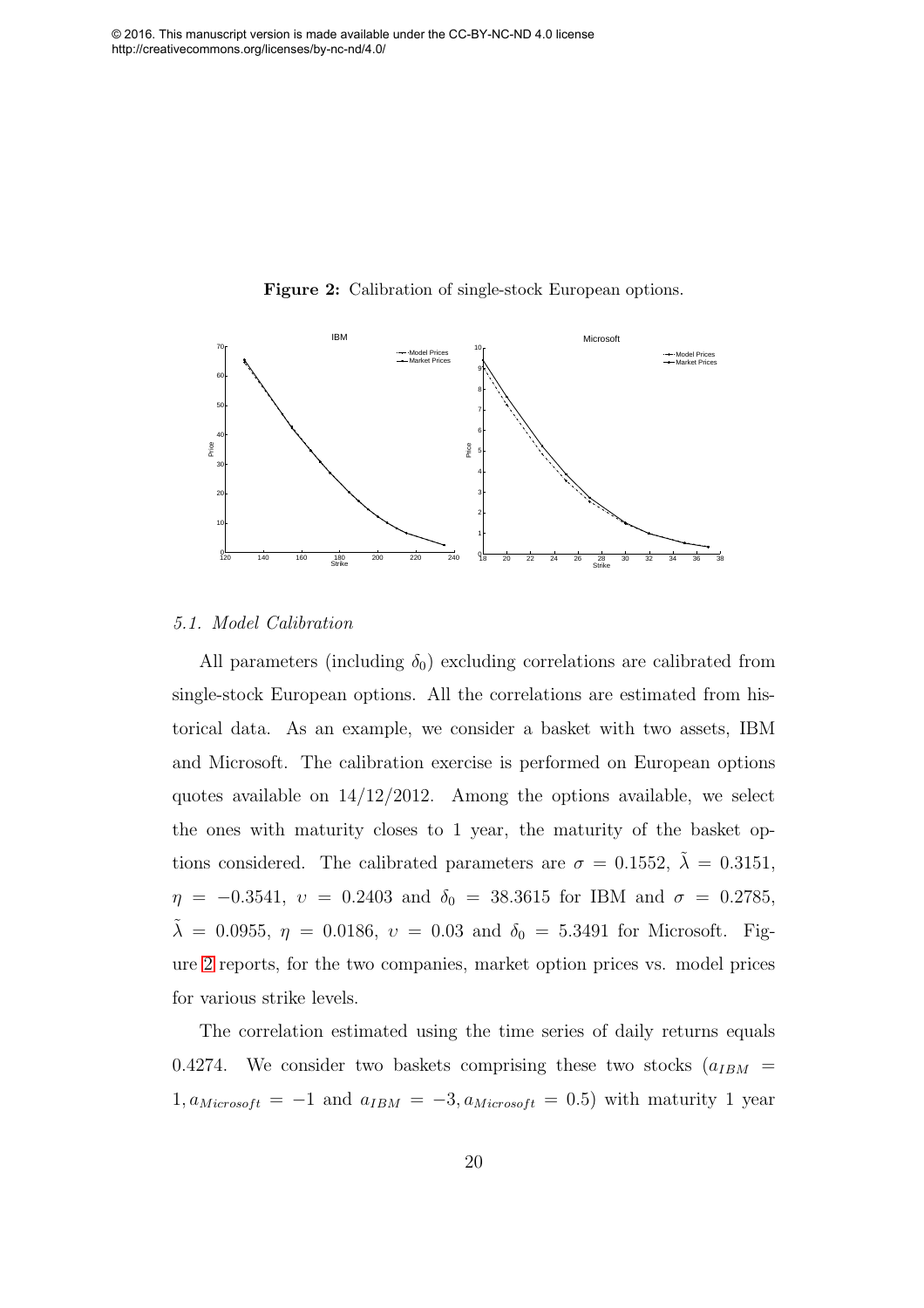<span id="page-20-0"></span>

Figure 2: Calibration of single-stock European options.

#### 5.1. Model Calibration

All parameters (including  $\delta_0$ ) excluding correlations are calibrated from single-stock European options. All the correlations are estimated from historical data. As an example, we consider a basket with two assets, IBM and Microsoft. The calibration exercise is performed on European options quotes available on  $14/12/2012$ . Among the options available, we select the ones with maturity closes to 1 year, the maturity of the basket options considered. The calibrated parameters are  $\sigma = 0.1552$ ,  $\lambda = 0.3151$ ,  $\eta$  = -0.3541,  $v$  = 0.2403 and  $\delta_0$  = 38.3615 for IBM and  $\sigma$  = 0.2785,  $\tilde{\lambda} = 0.0955, \eta = 0.0186, \nu = 0.03 \text{ and } \delta_0 = 5.3491 \text{ for Microsoft. Fig-}$ ure [2](#page-19-0) reports, for the two companies, market option prices vs. model prices for various strike levels.

The correlation estimated using the time series of daily returns equals 0.4274. We consider two baskets comprising these two stocks  $(a_{IBM} =$  $1, a_{Microsoft} = -1$  and  $a_{IBM} = -3, a_{Microsoft} = 0.5$ ) with maturity 1 year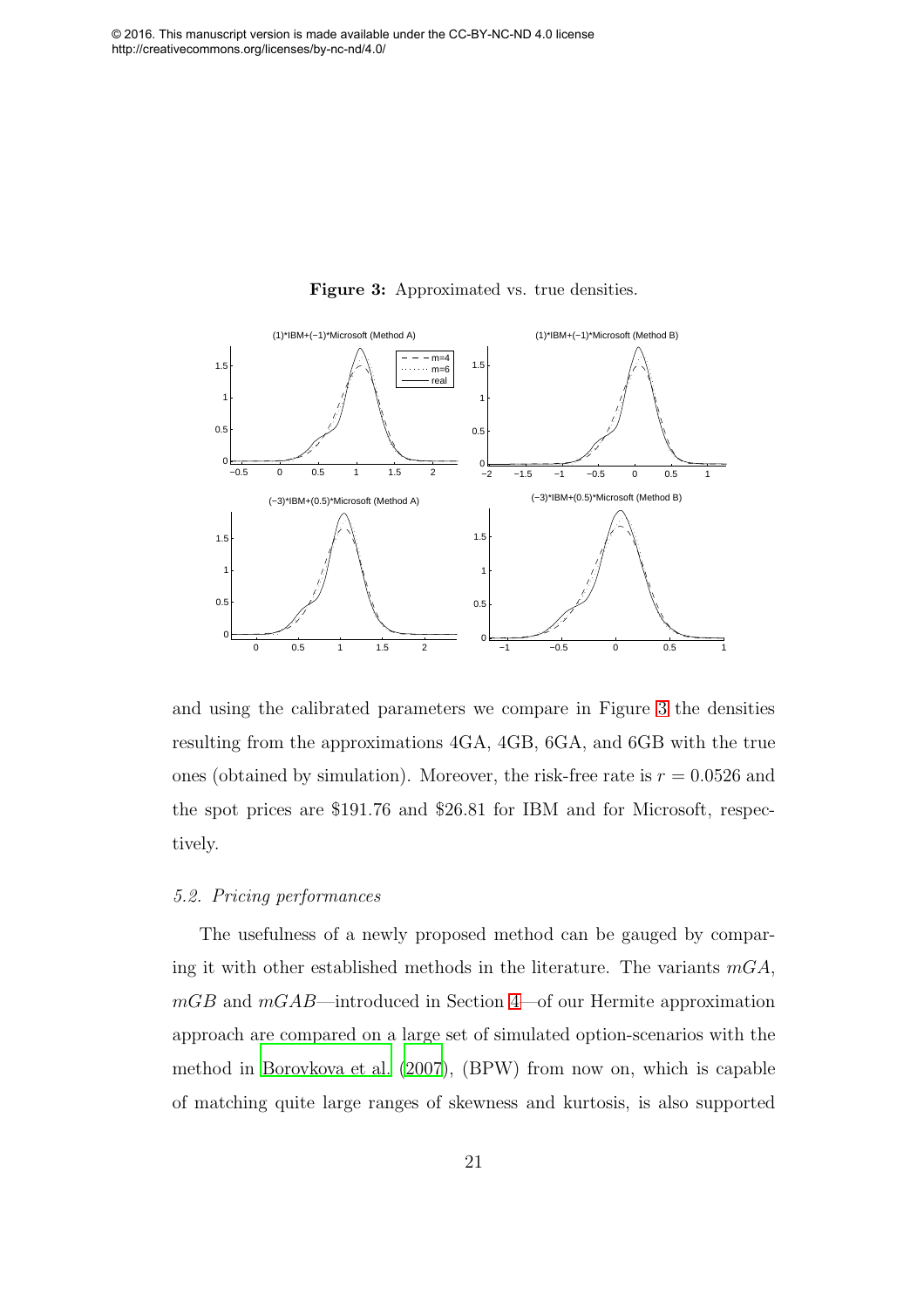

Figure 3: Approximated vs. true densities.

and using the calibrated parameters we compare in Figure [3](#page-20-0) the densities resulting from the approximations 4GA, 4GB, 6GA, and 6GB with the true ones (obtained by simulation). Moreover, the risk-free rate is  $r = 0.0526$  and the spot prices are \$191.76 and \$26.81 for IBM and for Microsoft, respectively.

#### 5.2. Pricing performances

The usefulness of a newly proposed method can be gauged by comparing it with other established methods in the literature. The variants  $mGA$ ,  $mGB$  and  $mGAB$ —introduced in Section [4—](#page-9-0)of our Hermite approximation approach are compared on a large set of simulated option-scenarios with the method in [Borovkova et al. \(2007\)](#page-29-0), (BPW) from now on, which is capable of matching quite large ranges of skewness and kurtosis, is also supported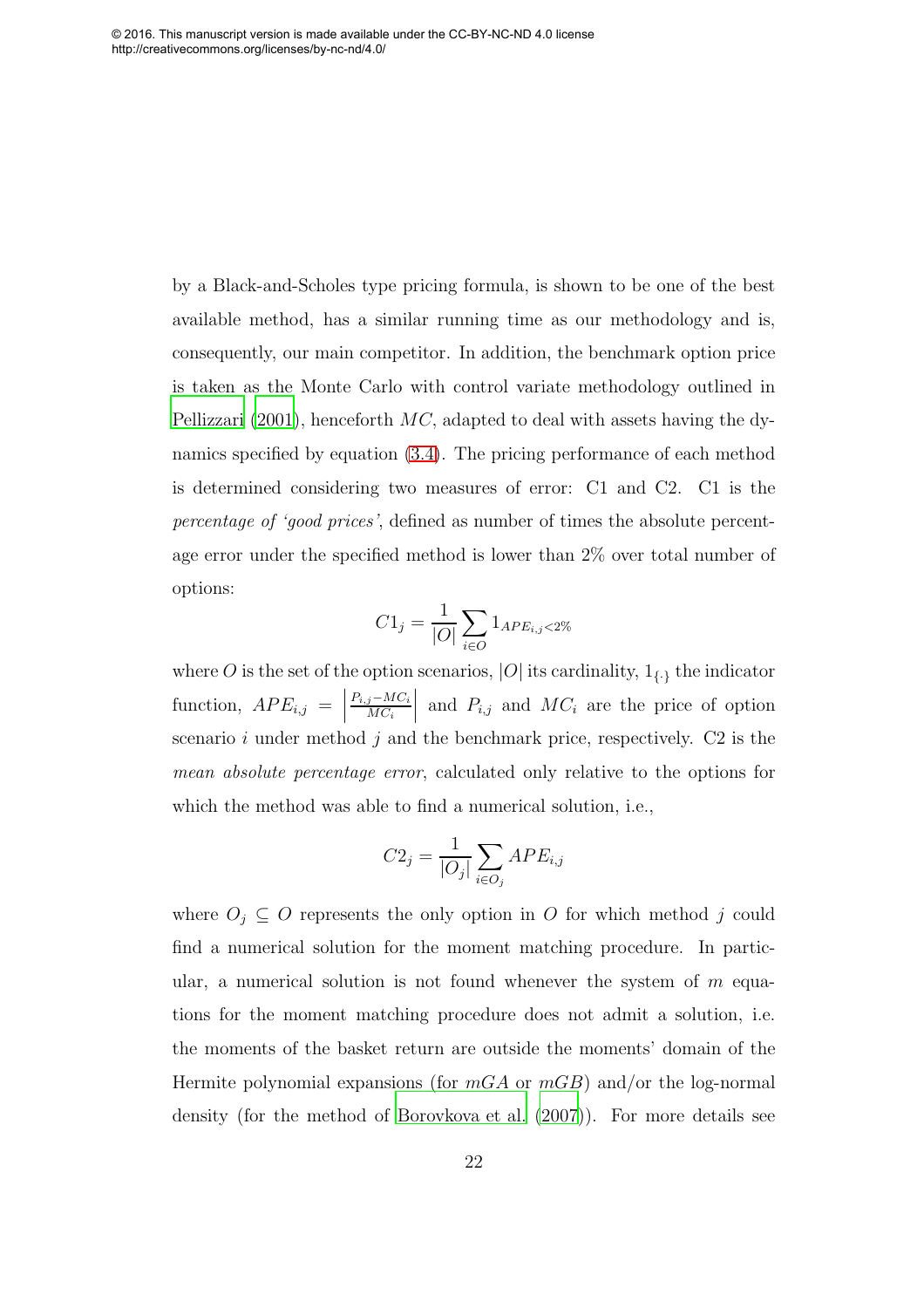by a Black-and-Scholes type pricing formula, is shown to be one of the best available method, has a similar running time as our methodology and is, consequently, our main competitor. In addition, the benchmark option price is taken as the Monte Carlo with control variate methodology outlined in [Pellizzari \(2001\)](#page-33-1), henceforth  $MC$ , adapted to deal with assets having the dynamics specified by equation [\(3.4\)](#page-9-2). The pricing performance of each method is determined considering two measures of error: C1 and C2. C1 is the percentage of 'good prices', defined as number of times the absolute percentage error under the specified method is lower than 2% over total number of options:

$$
C1_j = \frac{1}{|O|} \sum_{i \in O} 1_{APE_{i,j} < 2\%}
$$

where  $O$  is the set of the option scenarios,  $|O|$  its cardinality,  $\mathbf{1}_{\{\cdot\}}$  the indicator function,  $APE_{i,j} =$  $P_{i,j}-MC_i$  $MC_i$ and  $P_{i,j}$  and  $MC_i$  are the price of option scenario i under method j and the benchmark price, respectively.  $C2$  is the mean absolute percentage error, calculated only relative to the options for which the method was able to find a numerical solution, i.e.,

$$
C2_j = \frac{1}{|O_j|} \sum_{i \in O_j} APE_{i,j}
$$

where  $O_i \subseteq O$  represents the only option in O for which method j could find a numerical solution for the moment matching procedure. In particular, a numerical solution is not found whenever the system of  $m$  equations for the moment matching procedure does not admit a solution, i.e. the moments of the basket return are outside the moments' domain of the Hermite polynomial expansions (for  $mGA$  or  $mGB$ ) and/or the log-normal density (for the method of [Borovkova et al. \(2007](#page-29-0))). For more details see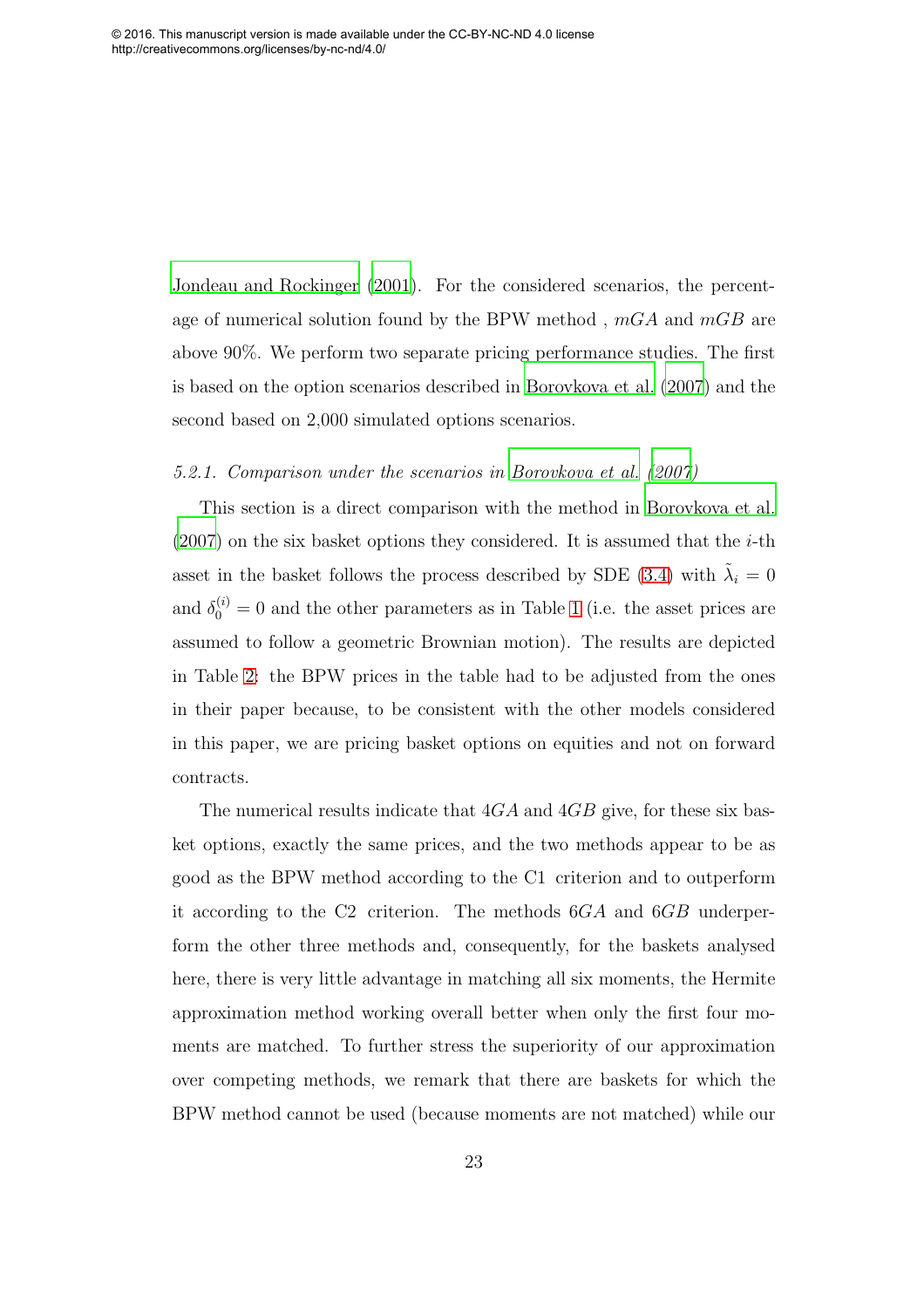[Jondeau and Rockinger \(2001](#page-31-9)). For the considered scenarios, the percentage of numerical solution found by the BPW method,  $mGA$  and  $mGB$  are above 90%. We perform two separate pricing performance studies. The first is based on the option scenarios described in [Borovkova et al. \(2007\)](#page-29-0) and the second based on 2,000 simulated options scenarios.

#### 5.2.1. Comparison under the scenarios in [Borovkova et al. \(2007\)](#page-29-0)

This section is a direct comparison with the method in [Borovkova et al.](#page-29-0)  $(2007)$  on the six basket options they considered. It is assumed that the *i*-th asset in the basket follows the process described by SDE [\(3.4\)](#page-9-2) with  $\tilde{\lambda}_i = 0$ and  $\delta_0^{(i)} = 0$  and the other parameters as in Table [1](#page-36-0) (i.e. the asset prices are assumed to follow a geometric Brownian motion). The results are depicted in Table [2:](#page-37-0) the BPW prices in the table had to be adjusted from the ones in their paper because, to be consistent with the other models considered in this paper, we are pricing basket options on equities and not on forward contracts.

The numerical results indicate that  $4GA$  and  $4GB$  give, for these six basket options, exactly the same prices, and the two methods appear to be as good as the BPW method according to the C1 criterion and to outperform it according to the C2 criterion. The methods 6GA and 6GB underperform the other three methods and, consequently, for the baskets analysed here, there is very little advantage in matching all six moments, the Hermite approximation method working overall better when only the first four moments are matched. To further stress the superiority of our approximation over competing methods, we remark that there are baskets for which the BPW method cannot be used (because moments are not matched) while our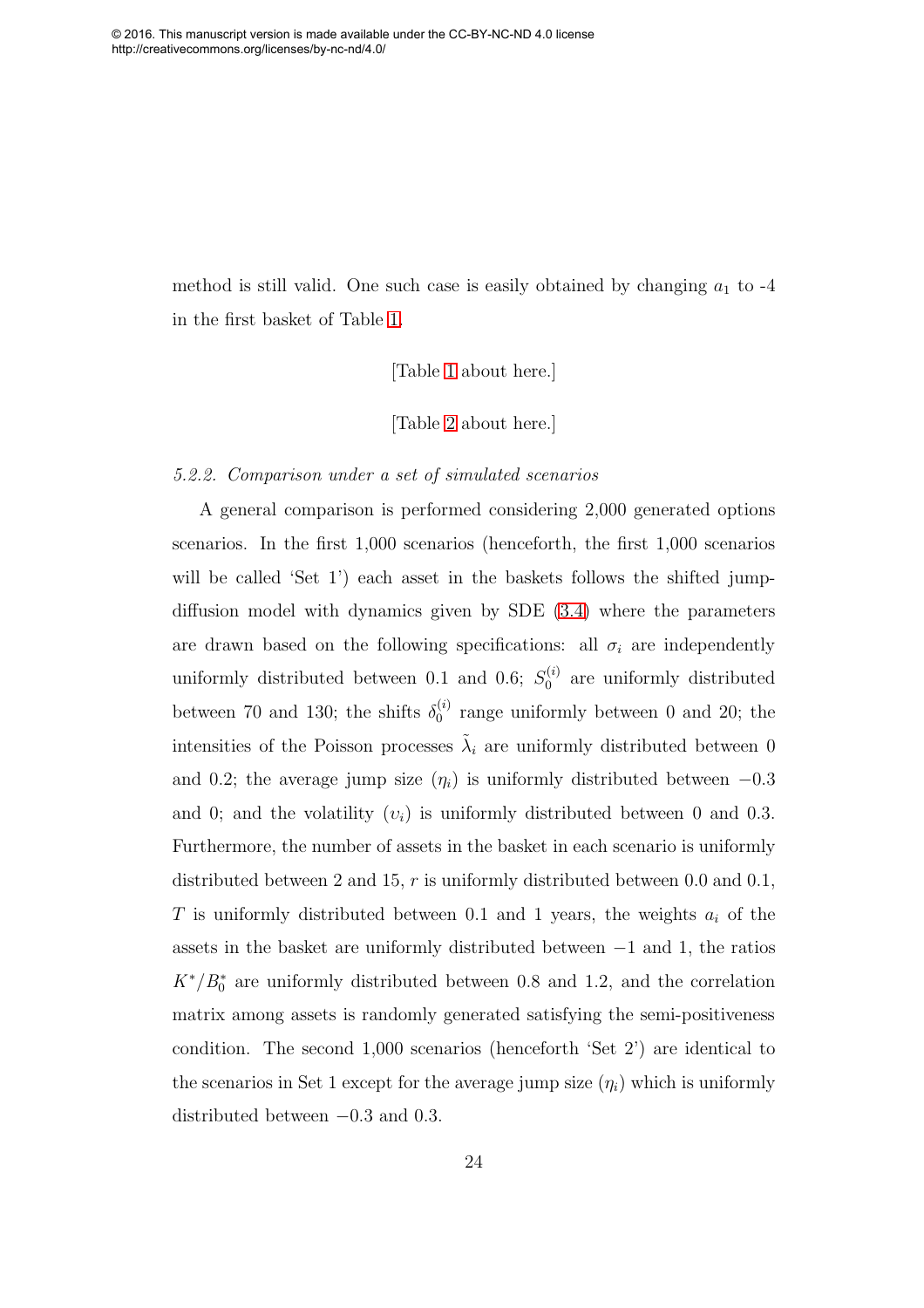method is still valid. One such case is easily obtained by changing  $a_1$  to -4 in the first basket of Table [1.](#page-36-0)

[Table [1](#page-36-0) about here.]

[Table [2](#page-37-0) about here.]

#### 5.2.2. Comparison under a set of simulated scenarios

A general comparison is performed considering 2,000 generated options scenarios. In the first 1,000 scenarios (henceforth, the first 1,000 scenarios will be called 'Set 1') each asset in the baskets follows the shifted jumpdiffusion model with dynamics given by SDE [\(3.4\)](#page-9-2) where the parameters are drawn based on the following specifications: all  $\sigma_i$  are independently uniformly distributed between 0.1 and 0.6;  $S_0^{(i)}$  are uniformly distributed between 70 and 130; the shifts  $\delta_0^{(i)}$  $_0^{(i)}$  range uniformly between 0 and 20; the intensities of the Poisson processes  $\tilde{\lambda}_i$  are uniformly distributed between 0 and 0.2; the average jump size  $(\eta_i)$  is uniformly distributed between  $-0.3$ and 0; and the volatility  $(v_i)$  is uniformly distributed between 0 and 0.3. Furthermore, the number of assets in the basket in each scenario is uniformly distributed between 2 and 15,  $r$  is uniformly distributed between 0.0 and 0.1, T is uniformly distributed between 0.1 and 1 years, the weights  $a_i$  of the assets in the basket are uniformly distributed between −1 and 1, the ratios  $K^*/B_0^*$  are uniformly distributed between 0.8 and 1.2, and the correlation matrix among assets is randomly generated satisfying the semi-positiveness condition. The second 1,000 scenarios (henceforth 'Set 2') are identical to the scenarios in Set 1 except for the average jump size  $(\eta_i)$  which is uniformly distributed between −0.3 and 0.3.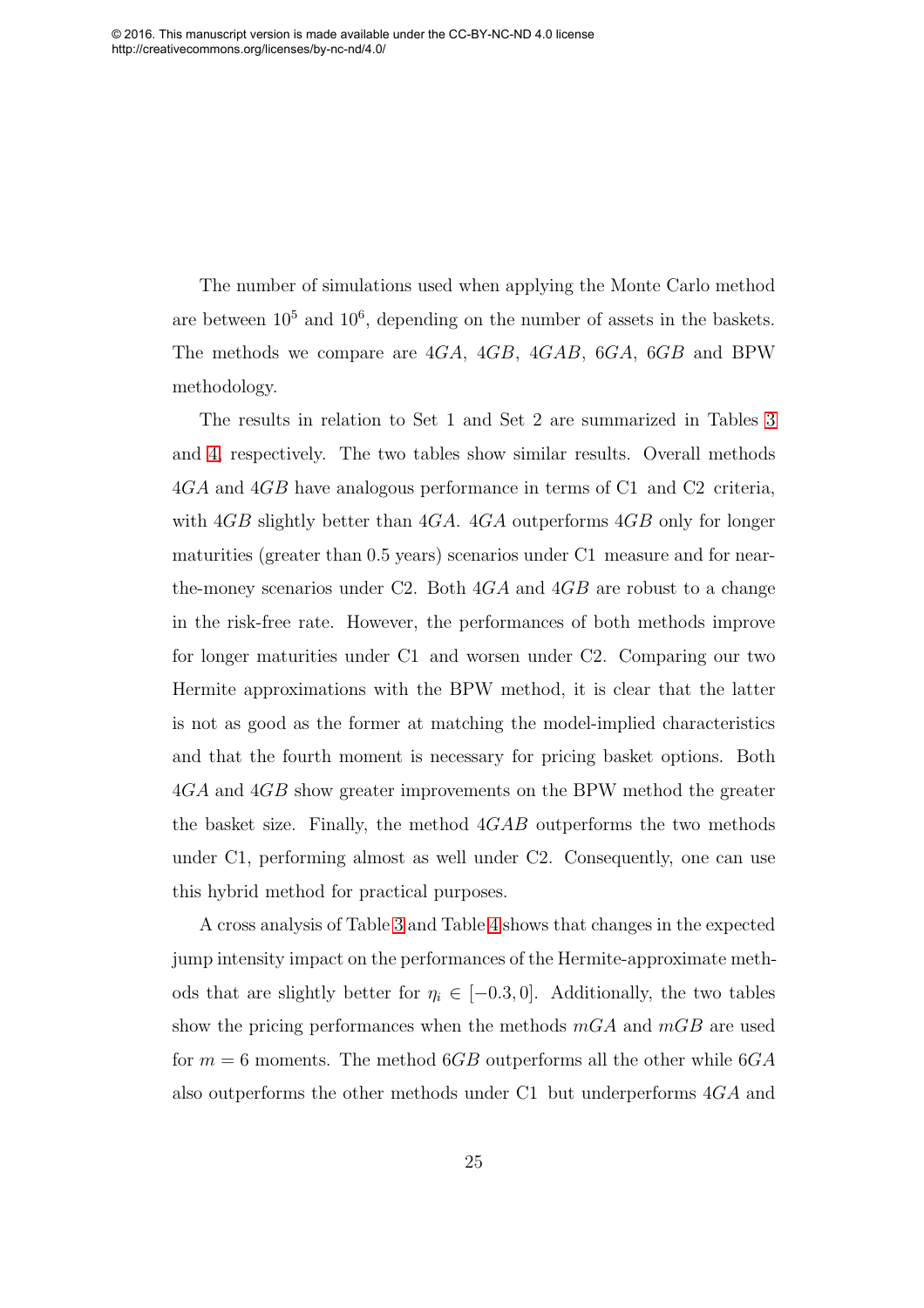The number of simulations used when applying the Monte Carlo method are between  $10^5$  and  $10^6$ , depending on the number of assets in the baskets. The methods we compare are 4GA, 4GB, 4GAB, 6GA, 6GB and BPW methodology.

The results in relation to Set 1 and Set 2 are summarized in Tables [3](#page-38-0) and [4,](#page-39-0) respectively. The two tables show similar results. Overall methods 4GA and 4GB have analogous performance in terms of C1 and C2 criteria, with  $4GB$  slightly better than  $4GA$ .  $4GA$  outperforms  $4GB$  only for longer maturities (greater than 0.5 years) scenarios under C1 measure and for nearthe-money scenarios under C2. Both  $4GA$  and  $4GB$  are robust to a change in the risk-free rate. However, the performances of both methods improve for longer maturities under C1 and worsen under C2. Comparing our two Hermite approximations with the BPW method, it is clear that the latter is not as good as the former at matching the model-implied characteristics and that the fourth moment is necessary for pricing basket options. Both 4GA and 4GB show greater improvements on the BPW method the greater the basket size. Finally, the method  $4GAB$  outperforms the two methods under C1, performing almost as well under C2. Consequently, one can use this hybrid method for practical purposes.

<span id="page-25-0"></span>A cross analysis of Table [3](#page-38-0) and Table [4](#page-39-0) shows that changes in the expected jump intensity impact on the performances of the Hermite-approximate methods that are slightly better for  $\eta_i \in [-0.3, 0]$ . Additionally, the two tables show the pricing performances when the methods  $mGA$  and  $mGB$  are used for  $m = 6$  moments. The method 6GB outperforms all the other while 6GA also outperforms the other methods under C1 but underperforms 4GA and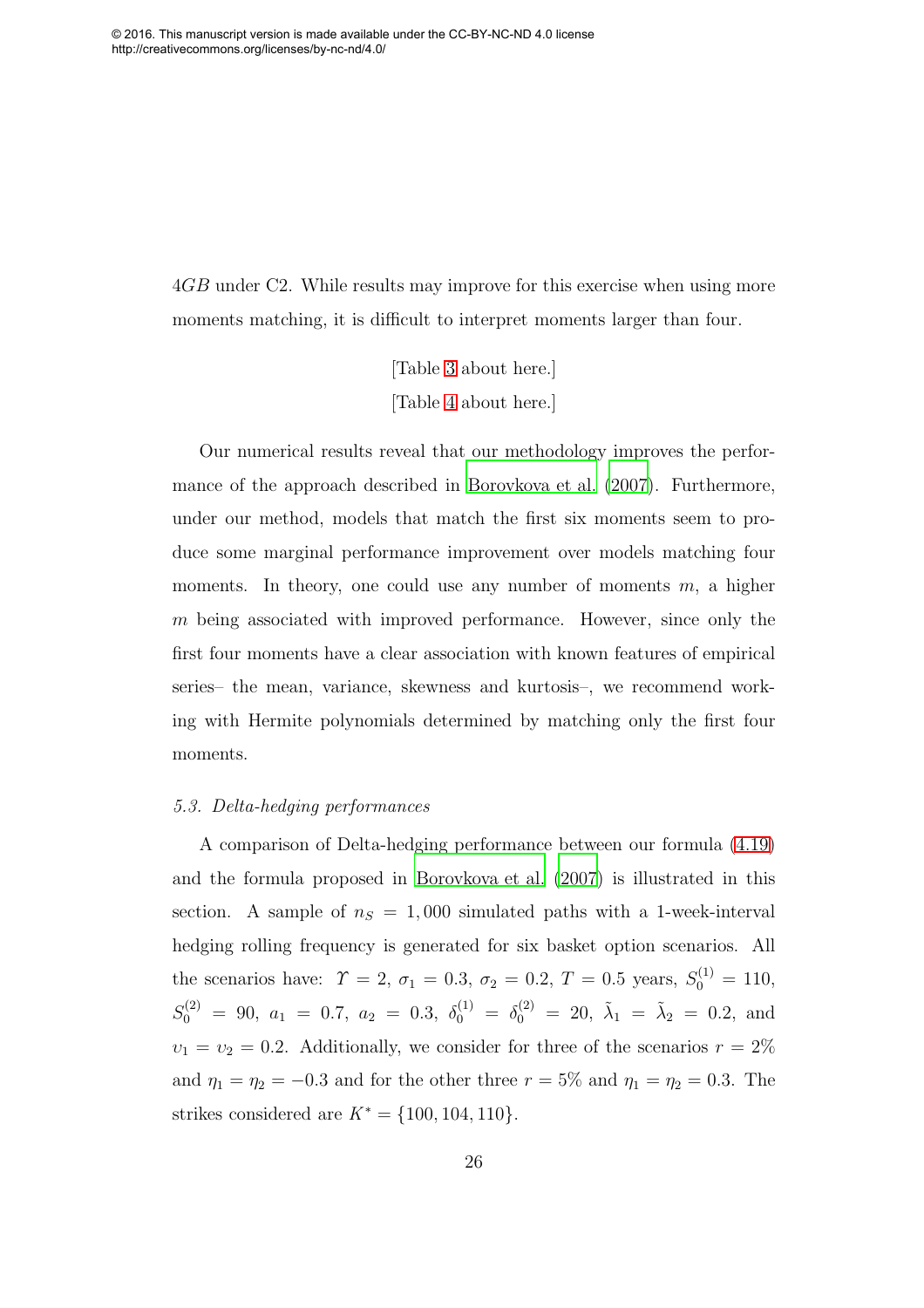4GB under C2. While results may improve for this exercise when using more moments matching, it is difficult to interpret moments larger than four.

> [Table [3](#page-38-0) about here.] [Table [4](#page-39-0) about here.]

Our numerical results reveal that our methodology improves the performance of the approach described in [Borovkova et al. \(2007\)](#page-29-0). Furthermore, under our method, models that match the first six moments seem to produce some marginal performance improvement over models matching four moments. In theory, one could use any number of moments  $m$ , a higher m being associated with improved performance. However, since only the first four moments have a clear association with known features of empirical series– the mean, variance, skewness and kurtosis–, we recommend working with Hermite polynomials determined by matching only the first four moments.

#### 5.3. Delta-hedging performances

A comparison of Delta-hedging performance between our formula [\(4.19\)](#page-18-1) and the formula proposed in [Borovkova et al. \(2007](#page-29-0)) is illustrated in this section. A sample of  $n_S = 1,000$  simulated paths with a 1-week-interval hedging rolling frequency is generated for six basket option scenarios. All the scenarios have:  $\Upsilon = 2, \sigma_1 = 0.3, \sigma_2 = 0.2, T = 0.5 \text{ years}, S_0^{(1)} = 110,$  $S_0^{(2)} = 90, a_1 = 0.7, a_2 = 0.3, \delta_0^{(1)} = \delta_0^{(2)} = 20, \tilde{\lambda}_1 = \tilde{\lambda}_2 = 0.2, \text{ and}$  $v_1 = v_2 = 0.2$ . Additionally, we consider for three of the scenarios  $r = 2\%$ and  $\eta_1 = \eta_2 = -0.3$  and for the other three  $r = 5\%$  and  $\eta_1 = \eta_2 = 0.3$ . The strikes considered are  $K^* = \{100, 104, 110\}.$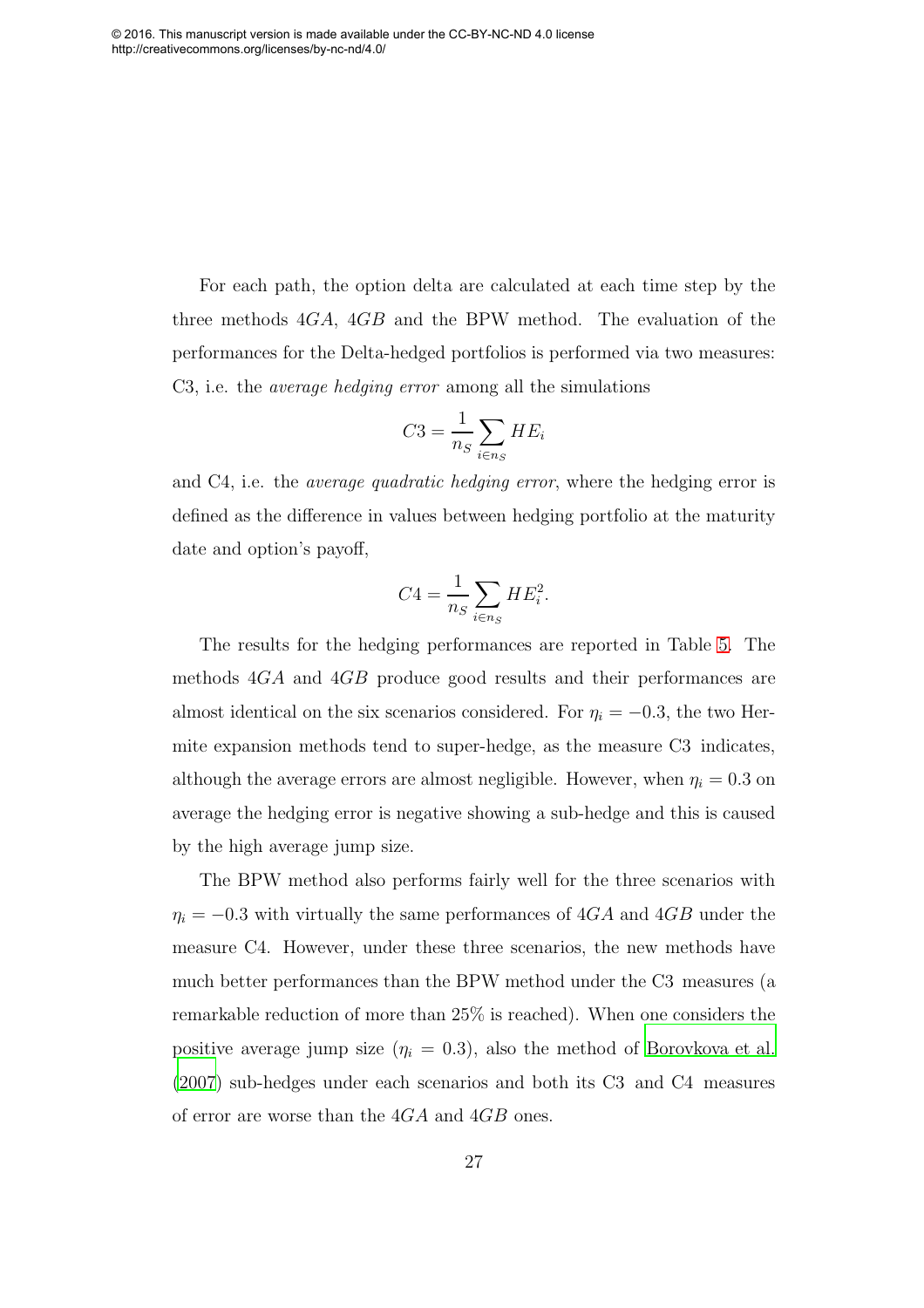For each path, the option delta are calculated at each time step by the three methods 4GA, 4GB and the BPW method. The evaluation of the performances for the Delta-hedged portfolios is performed via two measures: C3, i.e. the average hedging error among all the simulations

$$
C3 = \frac{1}{n_S} \sum_{i \in n_S} HE_i
$$

and C4, i.e. the *average quadratic hedging error*, where the hedging error is defined as the difference in values between hedging portfolio at the maturity date and option's payoff,

$$
C4 = \frac{1}{n_S} \sum_{i \in n_S} HE_i^2.
$$

The results for the hedging performances are reported in Table [5.](#page-40-0) The methods 4GA and 4GB produce good results and their performances are almost identical on the six scenarios considered. For  $\eta_i = -0.3$ , the two Hermite expansion methods tend to super-hedge, as the measure C3 indicates, although the average errors are almost negligible. However, when  $\eta_i = 0.3$  on average the hedging error is negative showing a sub-hedge and this is caused by the high average jump size.

<span id="page-27-0"></span>The BPW method also performs fairly well for the three scenarios with  $\eta_i = -0.3$  with virtually the same performances of 4GA and 4GB under the measure C4. However, under these three scenarios, the new methods have much better performances than the BPW method under the C3 measures (a remarkable reduction of more than 25% is reached). When one considers the positive average jump size  $(\eta_i = 0.3)$ , also the method of [Borovkova et al.](#page-29-0) [\(2007\)](#page-29-0) sub-hedges under each scenarios and both its C3 and C4 measures of error are worse than the 4GA and 4GB ones.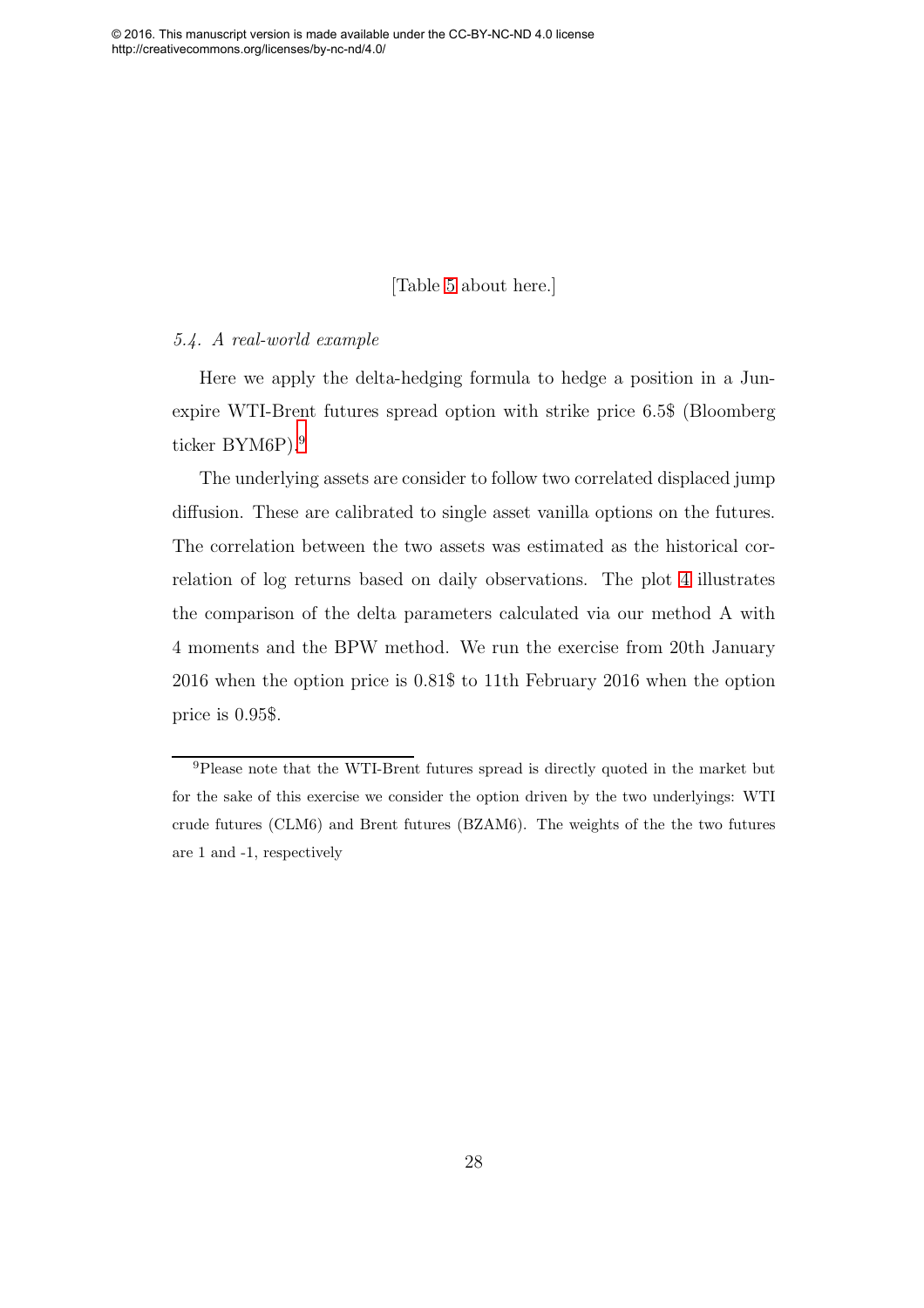## [Table [5](#page-40-0) about here.]

#### <span id="page-28-0"></span>5.4. A real-world example

Here we apply the delta-hedging formula to hedge a position in a Junexpire WTI-Brent futures spread option with strike price 6.5\$ (Bloomberg ticker BYM6P).<sup>[9](#page-27-0)</sup>

The underlying assets are consider to follow two correlated displaced jump diffusion. These are calibrated to single asset vanilla options on the futures. The correlation between the two assets was estimated as the historical correlation of log returns based on daily observations. The plot [4](#page-28-0) illustrates the comparison of the delta parameters calculated via our method A with 4 moments and the BPW method. We run the exercise from 20th January 2016 when the option price is 0.81\$ to 11th February 2016 when the option price is 0.95\$.

<sup>9</sup>Please note that the WTI-Brent futures spread is directly quoted in the market but for the sake of this exercise we consider the option driven by the two underlyings: WTI crude futures (CLM6) and Brent futures (BZAM6). The weights of the the two futures are 1 and -1, respectively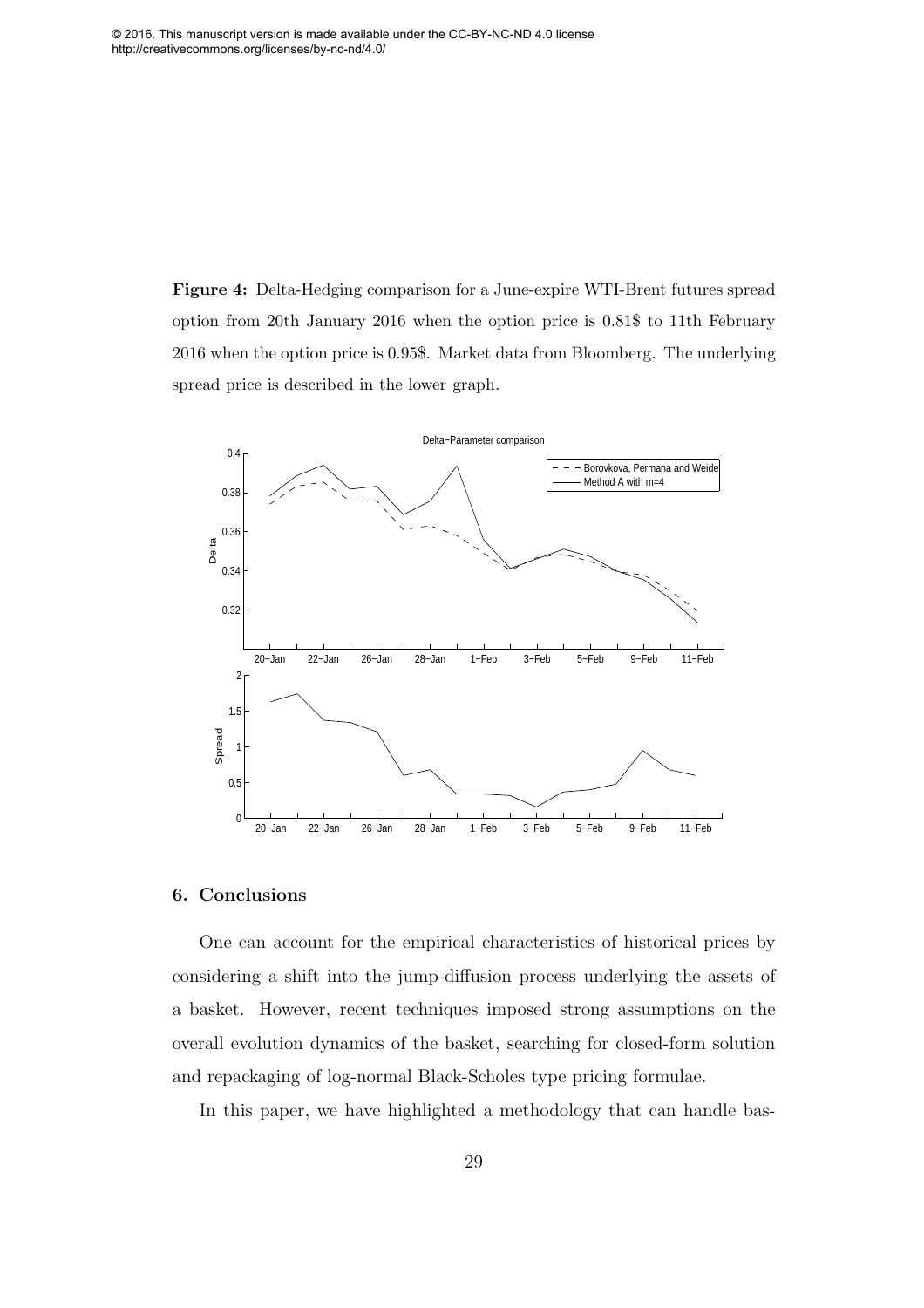Figure 4: Delta-Hedging comparison for a June-expire WTI-Brent futures spread option from 20th January 2016 when the option price is 0.81\$ to 11th February 2016 when the option price is 0.95\$. Market data from Bloomberg. The underlying spread price is described in the lower graph.



#### <span id="page-29-1"></span>6. Conclusions

<span id="page-29-2"></span><span id="page-29-0"></span>One can account for the empirical characteristics of historical prices by considering a shift into the jump-diffusion process underlying the assets of a basket. However, recent techniques imposed strong assumptions on the overall evolution dynamics of the basket, searching for closed-form solution and repackaging of log-normal Black-Scholes type pricing formulae.

In this paper, we have highlighted a methodology that can handle bas-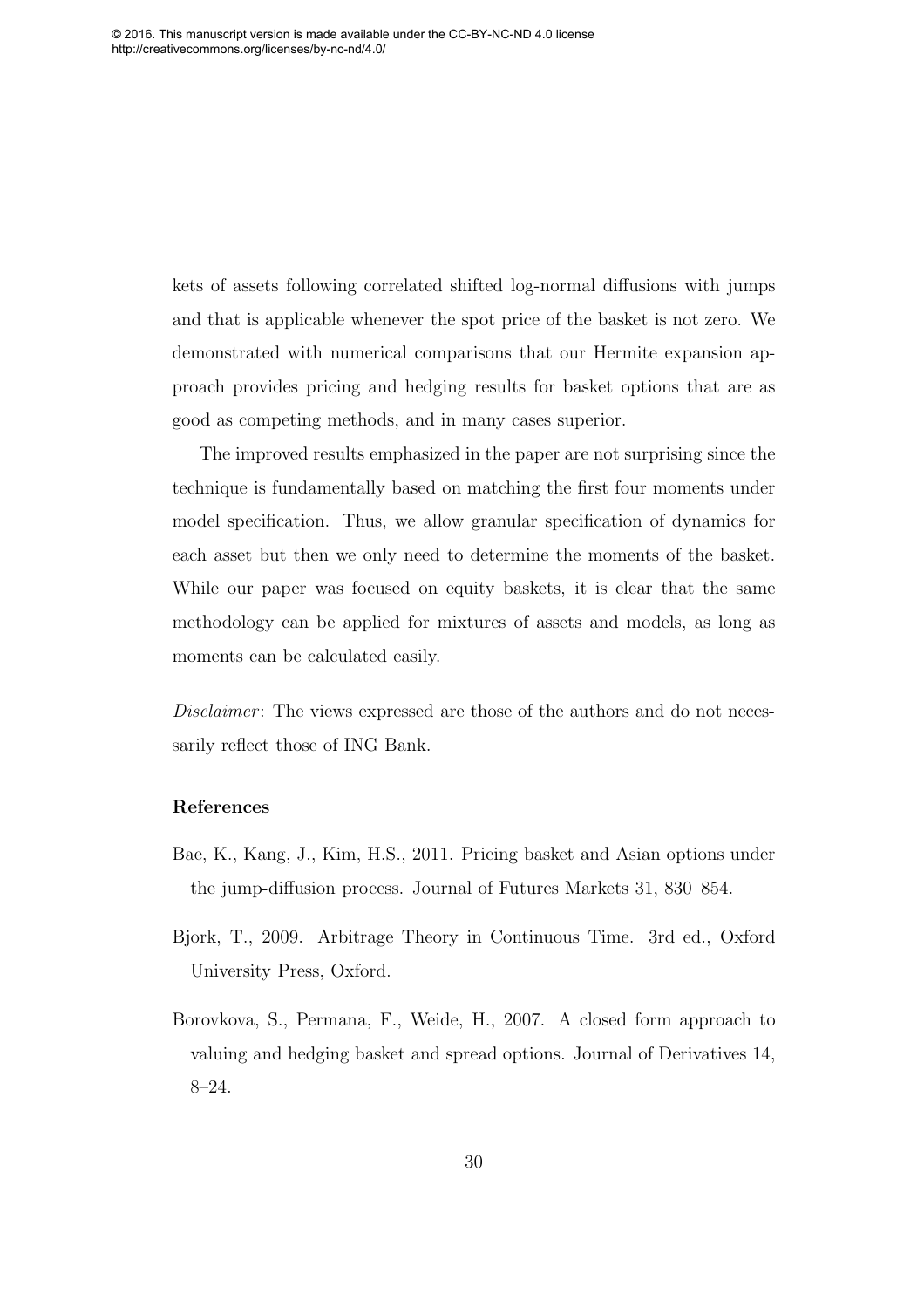<span id="page-30-5"></span>kets of assets following correlated shifted log-normal diffusions with jumps and that is applicable whenever the spot price of the basket is not zero. We demonstrated with numerical comparisons that our Hermite expansion approach provides pricing and hedging results for basket options that are as good as competing methods, and in many cases superior.

<span id="page-30-8"></span><span id="page-30-7"></span><span id="page-30-6"></span>The improved results emphasized in the paper are not surprising since the technique is fundamentally based on matching the first four moments under model specification. Thus, we allow granular specification of dynamics for each asset but then we only need to determine the moments of the basket. While our paper was focused on equity baskets, it is clear that the same methodology can be applied for mixtures of assets and models, as long as moments can be calculated easily.

<span id="page-30-2"></span><span id="page-30-0"></span>Disclaimer: The views expressed are those of the authors and do not necessarily reflect those of ING Bank.

#### References

- <span id="page-30-1"></span>Bae, K., Kang, J., Kim, H.S., 2011. Pricing basket and Asian options under the jump-diffusion process. Journal of Futures Markets 31, 830–854.
- <span id="page-30-4"></span>Bjork, T., 2009. Arbitrage Theory in Continuous Time. 3rd ed., Oxford University Press, Oxford.
- <span id="page-30-3"></span>Borovkova, S., Permana, F., Weide, H., 2007. A closed form approach to valuing and hedging basket and spread options. Journal of Derivatives 14, 8–24.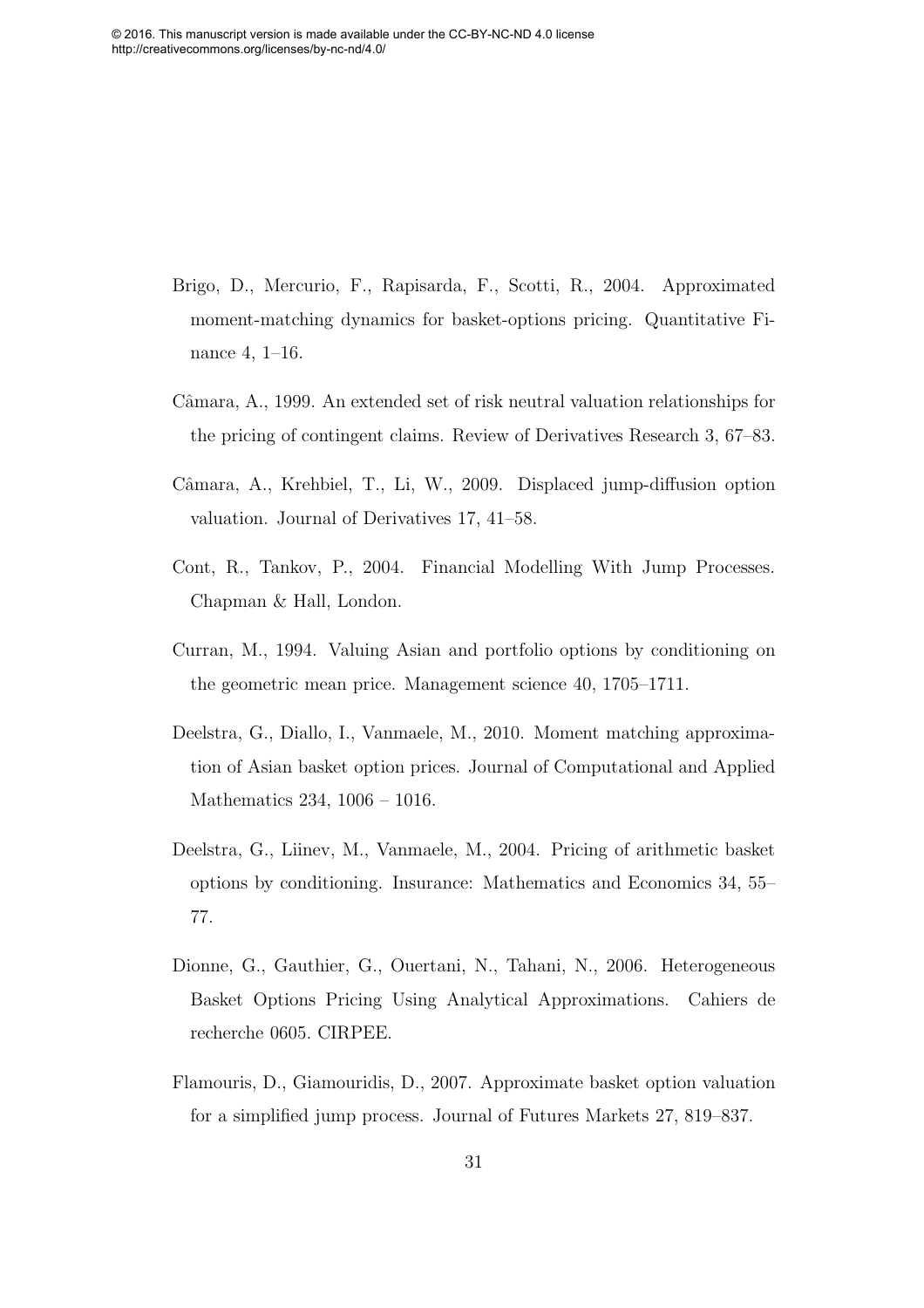- <span id="page-31-7"></span>Brigo, D., Mercurio, F., Rapisarda, F., Scotti, R., 2004. Approximated moment-matching dynamics for basket-options pricing. Quantitative Finance 4, 1–16.
- <span id="page-31-8"></span><span id="page-31-0"></span>Câmara, A., 1999. An extended set of risk neutral valuation relationships for the pricing of contingent claims. Review of Derivatives Research 3, 67–83.
- <span id="page-31-4"></span>Câmara, A., Krehbiel, T., Li, W., 2009. Displaced jump-diffusion option valuation. Journal of Derivatives 17, 41–58.
- <span id="page-31-3"></span>Cont, R., Tankov, P., 2004. Financial Modelling With Jump Processes. Chapman & Hall, London.
- <span id="page-31-5"></span>Curran, M., 1994. Valuing Asian and portfolio options by conditioning on the geometric mean price. Management science 40, 1705–1711.
- <span id="page-31-9"></span>Deelstra, G., Diallo, I., Vanmaele, M., 2010. Moment matching approximation of Asian basket option prices. Journal of Computational and Applied Mathematics 234, 1006 – 1016.
- <span id="page-31-6"></span>Deelstra, G., Liinev, M., Vanmaele, M., 2004. Pricing of arithmetic basket options by conditioning. Insurance: Mathematics and Economics 34, 55– 77.
- <span id="page-31-2"></span><span id="page-31-1"></span>Dionne, G., Gauthier, G., Ouertani, N., Tahani, N., 2006. Heterogeneous Basket Options Pricing Using Analytical Approximations. Cahiers de recherche 0605. CIRPEE.
- Flamouris, D., Giamouridis, D., 2007. Approximate basket option valuation for a simplified jump process. Journal of Futures Markets 27, 819–837.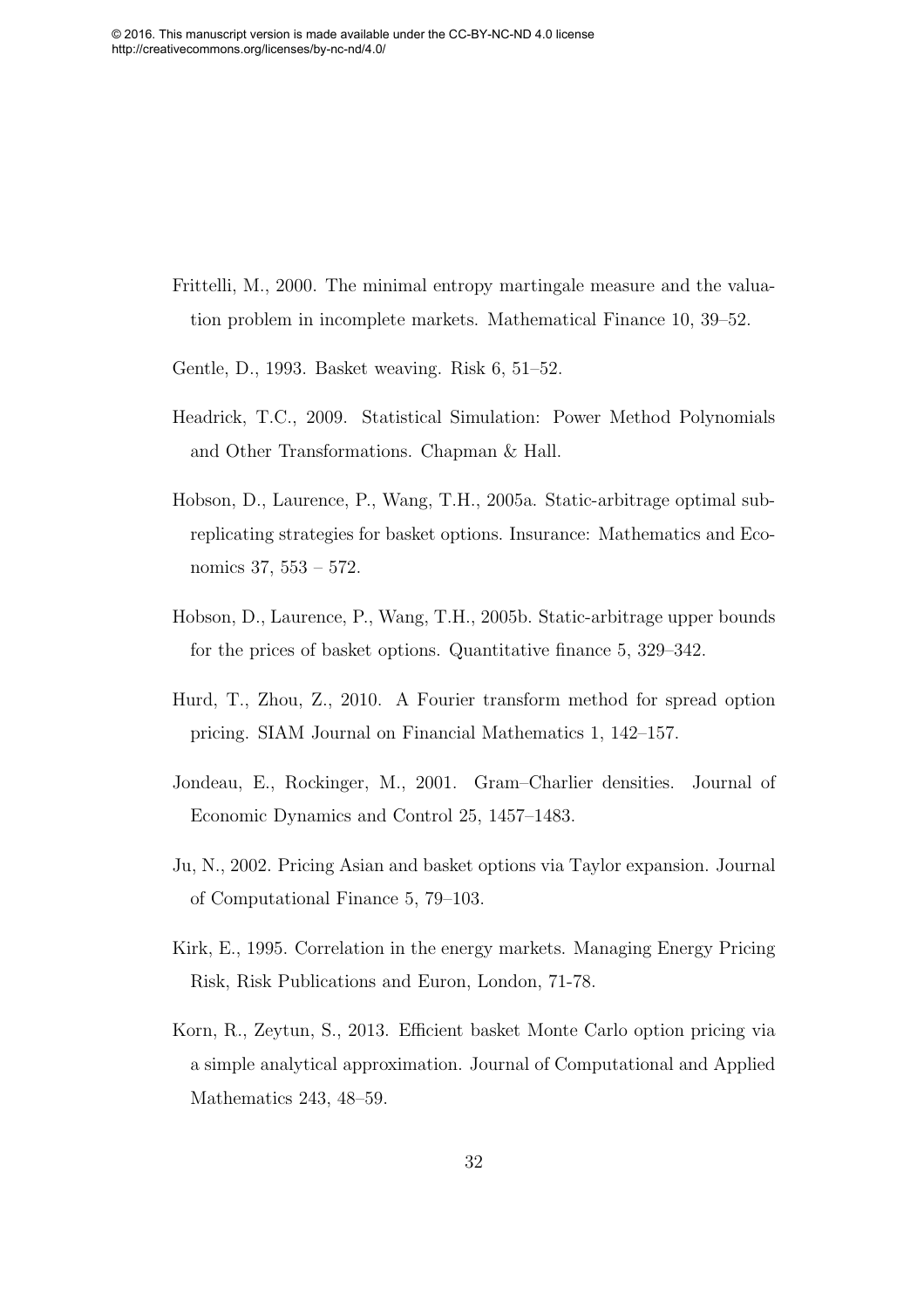- <span id="page-32-3"></span>Frittelli, M., 2000. The minimal entropy martingale measure and the valuation problem in incomplete markets. Mathematical Finance 10, 39–52.
- <span id="page-32-4"></span>Gentle, D., 1993. Basket weaving. Risk 6, 51–52.
- <span id="page-32-9"></span>Headrick, T.C., 2009. Statistical Simulation: Power Method Polynomials and Other Transformations. Chapman & Hall.
- <span id="page-32-8"></span>Hobson, D., Laurence, P., Wang, T.H., 2005a. Static-arbitrage optimal subreplicating strategies for basket options. Insurance: Mathematics and Economics 37, 553 – 572.
- Hobson, D., Laurence, P., Wang, T.H., 2005b. Static-arbitrage upper bounds for the prices of basket options. Quantitative finance 5, 329–342.
- <span id="page-32-5"></span>Hurd, T., Zhou, Z., 2010. A Fourier transform method for spread option pricing. SIAM Journal on Financial Mathematics 1, 142–157.
- <span id="page-32-1"></span>Jondeau, E., Rockinger, M., 2001. Gram–Charlier densities. Journal of Economic Dynamics and Control 25, 1457–1483.
- <span id="page-32-2"></span><span id="page-32-0"></span>Ju, N., 2002. Pricing Asian and basket options via Taylor expansion. Journal of Computational Finance 5, 79–103.
- <span id="page-32-7"></span>Kirk, E., 1995. Correlation in the energy markets. Managing Energy Pricing Risk, Risk Publications and Euron, London, 71-78.
- <span id="page-32-6"></span>Korn, R., Zeytun, S., 2013. Efficient basket Monte Carlo option pricing via a simple analytical approximation. Journal of Computational and Applied Mathematics 243, 48–59.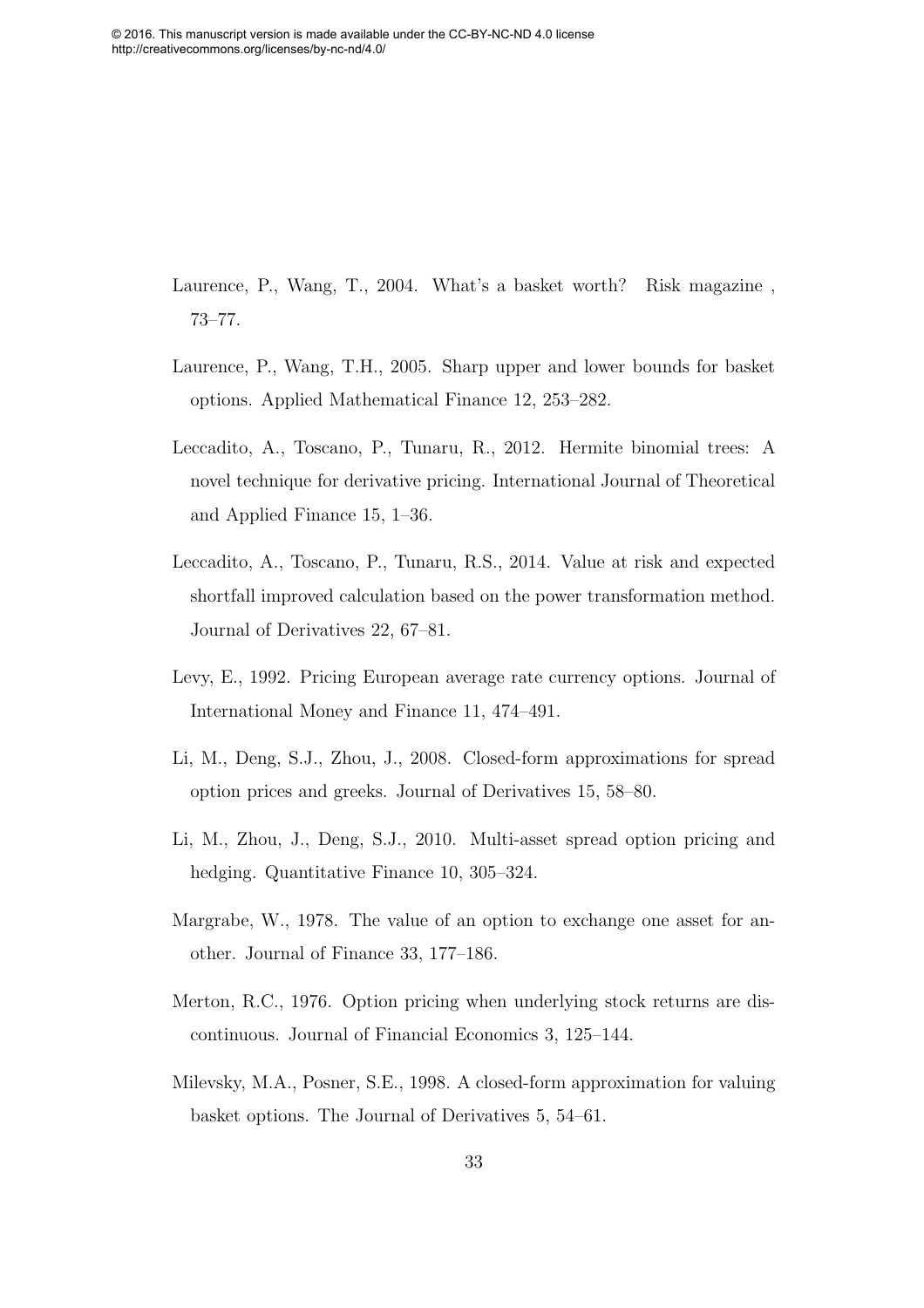<span id="page-33-5"></span>Laurence, P., Wang, T., 2004. What's a basket worth? Risk magazine , 73–77.

- <span id="page-33-1"></span>Laurence, P., Wang, T.H., 2005. Sharp upper and lower bounds for basket options. Applied Mathematical Finance 12, 253–282.
- <span id="page-33-4"></span>Leccadito, A., Toscano, P., Tunaru, R., 2012. Hermite binomial trees: A novel technique for derivative pricing. International Journal of Theoretical and Applied Finance 15, 1–36.
- <span id="page-33-3"></span>Leccadito, A., Toscano, P., Tunaru, R.S., 2014. Value at risk and expected shortfall improved calculation based on the power transformation method. Journal of Derivatives 22, 67–81.
- <span id="page-33-2"></span>Levy, E., 1992. Pricing European average rate currency options. Journal of International Money and Finance 11, 474–491.
- <span id="page-33-0"></span>Li, M., Deng, S.J., Zhou, J., 2008. Closed-form approximations for spread option prices and greeks. Journal of Derivatives 15, 58–80.
- Li, M., Zhou, J., Deng, S.J., 2010. Multi-asset spread option pricing and hedging. Quantitative Finance 10, 305–324.
- <span id="page-33-6"></span>Margrabe, W., 1978. The value of an option to exchange one asset for another. Journal of Finance 33, 177–186.
- Merton, R.C., 1976. Option pricing when underlying stock returns are discontinuous. Journal of Financial Economics 3, 125–144.
- Milevsky, M.A., Posner, S.E., 1998. A closed-form approximation for valuing basket options. The Journal of Derivatives 5, 54–61.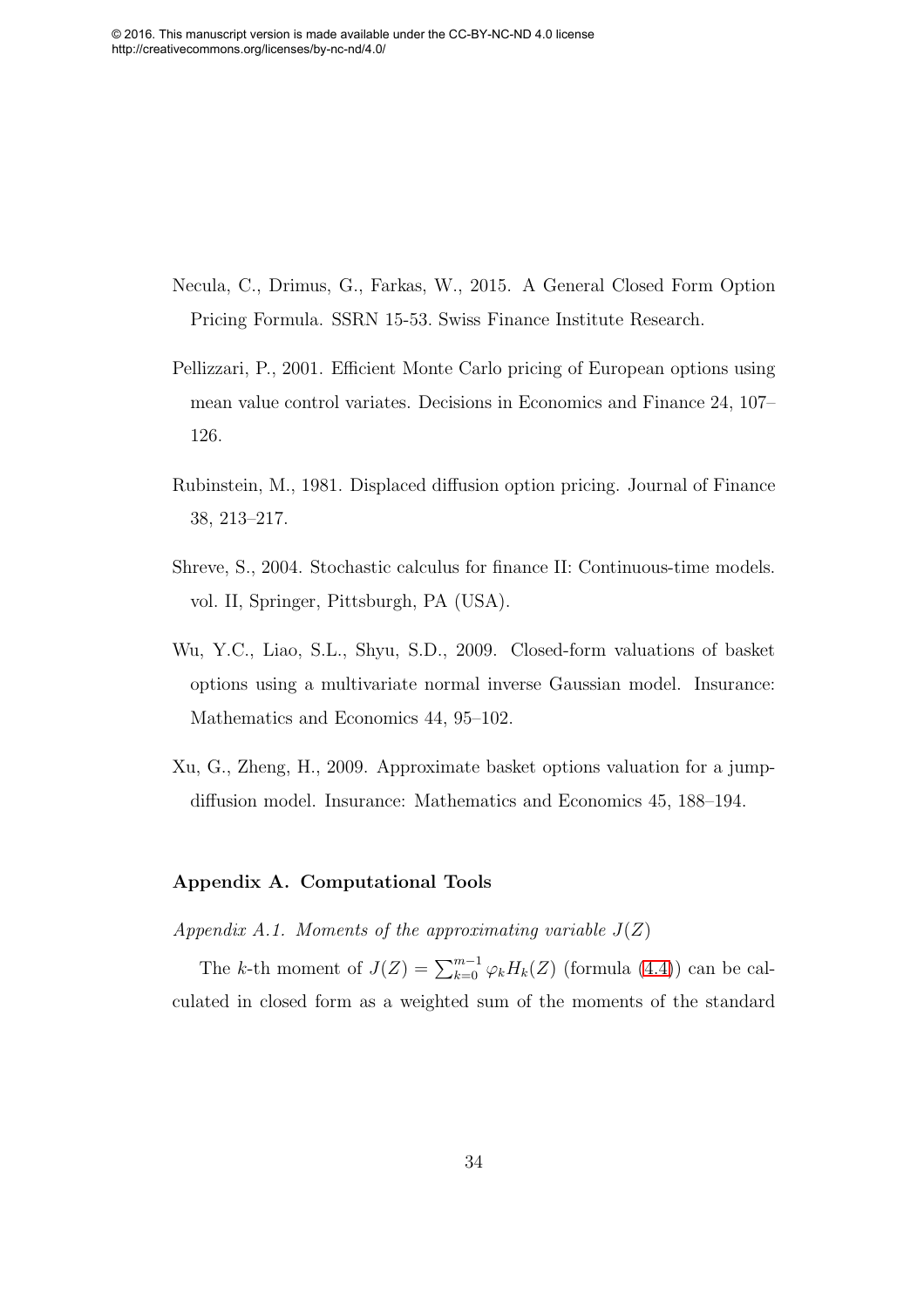- Necula, C., Drimus, G., Farkas, W., 2015. A General Closed Form Option Pricing Formula. SSRN 15-53. Swiss Finance Institute Research.
- Pellizzari, P., 2001. Efficient Monte Carlo pricing of European options using mean value control variates. Decisions in Economics and Finance 24, 107– 126.
- Rubinstein, M., 1981. Displaced diffusion option pricing. Journal of Finance 38, 213–217.
- <span id="page-34-1"></span>Shreve, S., 2004. Stochastic calculus for finance II: Continuous-time models. vol. II, Springer, Pittsburgh, PA (USA).
- Wu, Y.C., Liao, S.L., Shyu, S.D., 2009. Closed-form valuations of basket options using a multivariate normal inverse Gaussian model. Insurance: Mathematics and Economics 44, 95–102.
- Xu, G., Zheng, H., 2009. Approximate basket options valuation for a jumpdiffusion model. Insurance: Mathematics and Economics 45, 188–194.

#### Appendix A. Computational Tools

Appendix A.1. Moments of the approximating variable  $J(Z)$ 

<span id="page-34-0"></span>The k-th moment of  $J(Z) = \sum_{k=0}^{m-1} \varphi_k H_k(Z)$  (formula [\(4.4\)](#page-11-2)) can be calculated in closed form as a weighted sum of the moments of the standard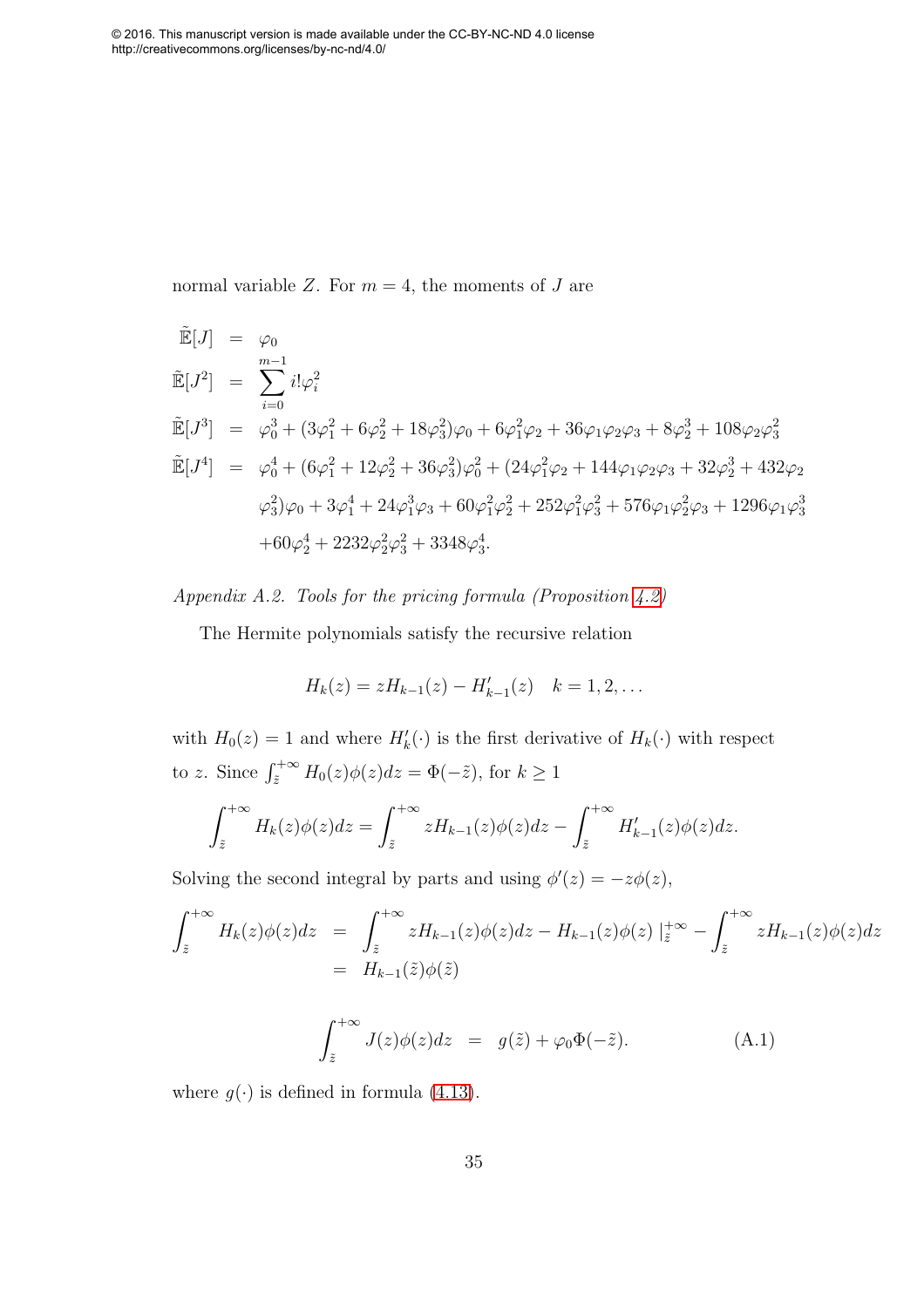normal variable Z. For  $m = 4$ , the moments of J are

<span id="page-35-1"></span><span id="page-35-0"></span>
$$
\tilde{\mathbb{E}}[J] = \varphi_0
$$
\n
$$
\tilde{\mathbb{E}}[J^2] = \sum_{i=0}^{m-1} i! \varphi_i^2
$$
\n
$$
\tilde{\mathbb{E}}[J^3] = \varphi_0^3 + (3\varphi_1^2 + 6\varphi_2^2 + 18\varphi_3^2)\varphi_0 + 6\varphi_1^2\varphi_2 + 36\varphi_1\varphi_2\varphi_3 + 8\varphi_2^3 + 108\varphi_2\varphi_3^2
$$
\n
$$
\tilde{\mathbb{E}}[J^4] = \varphi_0^4 + (6\varphi_1^2 + 12\varphi_2^2 + 36\varphi_3^2)\varphi_0^2 + (24\varphi_1^2\varphi_2 + 144\varphi_1\varphi_2\varphi_3 + 32\varphi_2^3 + 432\varphi_2
$$
\n
$$
\varphi_3^2\varphi_0 + 3\varphi_1^4 + 24\varphi_1^3\varphi_3 + 60\varphi_1^2\varphi_2^2 + 252\varphi_1^2\varphi_3^2 + 576\varphi_1\varphi_2^2\varphi_3 + 1296\varphi_1\varphi_3^3
$$
\n
$$
+60\varphi_2^4 + 2232\varphi_2^2\varphi_3^2 + 3348\varphi_3^4.
$$

Appendix A.2. Tools for the pricing formula (Proposition [4.2\)](#page-15-2)

The Hermite polynomials satisfy the recursive relation

$$
H_k(z) = zH_{k-1}(z) - H'_{k-1}(z) \quad k = 1, 2, \dots
$$

with  $H_0(z) = 1$  and where  $H'_k(\cdot)$  is the first derivative of  $H_k(\cdot)$  with respect to z. Since  $\int_{\tilde{z}}^{+\infty} H_0(z)\phi(z)dz = \Phi(-\tilde{z}),$  for  $k \ge 1$ 

$$
\int_{\tilde{z}}^{+\infty} H_k(z)\phi(z)dz = \int_{\tilde{z}}^{+\infty} zH_{k-1}(z)\phi(z)dz - \int_{\tilde{z}}^{+\infty} H'_{k-1}(z)\phi(z)dz.
$$

Solving the second integral by parts and using  $\phi'(z) = -z\phi(z)$ ,

$$
\int_{\tilde{z}}^{+\infty} H_k(z)\phi(z)dz = \int_{\tilde{z}}^{+\infty} zH_{k-1}(z)\phi(z)dz - H_{k-1}(z)\phi(z) \mid_{\tilde{z}}^{+\infty} - \int_{\tilde{z}}^{+\infty} zH_{k-1}(z)\phi(z)dz
$$
  
=  $H_{k-1}(\tilde{z})\phi(\tilde{z})$ 

$$
\int_{\tilde{z}}^{+\infty} J(z)\phi(z)dz = g(\tilde{z}) + \varphi_0 \Phi(-\tilde{z}). \tag{A.1}
$$

where  $g(\cdot)$  is defined in formula [\(4.13\)](#page-15-3).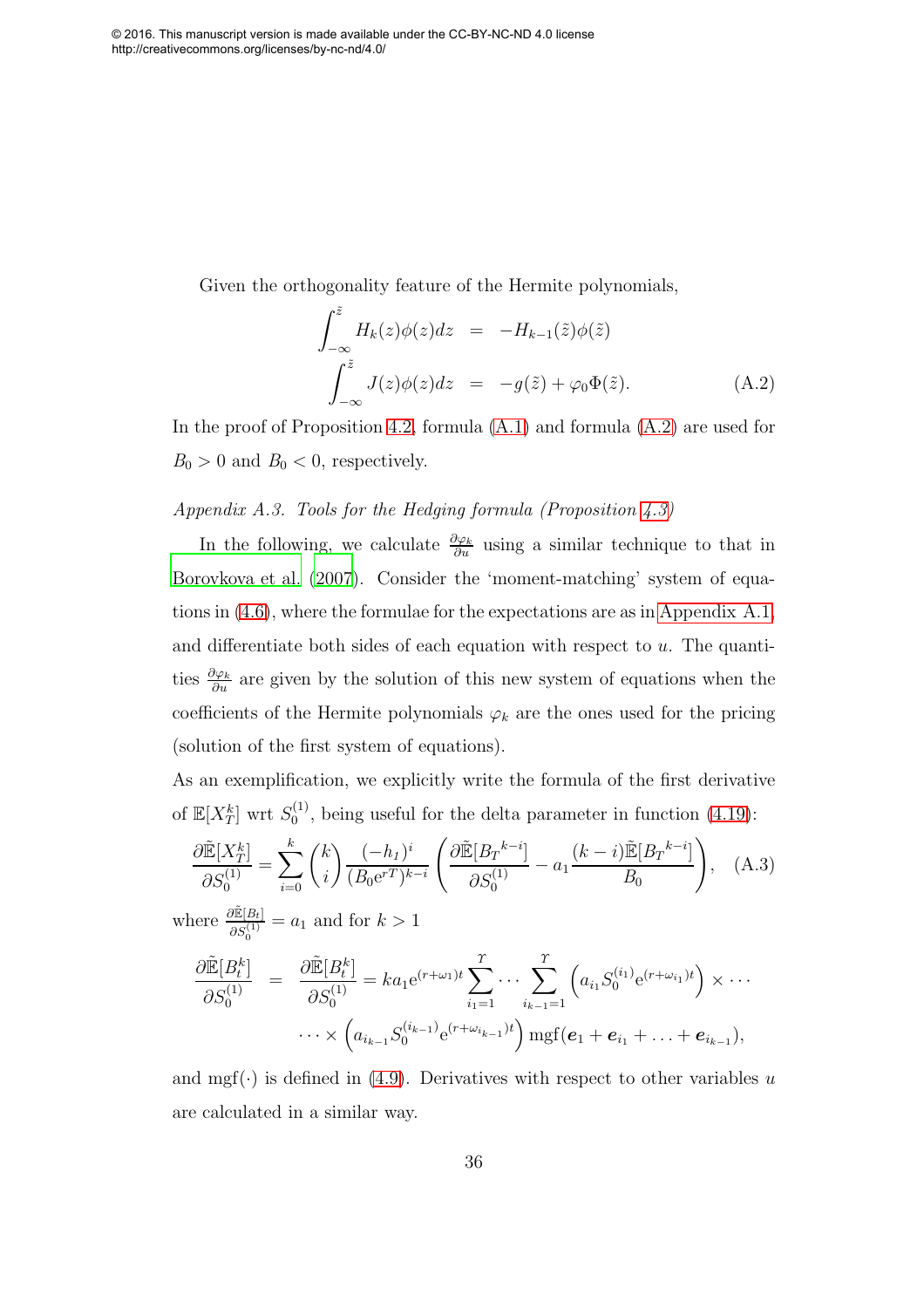<span id="page-36-0"></span>Given the orthogonality feature of the Hermite polynomials,

$$
\int_{-\infty}^{\tilde{z}} H_k(z)\phi(z)dz = -H_{k-1}(\tilde{z})\phi(\tilde{z})
$$
\n
$$
\int_{-\infty}^{\tilde{z}} J(z)\phi(z)dz = -g(\tilde{z}) + \varphi_0 \Phi(\tilde{z}).
$$
\n(A.2)

In the proof of Proposition [4.2,](#page-15-2) formula [\(A.1\)](#page-34-0) and formula [\(A.2\)](#page-35-0) are used for  $B_0 > 0$  and  $B_0 < 0$ , respectively.

## Appendix A.3. Tools for the Hedging formula (Proposition [4.3\)](#page-16-3)

In the following, we calculate  $\frac{\partial \varphi_k}{\partial u}$  using a similar technique to that in [Borovkova et al. \(2007\)](#page-29-0). Consider the 'moment-matching' system of equations in [\(4.6\)](#page-11-4), where the formulae for the expectations are as in [Appendix A.1,](#page-33-6) and differentiate both sides of each equation with respect to  $u$ . The quantities  $\frac{\partial \varphi_k}{\partial u}$  are given by the solution of this new system of equations when the coefficients of the Hermite polynomials  $\varphi_k$  are the ones used for the pricing (solution of the first system of equations).

As an exemplification, we explicitly write the formula of the first derivative of  $\mathbb{E}[X_T^k]$  wrt  $S_0^{(1)}$  $_{0}^{(1)}$ , being useful for the delta parameter in function [\(4.19\)](#page-18-1):

$$
\frac{\partial \tilde{\mathbb{E}}[X_T^k]}{\partial S_0^{(1)}} = \sum_{i=0}^k {k \choose i} \frac{(-h_1)^i}{(B_0 \mathbf{e}^{rT})^{k-i}} \left( \frac{\partial \tilde{\mathbb{E}}[B_T^{k-i}]}{\partial S_0^{(1)}} - a_1 \frac{(k-i)\tilde{\mathbb{E}}[B_T^{k-i}]}{B_0} \right), \quad \text{(A.3)}
$$
\n
$$
\text{where } \frac{\partial \tilde{\mathbb{E}}[B_t]}{\partial S_0^{(1)}} = a_1 \text{ and for } k > 1
$$

$$
\frac{\partial \tilde{\mathbb{E}}[B_t^k]}{\partial S_0^{(1)}} = \frac{\partial \tilde{\mathbb{E}}[B_t^k]}{\partial S_0^{(1)}} = ka_1 e^{(r+\omega_1)t} \sum_{i_1=1}^r \cdots \sum_{i_{k-1}=1}^r \left( a_{i_1} S_0^{(i_1)} e^{(r+\omega_{i_1})t} \right) \times \cdots \cdots \times \left( a_{i_{k-1}} S_0^{(i_{k-1})} e^{(r+\omega_{i_{k-1}})t} \right) m \text{gft}(\boldsymbol{e}_1 + \boldsymbol{e}_{i_1} + \cdots + \boldsymbol{e}_{i_{k-1}}),
$$

and mgf( $\cdot$ ) is defined in [\(4.9\)](#page-14-3). Derivatives with respect to other variables u are calculated in a similar way.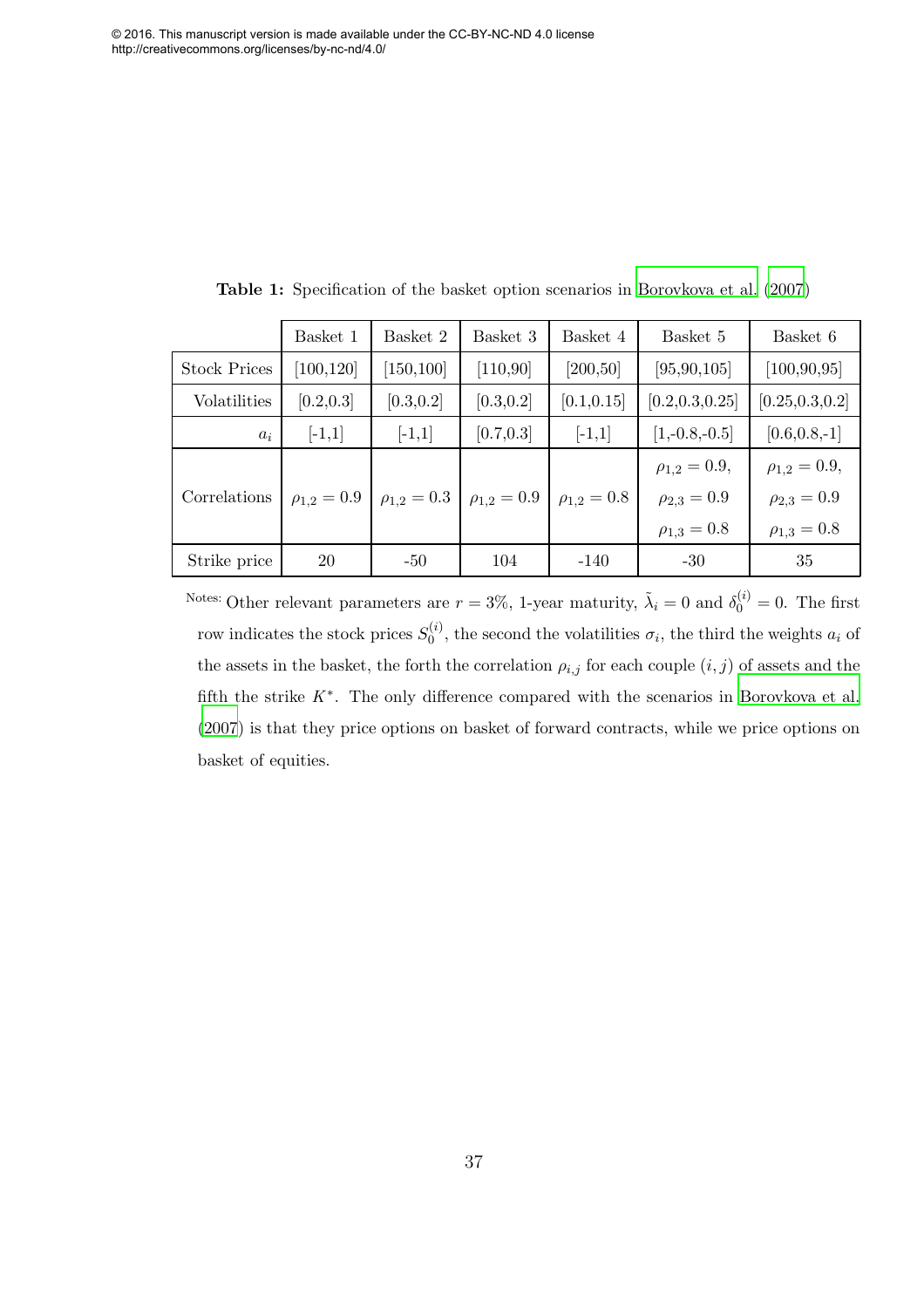|                     | Basket 1           | Basket 2         | Basket 3         | Basket 4         | Basket 5           | Basket 6           |
|---------------------|--------------------|------------------|------------------|------------------|--------------------|--------------------|
| <b>Stock Prices</b> | [100, 120]         | [150, 100]       | [110, 90]        | [200, 50]        | [95, 90, 105]      | [100, 90, 95]      |
| Volatilities        | [0.2, 0.3]         | [0.3, 0.2]       | [0.3, 0.2]       | [0.1, 0.15]      | [0.2, 0.3, 0.25]   | [0.25, 0.3, 0.2]   |
| $a_i$               | $[-1,1]$           | $[-1,1]$         | [0.7, 0.3]       | $[-1,1]$         | $[1,-0.8,-0.5]$    | $[0.6, 0.8, -1]$   |
|                     |                    |                  |                  |                  | $\rho_{1,2}=0.9,$  | $\rho_{1,2}=0.9,$  |
| Correlations        | $\rho_{1,2} = 0.9$ | $\rho_{1,2}=0.3$ | $\rho_{1,2}=0.9$ | $\rho_{1,2}=0.8$ | $\rho_{2,3} = 0.9$ | $\rho_{2,3} = 0.9$ |
|                     |                    |                  |                  |                  | $\rho_{1,3} = 0.8$ | $\rho_{1,3} = 0.8$ |
| Strike price        | 20                 | $-50$            | 104              | $-140$           | $-30$              | 35                 |

<span id="page-37-0"></span>Table 1: Specification of the basket option scenarios in [Borovkova et](#page-29-0) al. [\(2007](#page-29-0))

Notes: Other relevant parameters are  $r = 3\%$ , 1-year maturity,  $\tilde{\lambda}_i = 0$  and  $\delta_0^{(i)} = 0$ . The first row indicates the stock prices  $S_0^{(i)}$  $\sigma_0^{(i)}$ , the second the volatilities  $\sigma_i$ , the third the weights  $a_i$  of the assets in the basket, the forth the correlation  $\rho_{i,j}$  for each couple  $(i, j)$  of assets and the fifth the strike  $K^*$ . The only difference compared with the scenarios in [Borovkova](#page-29-0) et al. [\(2007](#page-29-0)) is that they price options on basket of forward contracts, while we price options on basket of equities.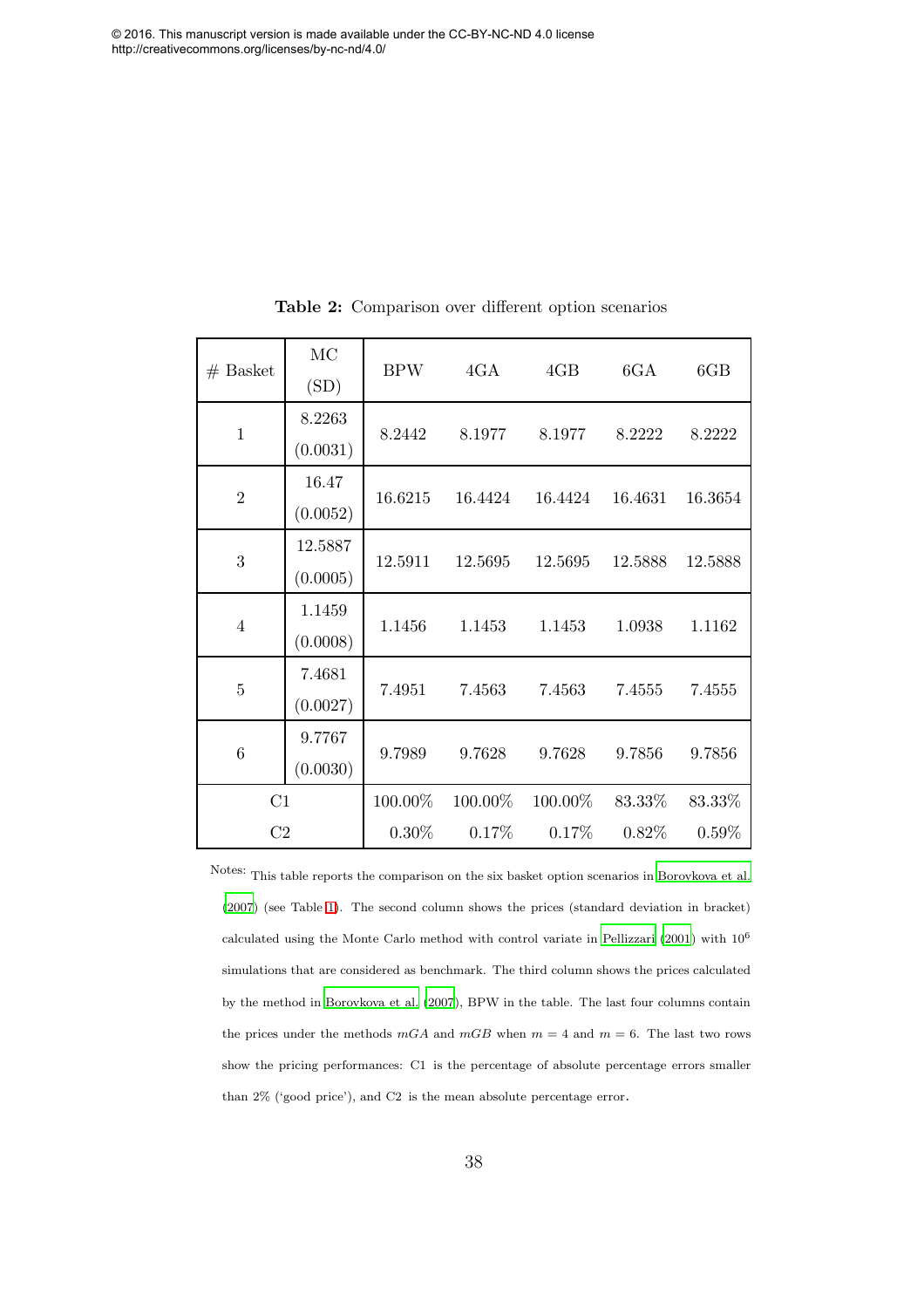<span id="page-38-0"></span>

| $#$ Basket     | MC<br>(SD)          | <b>BPW</b> | 4GA     | 4GB     | 6GA      | 6GB      |
|----------------|---------------------|------------|---------|---------|----------|----------|
| $\mathbf{1}$   | 8.2263<br>(0.0031)  | 8.2442     | 8.1977  | 8.1977  | 8.2222   | 8.2222   |
| $\overline{2}$ | 16.47<br>(0.0052)   | 16.6215    | 16.4424 | 16.4424 | 16.4631  | 16.3654  |
| 3              | 12.5887<br>(0.0005) | 12.5911    | 12.5695 | 12.5695 | 12.5888  | 12.5888  |
| $\overline{4}$ | 1.1459<br>(0.0008)  | 1.1456     | 1.1453  | 1.1453  | 1.0938   | 1.1162   |
| $\overline{5}$ | 7.4681<br>(0.0027)  | 7.4951     | 7.4563  | 7.4563  | 7.4555   | 7.4555   |
| 6              | 9.7767<br>(0.0030)  | 9.7989     | 9.7628  | 9.7628  | 9.7856   | 9.7856   |
| C1             |                     | 100.00%    | 100.00% | 100.00% | 83.33%   | 83.33%   |
| C <sub>2</sub> |                     | $0.30\%$   | 0.17%   | 0.17%   | $0.82\%$ | $0.59\%$ |

Table 2: Comparison over different option scenarios

Notes: This table reports the comparison on the six basket option scenarios in [Borovkova et al.](#page-29-0) [\(2007](#page-29-0)) (see Table [1\)](#page-36-0). The second column shows the prices (standard deviation in bracket) calculated using the Monte Carlo method with control variate in [Pellizzari \(2001](#page-33-1)) with 10<sup>6</sup> simulations that are considered as benchmark. The third column shows the prices calculated by the method in [Borovkova et al. \(2007](#page-29-0)), BPW in the table. The last four columns contain the prices under the methods  $mGA$  and  $mGB$  when  $m = 4$  and  $m = 6$ . The last two rows show the pricing performances: C1 is the percentage of absolute percentage errors smaller than 2% ('good price'), and C2 is the mean absolute percentage error.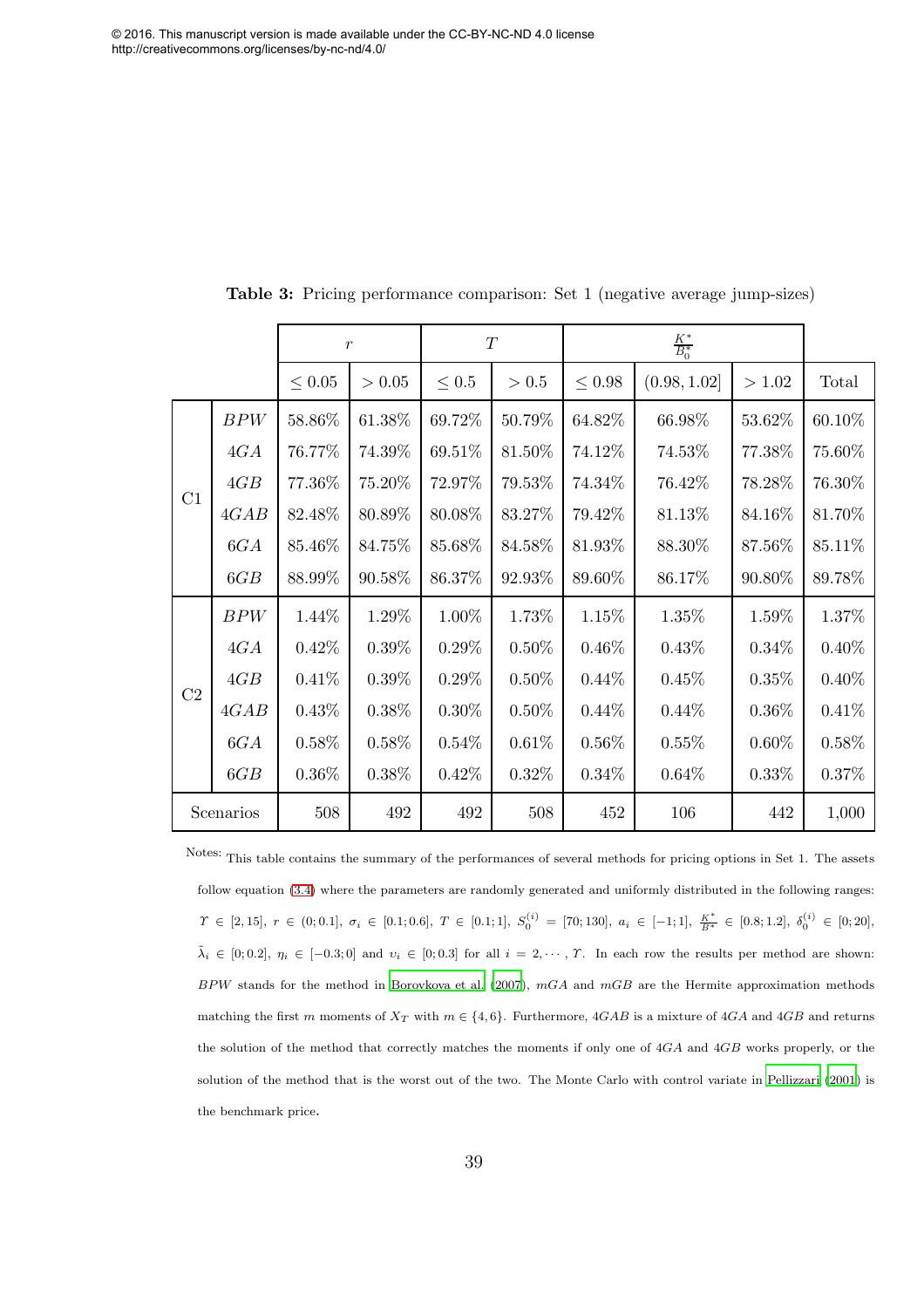<span id="page-39-0"></span>

|           |      | $\boldsymbol{r}$ |          | $\cal T$   |          |             |              |          |          |
|-----------|------|------------------|----------|------------|----------|-------------|--------------|----------|----------|
|           |      | $\leq 0.05$      | > 0.05   | $\leq 0.5$ | $>0.5$   | $\leq 0.98$ | (0.98, 1.02] | >1.02    | Total    |
|           | BPW  | 58.86%           | 61.38%   | 69.72%     | 50.79%   | 64.82%      | 66.98%       | 53.62%   | 60.10%   |
|           | 4GA  | 76.77%           | 74.39%   | 69.51%     | 81.50%   | 74.12%      | 74.53%       | 77.38%   | 75.60%   |
|           | 4GB  | 77.36%           | 75.20%   | 72.97%     | 79.53%   | 74.34%      | 76.42%       | 78.28%   | 76.30%   |
| C1        | 4GAB | 82.48%           | 80.89%   | 80.08%     | 83.27%   | 79.42%      | 81.13%       | 84.16%   | 81.70%   |
|           | 6GA  | 85.46\%          | 84.75%   | 85.68%     | 84.58%   | 81.93%      | 88.30%       | 87.56%   | 85.11%   |
|           | 6GB  | 88.99%           | 90.58%   | 86.37%     | 92.93%   | 89.60%      | 86.17%       | 90.80%   | 89.78%   |
|           | BPW  | 1.44%            | 1.29%    | 1.00%      | 1.73%    | 1.15%       | 1.35%        | 1.59%    | 1.37%    |
|           | 4GA  | 0.42%            | $0.39\%$ | $0.29\%$   | $0.50\%$ | $0.46\%$    | 0.43%        | $0.34\%$ | 0.40%    |
| C2        | 4GB  | 0.41%            | $0.39\%$ | $0.29\%$   | $0.50\%$ | 0.44%       | 0.45%        | 0.35%    | $0.40\%$ |
|           | 4GAB | 0.43%            | $0.38\%$ | $0.30\%$   | $0.50\%$ | $0.44\%$    | $0.44\%$     | $0.36\%$ | 0.41%    |
|           | 6GA  | $0.58\%$         | $0.58\%$ | $0.54\%$   | 0.61%    | $0.56\%$    | 0.55%        | $0.60\%$ | 0.58%    |
|           | 6GB  | $0.36\%$         | $0.38\%$ | 0.42%      | $0.32\%$ | $0.34\%$    | 0.64%        | 0.33%    | 0.37%    |
| Scenarios |      | 508              | 492      | 492        | 508      | 452         | 106          | 442      | 1,000    |

Table 3: Pricing performance comparison: Set 1 (negative average jump-sizes)

Notes: This table contains the summary of the performances of several methods for pricing options in Set 1. The assets follow equation [\(3.4\)](#page-9-2) where the parameters are randomly generated and uniformly distributed in the following ranges:  $\varUpsilon \,\in\, [2,15], \; r \,\in\, (0,0.1], \; \sigma_i \,\in\, [0.1;0.6], \; T \,\in\, [0.1;1], \; S_0^{(i)} \,=\, [70;130], \; a_i \,\in\, [-1;1], \; \frac{K^*}{B^*} \,\in\, [0.8;1.2], \; \delta_0^{(i)} \,\in\, [0;20],$  $\tilde{\lambda}_i \in [0, 0.2], \eta_i \in [-0.3, 0]$  and  $v_i \in [0, 0.3]$  for all  $i = 2, \dots, T$ . In each row the results per method are shown:  $BPW$  stands for the method in [Borovkova et al. \(2007\)](#page-29-0),  $mGA$  and  $mGB$  are the Hermite approximation methods matching the first m moments of  $X_T$  with  $m \in \{4, 6\}$ . Furthermore,  $4GAB$  is a mixture of  $4GA$  and  $4GB$  and returns the solution of the method that correctly matches the moments if only one of 4GA and 4GB works properly, or the solution of the method that is the worst out of the two. The Monte Carlo with control variate in [Pellizzari \(2001](#page-33-1)) is the benchmark price.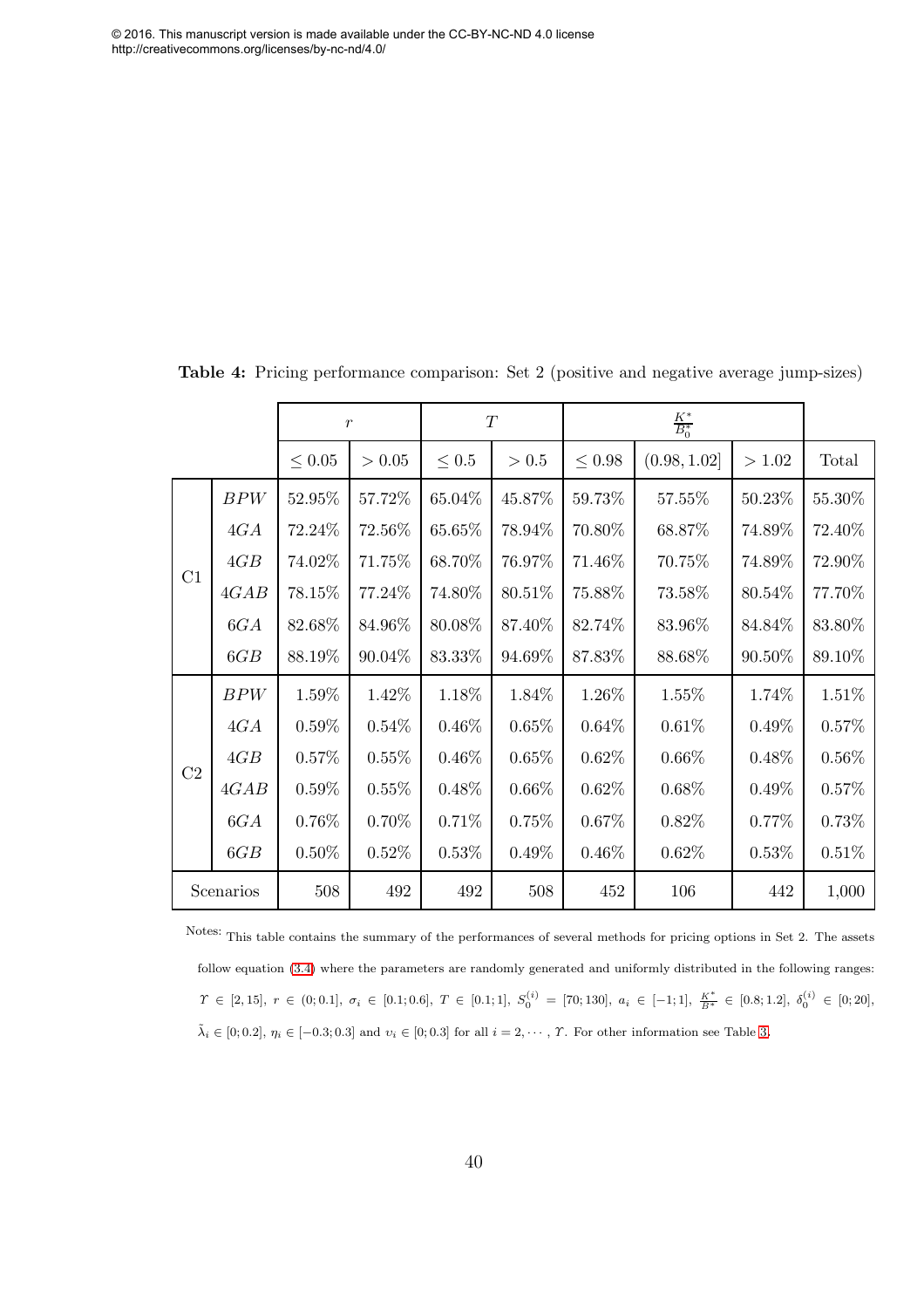<span id="page-40-0"></span>

|           |      | $\boldsymbol{r}$ |          | T          |          |             |              |           |           |
|-----------|------|------------------|----------|------------|----------|-------------|--------------|-----------|-----------|
|           |      | $\leq 0.05$      | > 0.05   | $\leq 0.5$ | > 0.5    | $\leq 0.98$ | (0.98, 1.02] | >1.02     | Total     |
|           | BPW  | 52.95%           | 57.72%   | 65.04%     | 45.87%   | 59.73%      | 57.55%       | 50.23%    | $55.30\%$ |
|           | 4GA  | 72.24%           | 72.56%   | 65.65%     | 78.94%   | 70.80%      | 68.87%       | 74.89%    | 72.40%    |
| C1        | 4GB  | 74.02%           | 71.75%   | 68.70%     | 76.97%   | 71.46%      | 70.75%       | 74.89%    | 72.90%    |
|           | 4GAB | 78.15%           | 77.24\%  | 74.80%     | 80.51\%  | 75.88%      | 73.58%       | 80.54\%   | 77.70%    |
|           | 6GA  | 82.68%           | 84.96%   | 80.08%     | 87.40%   | 82.74%      | 83.96%       | 84.84%    | 83.80%    |
|           | 6GB  | 88.19%           | 90.04%   | 83.33%     | 94.69%   | 87.83%      | 88.68%       | $90.50\%$ | 89.10%    |
|           | BPW  | 1.59%            | 1.42%    | 1.18%      | 1.84%    | 1.26%       | 1.55%        | 1.74%     | 1.51%     |
|           | 4GA  | $0.59\%$         | $0.54\%$ | 0.46%      | $0.65\%$ | 0.64%       | 0.61%        | $0.49\%$  | 0.57%     |
|           | 4GB  | $0.57\%$         | 0.55%    | 0.46%      | 0.65%    | 0.62%       | $0.66\%$     | 0.48%     | $0.56\%$  |
| C2        | 4GAB | $0.59\%$         | 0.55%    | 0.48%      | $0.66\%$ | 0.62%       | $0.68\%$     | $0.49\%$  | 0.57%     |
|           | 6GA  | 0.76%            | $0.70\%$ | 0.71%      | 0.75%    | 0.67%       | 0.82%        | 0.77%     | 0.73%     |
|           | 6GB  | $0.50\%$         | 0.52%    | 0.53%      | 0.49%    | 0.46%       | 0.62%        | 0.53%     | 0.51%     |
| Scenarios |      | 508              | 492      | 492        | 508      | 452         | 106          | 442       | 1,000     |

Table 4: Pricing performance comparison: Set 2 (positive and negative average jump-sizes)

Notes: This table contains the summary of the performances of several methods for pricing options in Set 2. The assets follow equation [\(3.4\)](#page-9-2) where the parameters are randomly generated and uniformly distributed in the following ranges:  $\varUpsilon \,\in\, [2,15], \; r \,\in\, (0,0.1], \; \sigma_i \,\in\, [0.1;0.6], \; T \,\in\, [0.1;1], \; S_0^{(i)} \,=\, [70;130], \; a_i \,\in\, [-1;1], \; \frac{K^*}{B^*} \,\in\, [0.8;1.2], \; \delta_0^{(i)} \,\in\, [0;20],$  $\tilde{\lambda}_i \in [0, 0.2], \, \eta_i \in [-0.3, 0.3]$  and  $v_i \in [0, 0.3]$  for all  $i = 2, \dots, T$ . For other information see Table [3](#page-38-0).